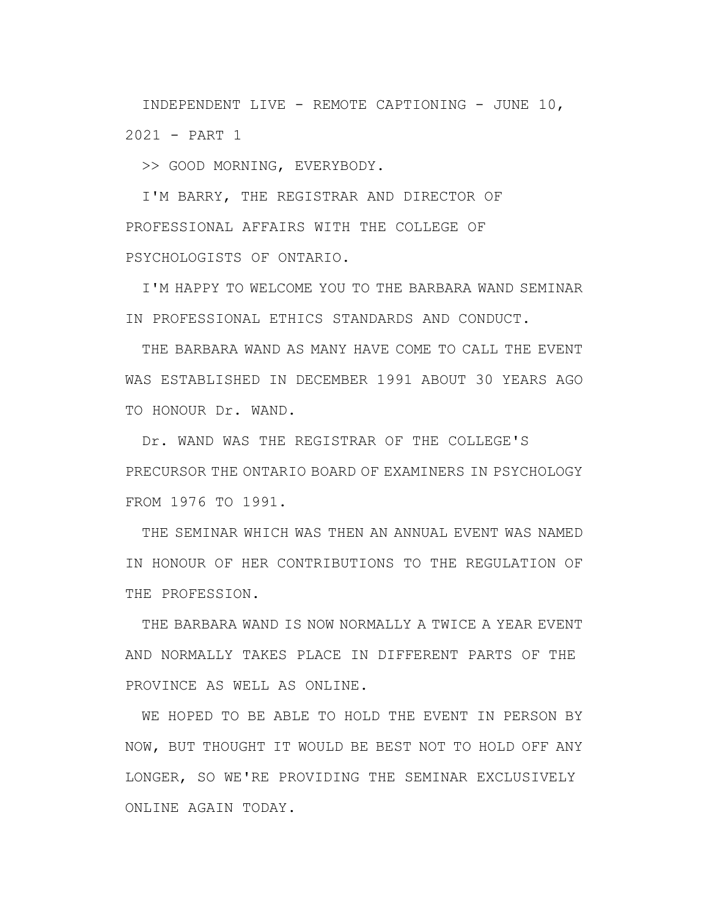INDEPENDENT LIVE - REMOTE CAPTIONING - JUNE 10, 2021 - PART 1

>> GOOD MORNING, EVERYBODY.

I'M BARRY, THE REGISTRAR AND DIRECTOR OF PROFESSIONAL AFFAIRS WITH THE COLLEGE OF PSYCHOLOGISTS OF ONTARIO.

I'M HAPPY TO WELCOME YOU TO THE BARBARA WAND SEMINAR IN PROFESSIONAL ETHICS STANDARDS AND CONDUCT.

THE BARBARA WAND AS MANY HAVE COME TO CALL THE EVENT WAS ESTABLISHED IN DECEMBER 1991 ABOUT 30 YEARS AGO TO HONOUR Dr. WAND.

Dr. WAND WAS THE REGISTRAR OF THE COLLEGE'S PRECURSOR THE ONTARIO BOARD OF EXAMINERS IN PSYCHOLOGY FROM 1976 TO 1991.

THE SEMINAR WHICH WAS THEN AN ANNUAL EVENT WAS NAMED IN HONOUR OF HER CONTRIBUTIONS TO THE REGULATION OF THE PROFESSION.

THE BARBARA WAND IS NOW NORMALLY A TWICE A YEAR EVENT AND NORMALLY TAKES PLACE IN DIFFERENT PARTS OF THE PROVINCE AS WELL AS ONLINE.

WE HOPED TO BE ABLE TO HOLD THE EVENT IN PERSON BY NOW, BUT THOUGHT IT WOULD BE BEST NOT TO HOLD OFF ANY LONGER, SO WE'RE PROVIDING THE SEMINAR EXCLUSIVELY ONLINE AGAIN TODAY.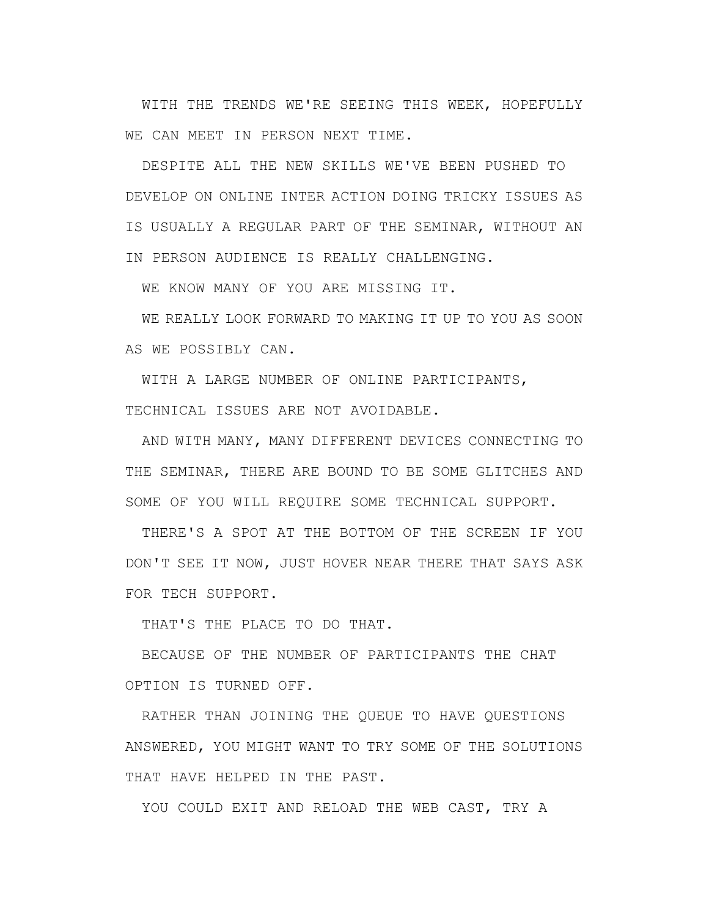WITH THE TRENDS WE'RE SEEING THIS WEEK, HOPEFULLY WE CAN MEET IN PERSON NEXT TIME.

DESPITE ALL THE NEW SKILLS WE'VE BEEN PUSHED TO DEVELOP ON ONLINE INTER ACTION DOING TRICKY ISSUES AS IS USUALLY A REGULAR PART OF THE SEMINAR, WITHOUT AN IN PERSON AUDIENCE IS REALLY CHALLENGING.

WE KNOW MANY OF YOU ARE MISSING IT.

WE REALLY LOOK FORWARD TO MAKING IT UP TO YOU AS SOON AS WE POSSIBLY CAN.

WITH A LARGE NUMBER OF ONLINE PARTICIPANTS, TECHNICAL ISSUES ARE NOT AVOIDABLE.

AND WITH MANY, MANY DIFFERENT DEVICES CONNECTING TO THE SEMINAR, THERE ARE BOUND TO BE SOME GLITCHES AND SOME OF YOU WILL REQUIRE SOME TECHNICAL SUPPORT.

THERE'S A SPOT AT THE BOTTOM OF THE SCREEN IF YOU DON'T SEE IT NOW, JUST HOVER NEAR THERE THAT SAYS ASK FOR TECH SUPPORT.

THAT'S THE PLACE TO DO THAT.

BECAUSE OF THE NUMBER OF PARTICIPANTS THE CHAT OPTION IS TURNED OFF.

RATHER THAN JOINING THE QUEUE TO HAVE QUESTIONS ANSWERED, YOU MIGHT WANT TO TRY SOME OF THE SOLUTIONS THAT HAVE HELPED IN THE PAST.

YOU COULD EXIT AND RELOAD THE WEB CAST, TRY A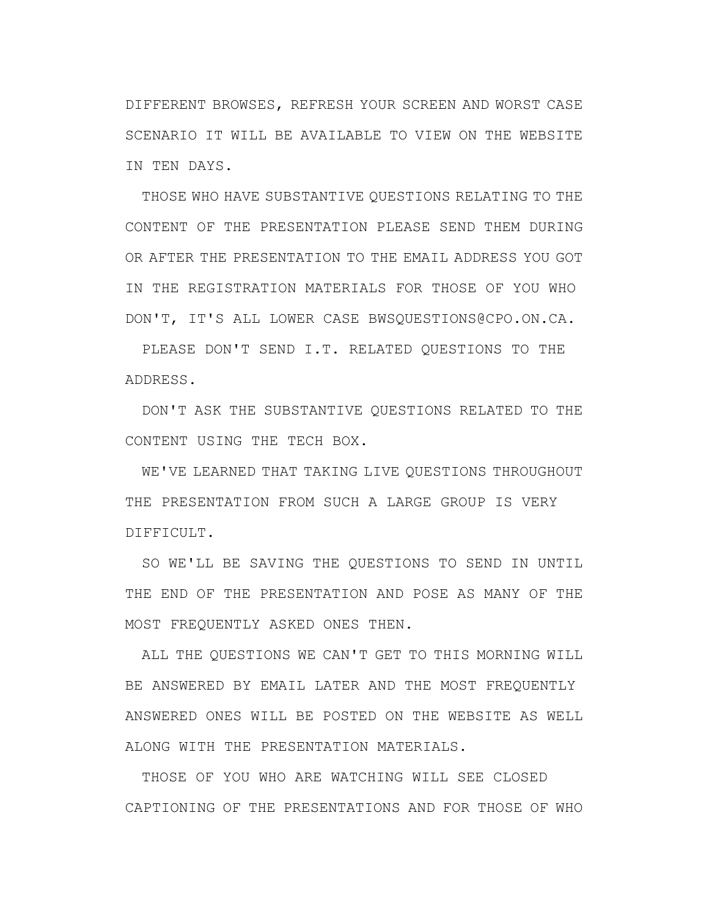DIFFERENT BROWSES, REFRESH YOUR SCREEN AND WORST CASE SCENARIO IT WILL BE AVAILABLE TO VIEW ON THE WEBSITE IN TEN DAYS.

THOSE WHO HAVE SUBSTANTIVE QUESTIONS RELATING TO THE CONTENT OF THE PRESENTATION PLEASE SEND THEM DURING OR AFTER THE PRESENTATION TO THE EMAIL ADDRESS YOU GOT IN THE REGISTRATION MATERIALS FOR THOSE OF YOU WHO DON'T, IT'S ALL LOWER CASE BWSQUESTIONS@CPO.ON.CA.

PLEASE DON'T SEND I.T. RELATED QUESTIONS TO THE ADDRESS.

DON'T ASK THE SUBSTANTIVE QUESTIONS RELATED TO THE CONTENT USING THE TECH BOX.

WE'VE LEARNED THAT TAKING LIVE QUESTIONS THROUGHOUT THE PRESENTATION FROM SUCH A LARGE GROUP IS VERY DIFFICULT.

SO WE'LL BE SAVING THE QUESTIONS TO SEND IN UNTIL THE END OF THE PRESENTATION AND POSE AS MANY OF THE MOST FREQUENTLY ASKED ONES THEN.

ALL THE QUESTIONS WE CAN'T GET TO THIS MORNING WILL BE ANSWERED BY EMAIL LATER AND THE MOST FREQUENTLY ANSWERED ONES WILL BE POSTED ON THE WEBSITE AS WELL ALONG WITH THE PRESENTATION MATERIALS.

THOSE OF YOU WHO ARE WATCHING WILL SEE CLOSED CAPTIONING OF THE PRESENTATIONS AND FOR THOSE OF WHO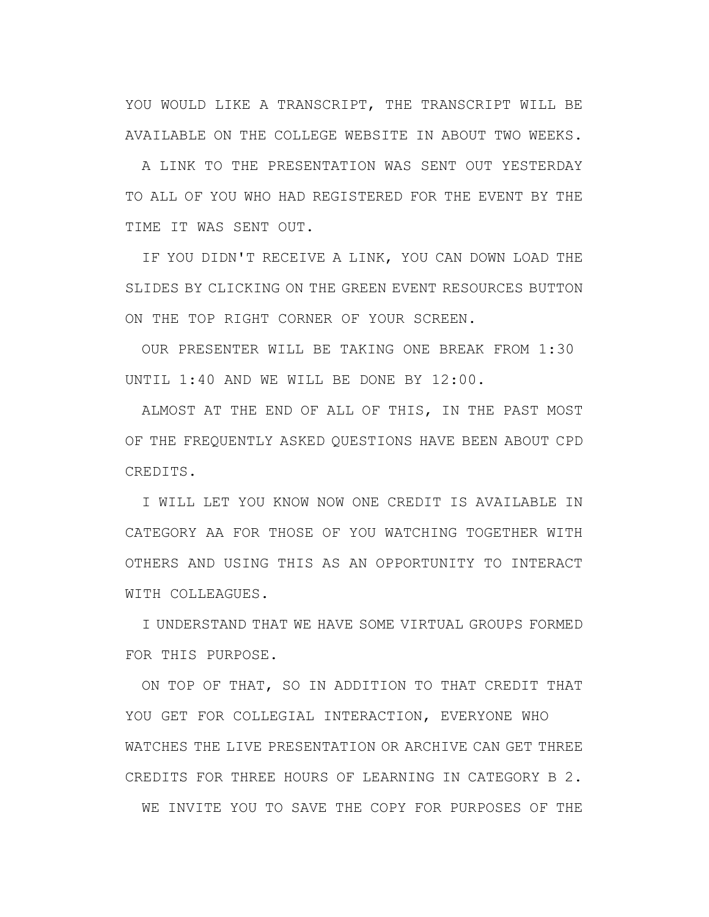YOU WOULD LIKE A TRANSCRIPT, THE TRANSCRIPT WILL BE AVAILABLE ON THE COLLEGE WEBSITE IN ABOUT TWO WEEKS.

A LINK TO THE PRESENTATION WAS SENT OUT YESTERDAY TO ALL OF YOU WHO HAD REGISTERED FOR THE EVENT BY THE TIME IT WAS SENT OUT.

IF YOU DIDN'T RECEIVE A LINK, YOU CAN DOWN LOAD THE SLIDES BY CLICKING ON THE GREEN EVENT RESOURCES BUTTON ON THE TOP RIGHT CORNER OF YOUR SCREEN.

OUR PRESENTER WILL BE TAKING ONE BREAK FROM 1:30 UNTIL 1:40 AND WE WILL BE DONE BY 12:00.

ALMOST AT THE END OF ALL OF THIS, IN THE PAST MOST OF THE FREQUENTLY ASKED QUESTIONS HAVE BEEN ABOUT CPD CREDITS.

I WILL LET YOU KNOW NOW ONE CREDIT IS AVAILABLE IN CATEGORY AA FOR THOSE OF YOU WATCHING TOGETHER WITH OTHERS AND USING THIS AS AN OPPORTUNITY TO INTERACT WITH COLLEAGUES.

I UNDERSTAND THAT WE HAVE SOME VIRTUAL GROUPS FORMED FOR THIS PURPOSE.

ON TOP OF THAT, SO IN ADDITION TO THAT CREDIT THAT YOU GET FOR COLLEGIAL INTERACTION, EVERYONE WHO WATCHES THE LIVE PRESENTATION OR ARCHIVE CAN GET THREE CREDITS FOR THREE HOURS OF LEARNING IN CATEGORY B 2. WE INVITE YOU TO SAVE THE COPY FOR PURPOSES OF THE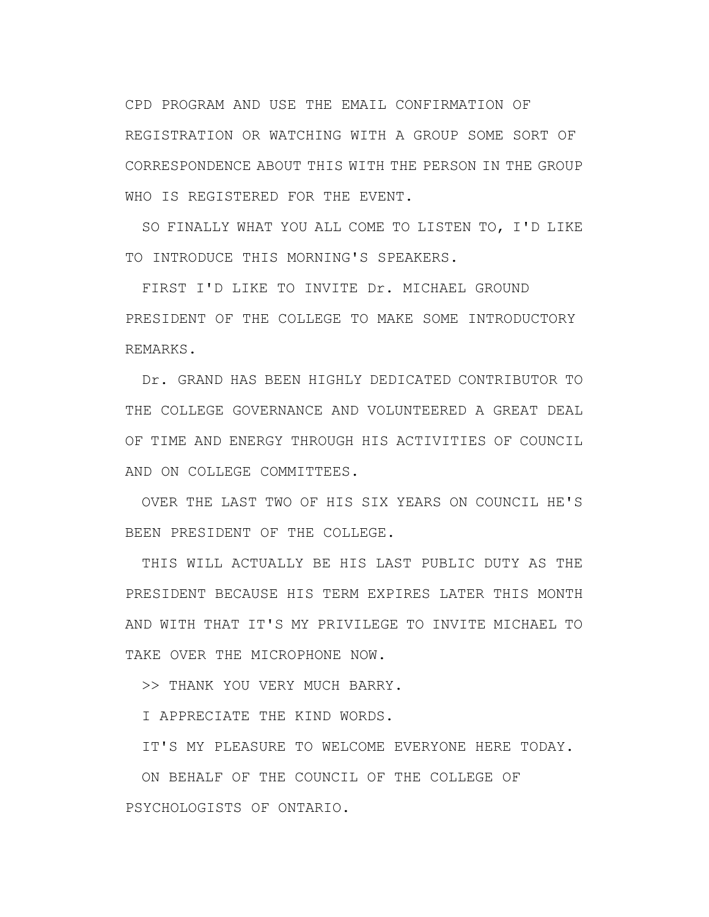CPD PROGRAM AND USE THE EMAIL CONFIRMATION OF REGISTRATION OR WATCHING WITH A GROUP SOME SORT OF CORRESPONDENCE ABOUT THIS WITH THE PERSON IN THE GROUP WHO IS REGISTERED FOR THE EVENT.

SO FINALLY WHAT YOU ALL COME TO LISTEN TO, I'D LIKE TO INTRODUCE THIS MORNING'S SPEAKERS.

FIRST I'D LIKE TO INVITE Dr. MICHAEL GROUND PRESIDENT OF THE COLLEGE TO MAKE SOME INTRODUCTORY REMARKS.

Dr. GRAND HAS BEEN HIGHLY DEDICATED CONTRIBUTOR TO THE COLLEGE GOVERNANCE AND VOLUNTEERED A GREAT DEAL OF TIME AND ENERGY THROUGH HIS ACTIVITIES OF COUNCIL AND ON COLLEGE COMMITTEES.

OVER THE LAST TWO OF HIS SIX YEARS ON COUNCIL HE'S BEEN PRESIDENT OF THE COLLEGE.

THIS WILL ACTUALLY BE HIS LAST PUBLIC DUTY AS THE PRESIDENT BECAUSE HIS TERM EXPIRES LATER THIS MONTH AND WITH THAT IT'S MY PRIVILEGE TO INVITE MICHAEL TO TAKE OVER THE MICROPHONE NOW.

>> THANK YOU VERY MUCH BARRY.

I APPRECIATE THE KIND WORDS.

IT'S MY PLEASURE TO WELCOME EVERYONE HERE TODAY.

ON BEHALF OF THE COUNCIL OF THE COLLEGE OF PSYCHOLOGISTS OF ONTARIO.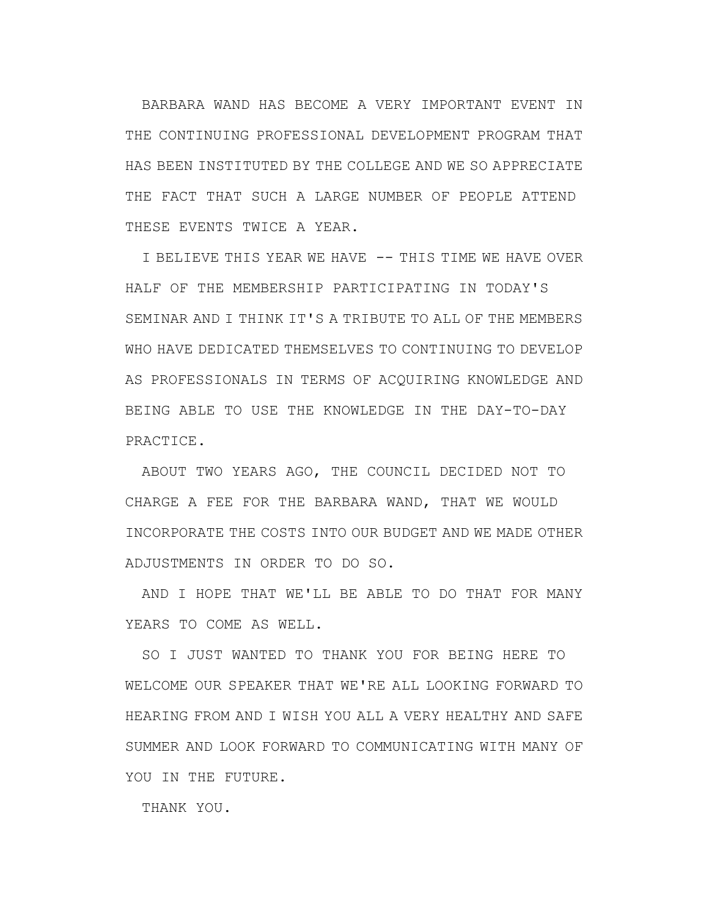BARBARA WAND HAS BECOME A VERY IMPORTANT EVENT IN THE CONTINUING PROFESSIONAL DEVELOPMENT PROGRAM THAT HAS BEEN INSTITUTED BY THE COLLEGE AND WE SO APPRECIATE THE FACT THAT SUCH A LARGE NUMBER OF PEOPLE ATTEND THESE EVENTS TWICE A YEAR.

I BELIEVE THIS YEAR WE HAVE -- THIS TIME WE HAVE OVER HALF OF THE MEMBERSHIP PARTICIPATING IN TODAY'S SEMINAR AND I THINK IT'S A TRIBUTE TO ALL OF THE MEMBERS WHO HAVE DEDICATED THEMSELVES TO CONTINUING TO DEVELOP AS PROFESSIONALS IN TERMS OF ACQUIRING KNOWLEDGE AND BEING ABLE TO USE THE KNOWLEDGE IN THE DAY-TO-DAY PRACTICE.

ABOUT TWO YEARS AGO, THE COUNCIL DECIDED NOT TO CHARGE A FEE FOR THE BARBARA WAND, THAT WE WOULD INCORPORATE THE COSTS INTO OUR BUDGET AND WE MADE OTHER ADJUSTMENTS IN ORDER TO DO SO.

AND I HOPE THAT WE'LL BE ABLE TO DO THAT FOR MANY YEARS TO COME AS WELL.

SO I JUST WANTED TO THANK YOU FOR BEING HERE TO WELCOME OUR SPEAKER THAT WE'RE ALL LOOKING FORWARD TO HEARING FROM AND I WISH YOU ALL A VERY HEALTHY AND SAFE SUMMER AND LOOK FORWARD TO COMMUNICATING WITH MANY OF YOU IN THE FUTURE.

THANK YOU.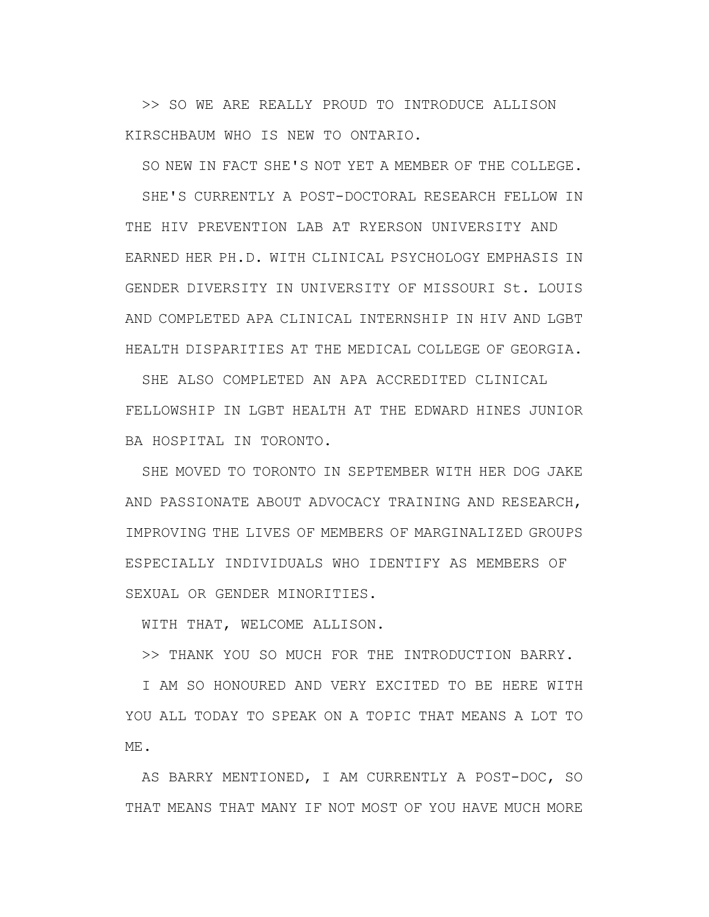>> SO WE ARE REALLY PROUD TO INTRODUCE ALLISON KIRSCHBAUM WHO IS NEW TO ONTARIO.

SO NEW IN FACT SHE'S NOT YET A MEMBER OF THE COLLEGE.

SHE'S CURRENTLY A POST-DOCTORAL RESEARCH FELLOW IN THE HIV PREVENTION LAB AT RYERSON UNIVERSITY AND EARNED HER PH.D. WITH CLINICAL PSYCHOLOGY EMPHASIS IN GENDER DIVERSITY IN UNIVERSITY OF MISSOURI St. LOUIS AND COMPLETED APA CLINICAL INTERNSHIP IN HIV AND LGBT HEALTH DISPARITIES AT THE MEDICAL COLLEGE OF GEORGIA.

SHE ALSO COMPLETED AN APA ACCREDITED CLINICAL FELLOWSHIP IN LGBT HEALTH AT THE EDWARD HINES JUNIOR BA HOSPITAL IN TORONTO.

SHE MOVED TO TORONTO IN SEPTEMBER WITH HER DOG JAKE AND PASSIONATE ABOUT ADVOCACY TRAINING AND RESEARCH, IMPROVING THE LIVES OF MEMBERS OF MARGINALIZED GROUPS ESPECIALLY INDIVIDUALS WHO IDENTIFY AS MEMBERS OF SEXUAL OR GENDER MINORITIES.

WITH THAT, WELCOME ALLISON.

>> THANK YOU SO MUCH FOR THE INTRODUCTION BARRY.

I AM SO HONOURED AND VERY EXCITED TO BE HERE WITH YOU ALL TODAY TO SPEAK ON A TOPIC THAT MEANS A LOT TO ME.

AS BARRY MENTIONED, I AM CURRENTLY A POST-DOC, SO THAT MEANS THAT MANY IF NOT MOST OF YOU HAVE MUCH MORE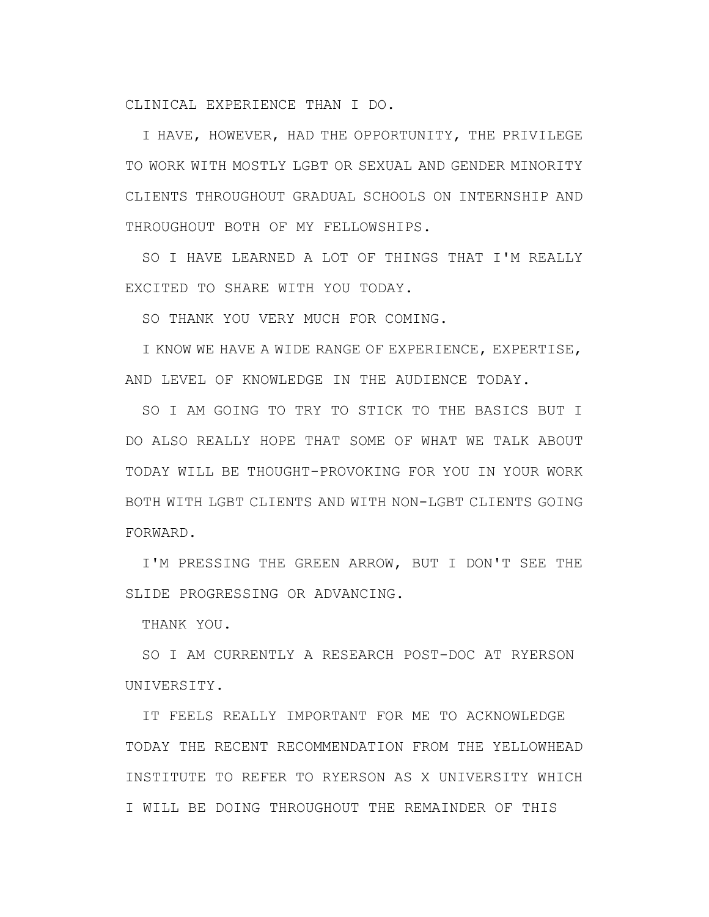CLINICAL EXPERIENCE THAN I DO.

I HAVE, HOWEVER, HAD THE OPPORTUNITY, THE PRIVILEGE TO WORK WITH MOSTLY LGBT OR SEXUAL AND GENDER MINORITY CLIENTS THROUGHOUT GRADUAL SCHOOLS ON INTERNSHIP AND THROUGHOUT BOTH OF MY FELLOWSHIPS.

SO I HAVE LEARNED A LOT OF THINGS THAT I'M REALLY EXCITED TO SHARE WITH YOU TODAY.

SO THANK YOU VERY MUCH FOR COMING.

I KNOW WE HAVE A WIDE RANGE OF EXPERIENCE, EXPERTISE, AND LEVEL OF KNOWLEDGE IN THE AUDIENCE TODAY.

SO I AM GOING TO TRY TO STICK TO THE BASICS BUT I DO ALSO REALLY HOPE THAT SOME OF WHAT WE TALK ABOUT TODAY WILL BE THOUGHT-PROVOKING FOR YOU IN YOUR WORK BOTH WITH LGBT CLIENTS AND WITH NON-LGBT CLIENTS GOING FORWARD.

I'M PRESSING THE GREEN ARROW, BUT I DON'T SEE THE SLIDE PROGRESSING OR ADVANCING.

THANK YOU.

SO I AM CURRENTLY A RESEARCH POST-DOC AT RYERSON UNIVERSITY.

IT FEELS REALLY IMPORTANT FOR ME TO ACKNOWLEDGE TODAY THE RECENT RECOMMENDATION FROM THE YELLOWHEAD INSTITUTE TO REFER TO RYERSON AS X UNIVERSITY WHICH I WILL BE DOING THROUGHOUT THE REMAINDER OF THIS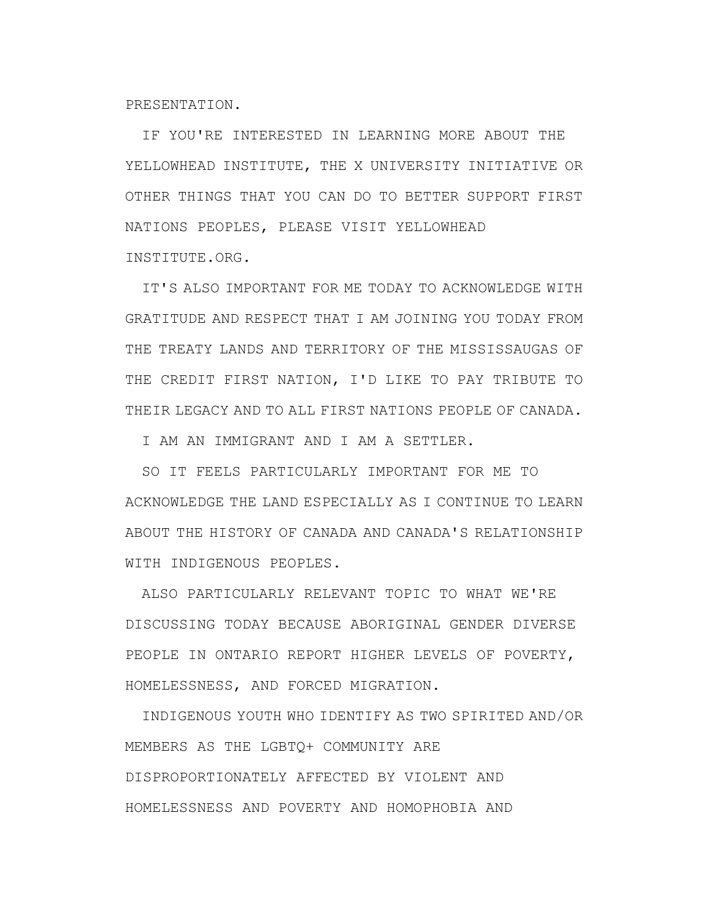PRESENTATION.

IF YOU'RE INTERESTED IN LEARNING MORE ABOUT THE YELLOWHEAD INSTITUTE, THE X UNIVERSITY INITIATIVE OR OTHER THINGS THAT YOU CAN DO TO BETTER SUPPORT FIRST NATIONS PEOPLES, PLEASE VISIT YELLOWHEAD INSTITUTE.ORG.

IT'S ALSO IMPORTANT FOR ME TODAY TO ACKNOWLEDGE WITH GRATITUDE AND RESPECT THAT I AM JOINING YOU TODAY FROM THE TREATY LANDS AND TERRITORY OF THE MISSISSAUGAS OF THE CREDIT FIRST NATION, I'D LIKE TO PAY TRIBUTE TO THEIR LEGACY AND TO ALL FIRST NATIONS PEOPLE OF CANADA.

I AM AN IMMIGRANT AND I AM A SETTLER.

SO IT FEELS PARTICULARLY IMPORTANT FOR ME TO ACKNOWLEDGE THE LAND ESPECIALLY AS I CONTINUE TO LEARN ABOUT THE HISTORY OF CANADA AND CANADA'S RELATIONSHIP WITH INDIGENOUS PEOPLES.

ALSO PARTICULARLY RELEVANT TOPIC TO WHAT WE'RE DISCUSSING TODAY BECAUSE ABORIGINAL GENDER DIVERSE PEOPLE IN ONTARIO REPORT HIGHER LEVELS OF POVERTY, HOMELESSNESS, AND FORCED MIGRATION.

INDIGENOUS YOUTH WHO IDENTIFY AS TWO SPIRITED AND/OR MEMBERS AS THE LGBTQ+ COMMUNITY ARE DISPROPORTIONATELY AFFECTED BY VIOLENT AND HOMELESSNESS AND POVERTY AND HOMOPHOBIA AND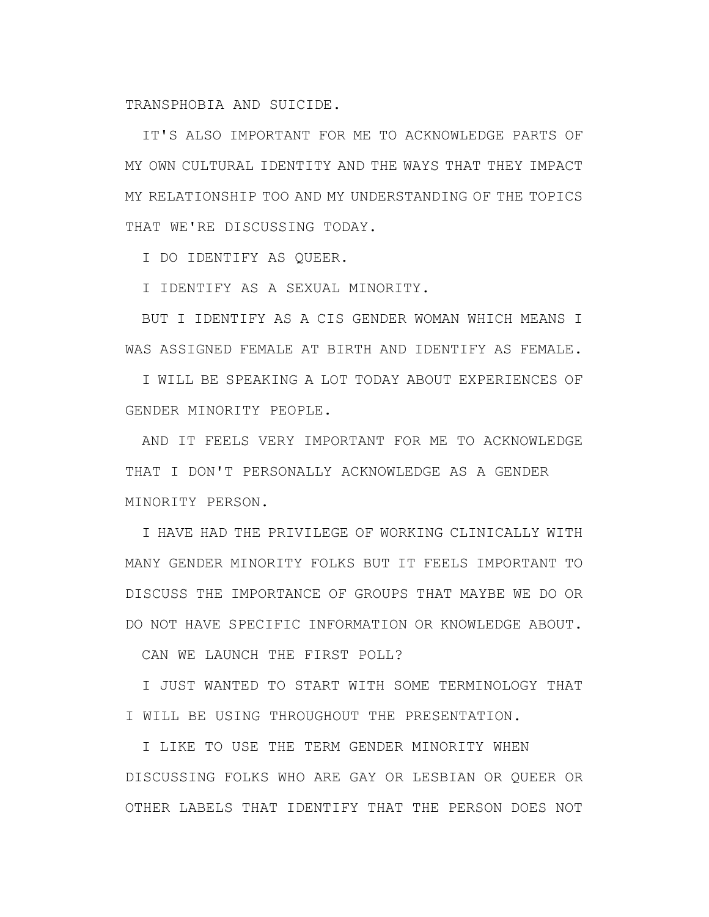TRANSPHOBIA AND SUICIDE.

IT'S ALSO IMPORTANT FOR ME TO ACKNOWLEDGE PARTS OF MY OWN CULTURAL IDENTITY AND THE WAYS THAT THEY IMPACT MY RELATIONSHIP TOO AND MY UNDERSTANDING OF THE TOPICS THAT WE'RE DISCUSSING TODAY.

I DO IDENTIFY AS QUEER.

I IDENTIFY AS A SEXUAL MINORITY.

BUT I IDENTIFY AS A CIS GENDER WOMAN WHICH MEANS I WAS ASSIGNED FEMALE AT BIRTH AND IDENTIFY AS FEMALE.

I WILL BE SPEAKING A LOT TODAY ABOUT EXPERIENCES OF GENDER MINORITY PEOPLE.

AND IT FEELS VERY IMPORTANT FOR ME TO ACKNOWLEDGE THAT I DON'T PERSONALLY ACKNOWLEDGE AS A GENDER MINORITY PERSON.

I HAVE HAD THE PRIVILEGE OF WORKING CLINICALLY WITH MANY GENDER MINORITY FOLKS BUT IT FEELS IMPORTANT TO DISCUSS THE IMPORTANCE OF GROUPS THAT MAYBE WE DO OR DO NOT HAVE SPECIFIC INFORMATION OR KNOWLEDGE ABOUT.

CAN WE LAUNCH THE FIRST POLL?

I JUST WANTED TO START WITH SOME TERMINOLOGY THAT I WILL BE USING THROUGHOUT THE PRESENTATION.

I LIKE TO USE THE TERM GENDER MINORITY WHEN DISCUSSING FOLKS WHO ARE GAY OR LESBIAN OR QUEER OR OTHER LABELS THAT IDENTIFY THAT THE PERSON DOES NOT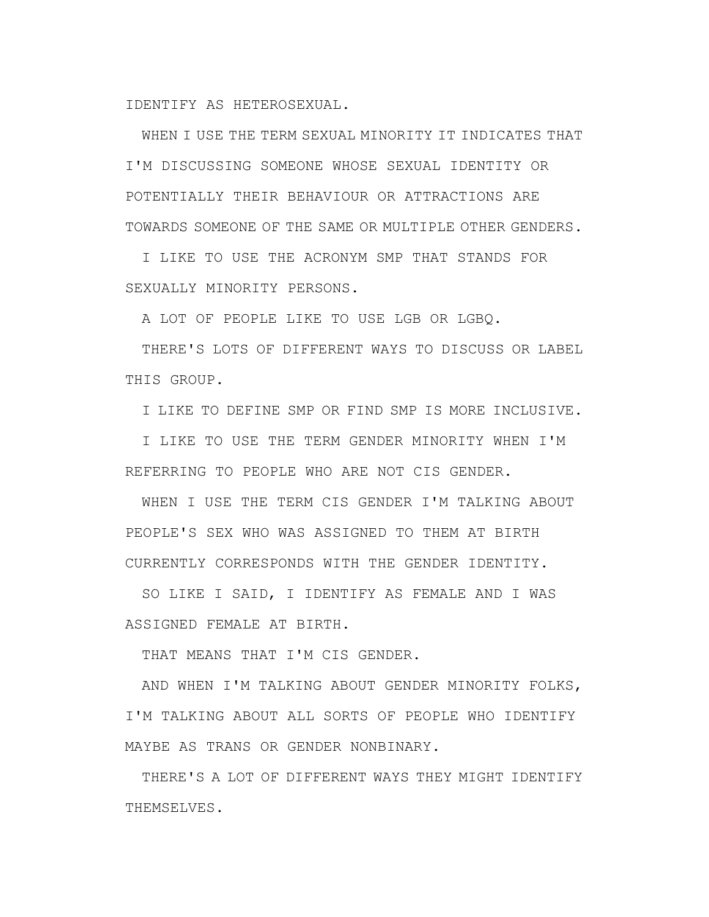IDENTIFY AS HETEROSEXUAL.

WHEN I USE THE TERM SEXUAL MINORITY IT INDICATES THAT I'M DISCUSSING SOMEONE WHOSE SEXUAL IDENTITY OR POTENTIALLY THEIR BEHAVIOUR OR ATTRACTIONS ARE TOWARDS SOMEONE OF THE SAME OR MULTIPLE OTHER GENDERS.

I LIKE TO USE THE ACRONYM SMP THAT STANDS FOR SEXUALLY MINORITY PERSONS.

A LOT OF PEOPLE LIKE TO USE LGB OR LGBQ.

THERE'S LOTS OF DIFFERENT WAYS TO DISCUSS OR LABEL THIS GROUP.

I LIKE TO DEFINE SMP OR FIND SMP IS MORE INCLUSIVE.

I LIKE TO USE THE TERM GENDER MINORITY WHEN I'M REFERRING TO PEOPLE WHO ARE NOT CIS GENDER.

WHEN I USE THE TERM CIS GENDER I'M TALKING ABOUT PEOPLE'S SEX WHO WAS ASSIGNED TO THEM AT BIRTH CURRENTLY CORRESPONDS WITH THE GENDER IDENTITY.

SO LIKE I SAID, I IDENTIFY AS FEMALE AND I WAS ASSIGNED FEMALE AT BIRTH.

THAT MEANS THAT I'M CIS GENDER.

AND WHEN I'M TALKING ABOUT GENDER MINORITY FOLKS, I'M TALKING ABOUT ALL SORTS OF PEOPLE WHO IDENTIFY MAYBE AS TRANS OR GENDER NONBINARY.

THERE'S A LOT OF DIFFERENT WAYS THEY MIGHT IDENTIFY THEMSELVES.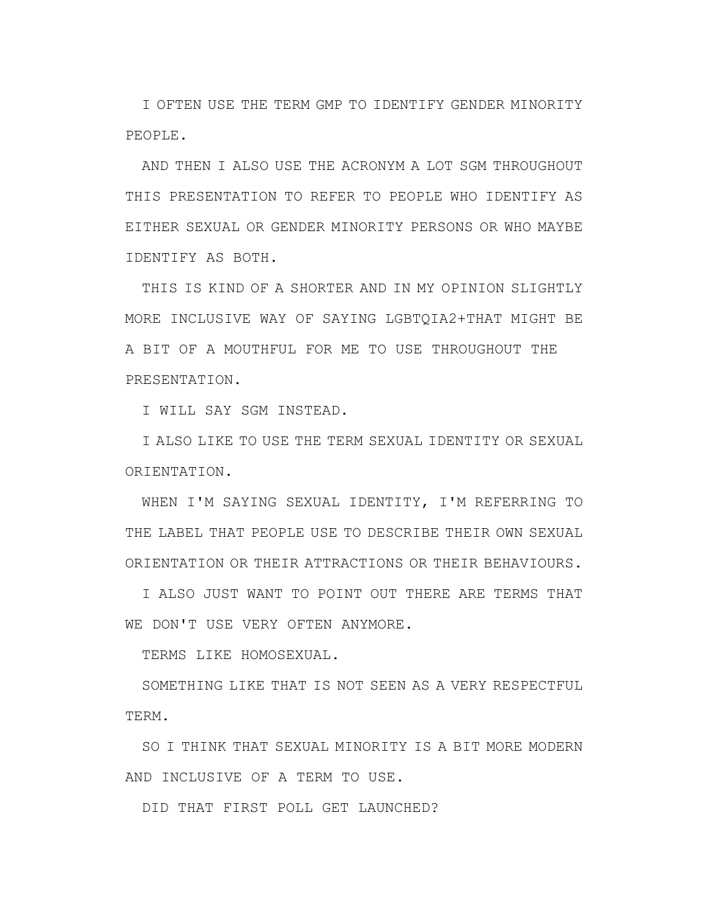I OFTEN USE THE TERM GMP TO IDENTIFY GENDER MINORITY PEOPLE.

AND THEN I ALSO USE THE ACRONYM A LOT SGM THROUGHOUT THIS PRESENTATION TO REFER TO PEOPLE WHO IDENTIFY AS EITHER SEXUAL OR GENDER MINORITY PERSONS OR WHO MAYBE IDENTIFY AS BOTH.

THIS IS KIND OF A SHORTER AND IN MY OPINION SLIGHTLY MORE INCLUSIVE WAY OF SAYING LGBTQIA2+THAT MIGHT BE A BIT OF A MOUTHFUL FOR ME TO USE THROUGHOUT THE PRESENTATION.

I WILL SAY SGM INSTEAD.

I ALSO LIKE TO USE THE TERM SEXUAL IDENTITY OR SEXUAL ORIENTATION.

WHEN I'M SAYING SEXUAL IDENTITY, I'M REFERRING TO THE LABEL THAT PEOPLE USE TO DESCRIBE THEIR OWN SEXUAL ORIENTATION OR THEIR ATTRACTIONS OR THEIR BEHAVIOURS.

I ALSO JUST WANT TO POINT OUT THERE ARE TERMS THAT WE DON'T USE VERY OFTEN ANYMORE.

TERMS LIKE HOMOSEXUAL.

SOMETHING LIKE THAT IS NOT SEEN AS A VERY RESPECTFUL TERM.

SO I THINK THAT SEXUAL MINORITY IS A BIT MORE MODERN AND INCLUSIVE OF A TERM TO USE.

DID THAT FIRST POLL GET LAUNCHED?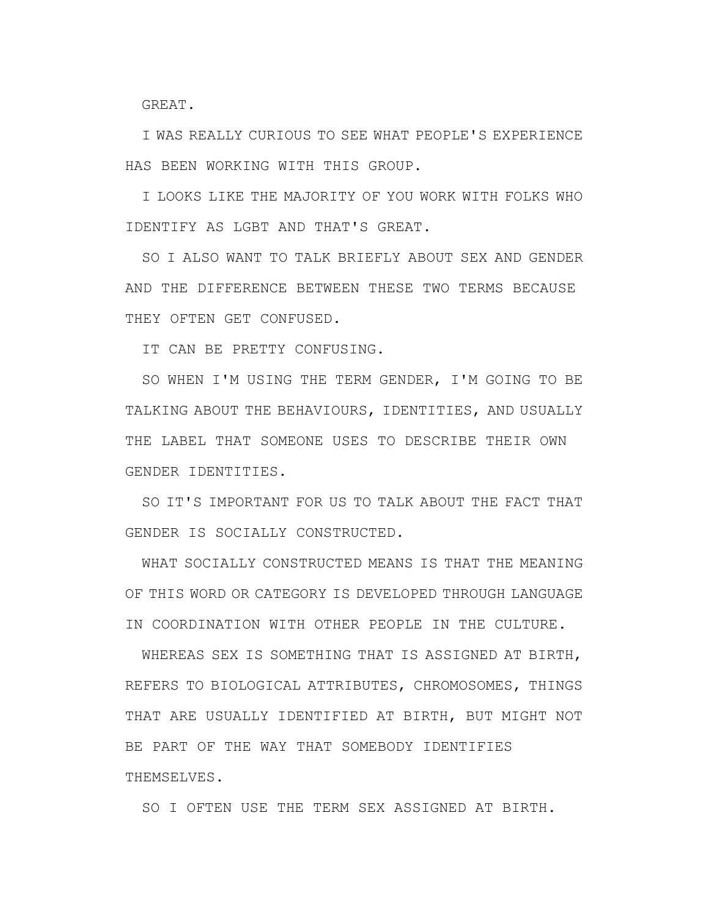GREAT.

I WAS REALLY CURIOUS TO SEE WHAT PEOPLE'S EXPERIENCE HAS BEEN WORKING WITH THIS GROUP.

I LOOKS LIKE THE MAJORITY OF YOU WORK WITH FOLKS WHO IDENTIFY AS LGBT AND THAT'S GREAT.

SO I ALSO WANT TO TALK BRIEFLY ABOUT SEX AND GENDER AND THE DIFFERENCE BETWEEN THESE TWO TERMS BECAUSE THEY OFTEN GET CONFUSED.

IT CAN BE PRETTY CONFUSING.

SO WHEN I'M USING THE TERM GENDER, I'M GOING TO BE TALKING ABOUT THE BEHAVIOURS, IDENTITIES, AND USUALLY THE LABEL THAT SOMEONE USES TO DESCRIBE THEIR OWN GENDER IDENTITIES.

SO IT'S IMPORTANT FOR US TO TALK ABOUT THE FACT THAT GENDER IS SOCIALLY CONSTRUCTED.

WHAT SOCIALLY CONSTRUCTED MEANS IS THAT THE MEANING OF THIS WORD OR CATEGORY IS DEVELOPED THROUGH LANGUAGE IN COORDINATION WITH OTHER PEOPLE IN THE CULTURE.

WHEREAS SEX IS SOMETHING THAT IS ASSIGNED AT BIRTH, REFERS TO BIOLOGICAL ATTRIBUTES, CHROMOSOMES, THINGS THAT ARE USUALLY IDENTIFIED AT BIRTH, BUT MIGHT NOT BE PART OF THE WAY THAT SOMEBODY IDENTIFIES THEMSELVES.

SO I OFTEN USE THE TERM SEX ASSIGNED AT BIRTH.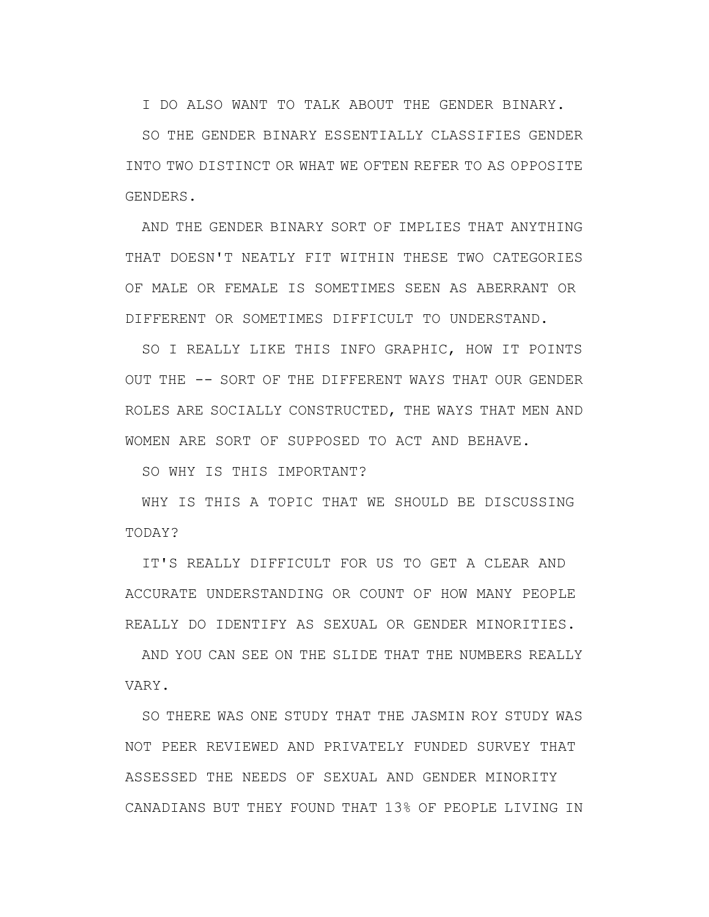I DO ALSO WANT TO TALK ABOUT THE GENDER BINARY.

SO THE GENDER BINARY ESSENTIALLY CLASSIFIES GENDER INTO TWO DISTINCT OR WHAT WE OFTEN REFER TO AS OPPOSITE GENDERS.

AND THE GENDER BINARY SORT OF IMPLIES THAT ANYTHING THAT DOESN'T NEATLY FIT WITHIN THESE TWO CATEGORIES OF MALE OR FEMALE IS SOMETIMES SEEN AS ABERRANT OR DIFFERENT OR SOMETIMES DIFFICULT TO UNDERSTAND.

SO I REALLY LIKE THIS INFO GRAPHIC, HOW IT POINTS OUT THE -- SORT OF THE DIFFERENT WAYS THAT OUR GENDER ROLES ARE SOCIALLY CONSTRUCTED, THE WAYS THAT MEN AND WOMEN ARE SORT OF SUPPOSED TO ACT AND BEHAVE.

SO WHY IS THIS IMPORTANT?

WHY IS THIS A TOPIC THAT WE SHOULD BE DISCUSSING TODAY?

IT'S REALLY DIFFICULT FOR US TO GET A CLEAR AND ACCURATE UNDERSTANDING OR COUNT OF HOW MANY PEOPLE REALLY DO IDENTIFY AS SEXUAL OR GENDER MINORITIES.

AND YOU CAN SEE ON THE SLIDE THAT THE NUMBERS REALLY VARY.

SO THERE WAS ONE STUDY THAT THE JASMIN ROY STUDY WAS NOT PEER REVIEWED AND PRIVATELY FUNDED SURVEY THAT ASSESSED THE NEEDS OF SEXUAL AND GENDER MINORITY CANADIANS BUT THEY FOUND THAT 13% OF PEOPLE LIVING IN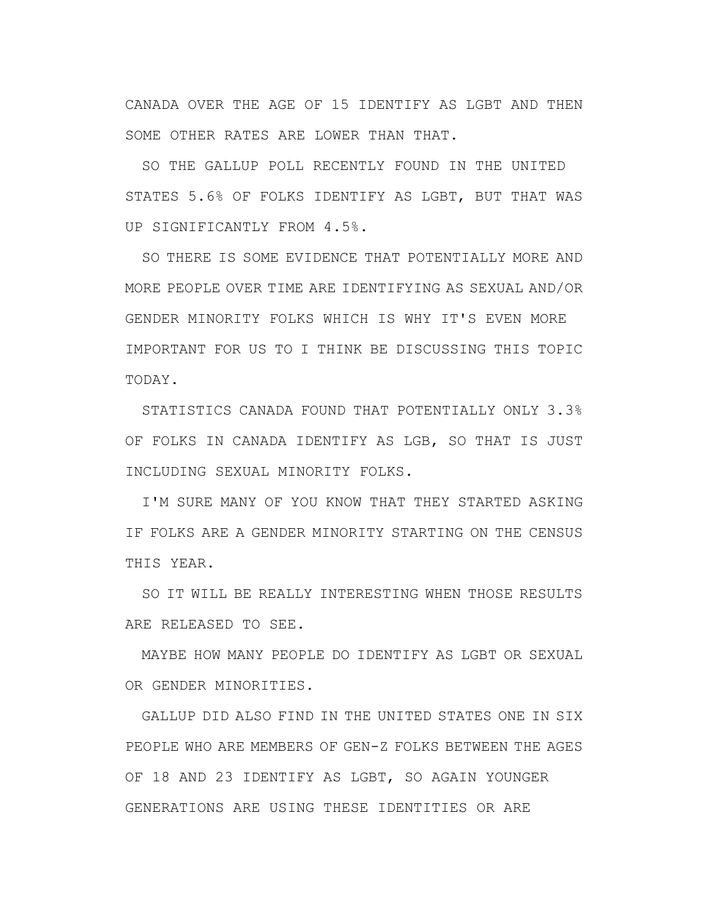CANADA OVER THE AGE OF 15 IDENTIFY AS LGBT AND THEN SOME OTHER RATES ARE LOWER THAN THAT.

SO THE GALLUP POLL RECENTLY FOUND IN THE UNITED STATES 5.6% OF FOLKS IDENTIFY AS LGBT, BUT THAT WAS UP SIGNIFICANTLY FROM 4.5%.

SO THERE IS SOME EVIDENCE THAT POTENTIALLY MORE AND MORE PEOPLE OVER TIME ARE IDENTIFYING AS SEXUAL AND/OR GENDER MINORITY FOLKS WHICH IS WHY IT'S EVEN MORE IMPORTANT FOR US TO I THINK BE DISCUSSING THIS TOPIC TODAY.

STATISTICS CANADA FOUND THAT POTENTIALLY ONLY 3.3% OF FOLKS IN CANADA IDENTIFY AS LGB, SO THAT IS JUST INCLUDING SEXUAL MINORITY FOLKS.

I'M SURE MANY OF YOU KNOW THAT THEY STARTED ASKING IF FOLKS ARE A GENDER MINORITY STARTING ON THE CENSUS THIS YEAR.

SO IT WILL BE REALLY INTERESTING WHEN THOSE RESULTS ARE RELEASED TO SEE.

MAYBE HOW MANY PEOPLE DO IDENTIFY AS LGBT OR SEXUAL OR GENDER MINORITIES.

GALLUP DID ALSO FIND IN THE UNITED STATES ONE IN SIX PEOPLE WHO ARE MEMBERS OF GEN-Z FOLKS BETWEEN THE AGES OF 18 AND 23 IDENTIFY AS LGBT, SO AGAIN YOUNGER GENERATIONS ARE USING THESE IDENTITIES OR ARE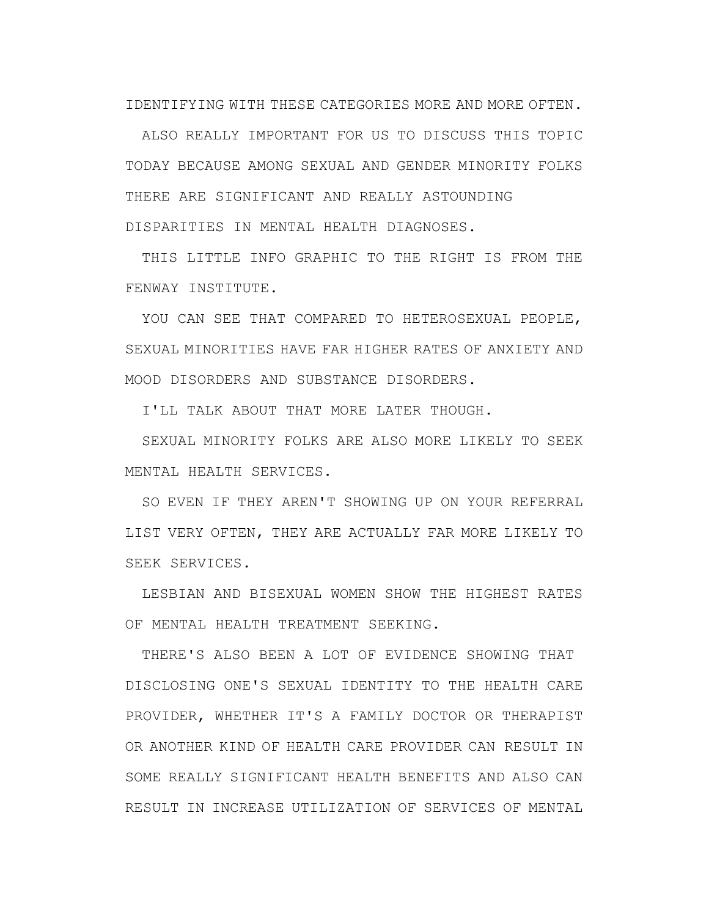IDENTIFYING WITH THESE CATEGORIES MORE AND MORE OFTEN.

ALSO REALLY IMPORTANT FOR US TO DISCUSS THIS TOPIC TODAY BECAUSE AMONG SEXUAL AND GENDER MINORITY FOLKS THERE ARE SIGNIFICANT AND REALLY ASTOUNDING DISPARITIES IN MENTAL HEALTH DIAGNOSES.

THIS LITTLE INFO GRAPHIC TO THE RIGHT IS FROM THE FENWAY INSTITUTE.

YOU CAN SEE THAT COMPARED TO HETEROSEXUAL PEOPLE, SEXUAL MINORITIES HAVE FAR HIGHER RATES OF ANXIETY AND MOOD DISORDERS AND SUBSTANCE DISORDERS.

I'LL TALK ABOUT THAT MORE LATER THOUGH.

SEXUAL MINORITY FOLKS ARE ALSO MORE LIKELY TO SEEK MENTAL HEALTH SERVICES.

SO EVEN IF THEY AREN'T SHOWING UP ON YOUR REFERRAL LIST VERY OFTEN, THEY ARE ACTUALLY FAR MORE LIKELY TO SEEK SERVICES.

LESBIAN AND BISEXUAL WOMEN SHOW THE HIGHEST RATES OF MENTAL HEALTH TREATMENT SEEKING.

THERE'S ALSO BEEN A LOT OF EVIDENCE SHOWING THAT DISCLOSING ONE'S SEXUAL IDENTITY TO THE HEALTH CARE PROVIDER, WHETHER IT'S A FAMILY DOCTOR OR THERAPIST OR ANOTHER KIND OF HEALTH CARE PROVIDER CAN RESULT IN SOME REALLY SIGNIFICANT HEALTH BENEFITS AND ALSO CAN RESULT IN INCREASE UTILIZATION OF SERVICES OF MENTAL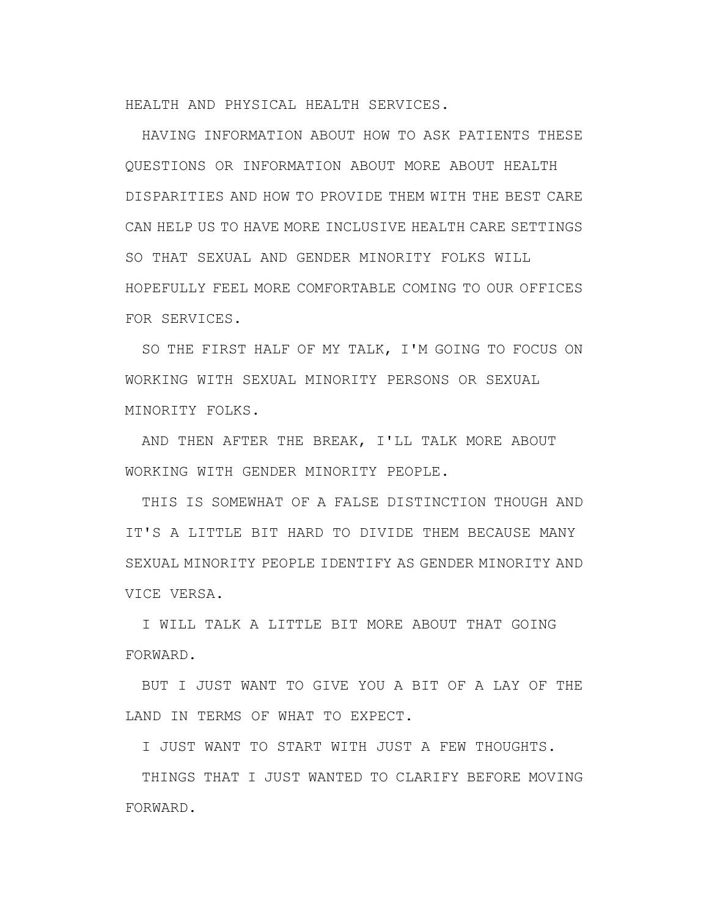HEALTH AND PHYSICAL HEALTH SERVICES.

HAVING INFORMATION ABOUT HOW TO ASK PATIENTS THESE QUESTIONS OR INFORMATION ABOUT MORE ABOUT HEALTH DISPARITIES AND HOW TO PROVIDE THEM WITH THE BEST CARE CAN HELP US TO HAVE MORE INCLUSIVE HEALTH CARE SETTINGS SO THAT SEXUAL AND GENDER MINORITY FOLKS WILL HOPEFULLY FEEL MORE COMFORTABLE COMING TO OUR OFFICES FOR SERVICES.

SO THE FIRST HALF OF MY TALK, I'M GOING TO FOCUS ON WORKING WITH SEXUAL MINORITY PERSONS OR SEXUAL MINORITY FOLKS.

AND THEN AFTER THE BREAK, I'LL TALK MORE ABOUT WORKING WITH GENDER MINORITY PEOPLE.

THIS IS SOMEWHAT OF A FALSE DISTINCTION THOUGH AND IT'S A LITTLE BIT HARD TO DIVIDE THEM BECAUSE MANY SEXUAL MINORITY PEOPLE IDENTIFY AS GENDER MINORITY AND VICE VERSA.

I WILL TALK A LITTLE BIT MORE ABOUT THAT GOING FORWARD.

BUT I JUST WANT TO GIVE YOU A BIT OF A LAY OF THE LAND IN TERMS OF WHAT TO EXPECT.

I JUST WANT TO START WITH JUST A FEW THOUGHTS.

THINGS THAT I JUST WANTED TO CLARIFY BEFORE MOVING FORWARD.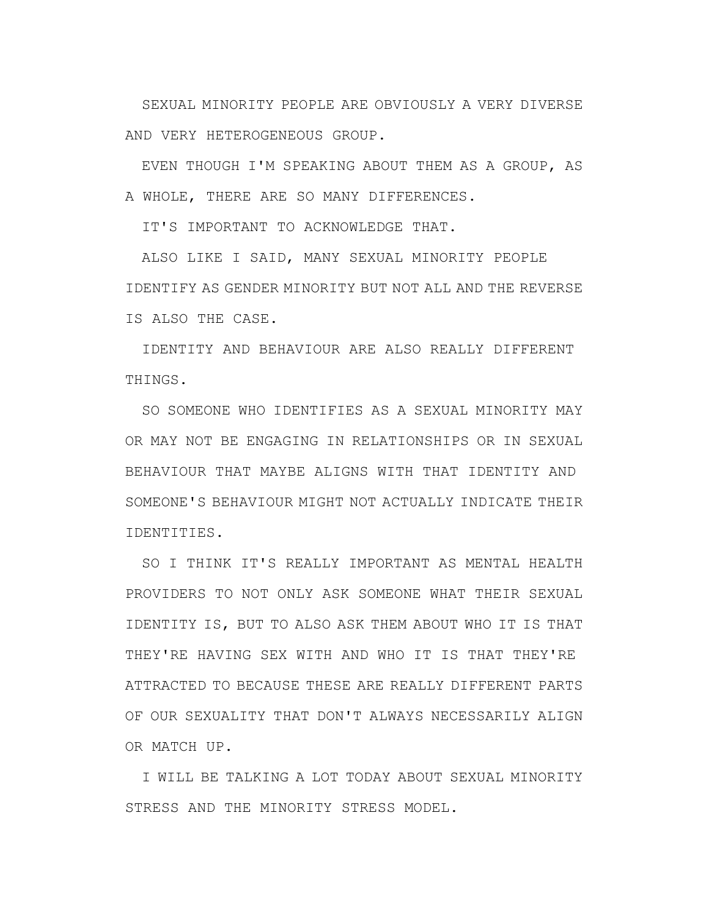SEXUAL MINORITY PEOPLE ARE OBVIOUSLY A VERY DIVERSE AND VERY HETEROGENEOUS GROUP.

EVEN THOUGH I'M SPEAKING ABOUT THEM AS A GROUP, AS A WHOLE, THERE ARE SO MANY DIFFERENCES.

IT'S IMPORTANT TO ACKNOWLEDGE THAT.

ALSO LIKE I SAID, MANY SEXUAL MINORITY PEOPLE IDENTIFY AS GENDER MINORITY BUT NOT ALL AND THE REVERSE IS ALSO THE CASE.

IDENTITY AND BEHAVIOUR ARE ALSO REALLY DIFFERENT THINGS.

SO SOMEONE WHO IDENTIFIES AS A SEXUAL MINORITY MAY OR MAY NOT BE ENGAGING IN RELATIONSHIPS OR IN SEXUAL BEHAVIOUR THAT MAYBE ALIGNS WITH THAT IDENTITY AND SOMEONE'S BEHAVIOUR MIGHT NOT ACTUALLY INDICATE THEIR IDENTITIES.

SO I THINK IT'S REALLY IMPORTANT AS MENTAL HEALTH PROVIDERS TO NOT ONLY ASK SOMEONE WHAT THEIR SEXUAL IDENTITY IS, BUT TO ALSO ASK THEM ABOUT WHO IT IS THAT THEY'RE HAVING SEX WITH AND WHO IT IS THAT THEY'RE ATTRACTED TO BECAUSE THESE ARE REALLY DIFFERENT PARTS OF OUR SEXUALITY THAT DON'T ALWAYS NECESSARILY ALIGN OR MATCH UP.

I WILL BE TALKING A LOT TODAY ABOUT SEXUAL MINORITY STRESS AND THE MINORITY STRESS MODEL.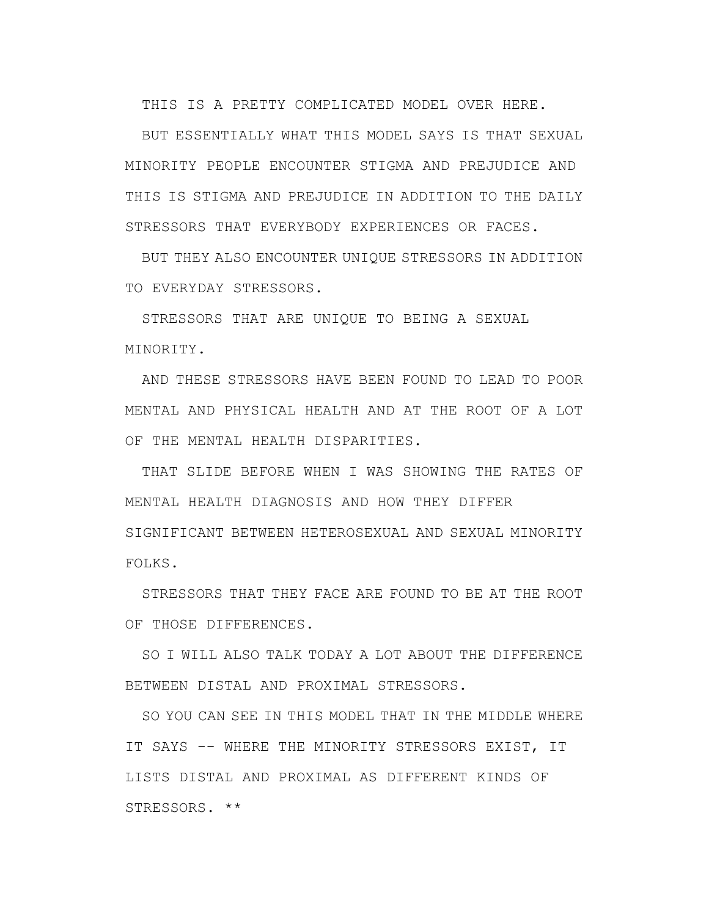THIS IS A PRETTY COMPLICATED MODEL OVER HERE.

BUT ESSENTIALLY WHAT THIS MODEL SAYS IS THAT SEXUAL MINORITY PEOPLE ENCOUNTER STIGMA AND PREJUDICE AND THIS IS STIGMA AND PREJUDICE IN ADDITION TO THE DAILY STRESSORS THAT EVERYBODY EXPERIENCES OR FACES.

BUT THEY ALSO ENCOUNTER UNIQUE STRESSORS IN ADDITION TO EVERYDAY STRESSORS.

STRESSORS THAT ARE UNIQUE TO BEING A SEXUAL MINORITY.

AND THESE STRESSORS HAVE BEEN FOUND TO LEAD TO POOR MENTAL AND PHYSICAL HEALTH AND AT THE ROOT OF A LOT OF THE MENTAL HEALTH DISPARITIES.

THAT SLIDE BEFORE WHEN I WAS SHOWING THE RATES OF MENTAL HEALTH DIAGNOSIS AND HOW THEY DIFFER SIGNIFICANT BETWEEN HETEROSEXUAL AND SEXUAL MINORITY FOLKS.

STRESSORS THAT THEY FACE ARE FOUND TO BE AT THE ROOT OF THOSE DIFFERENCES.

SO I WILL ALSO TALK TODAY A LOT ABOUT THE DIFFERENCE BETWEEN DISTAL AND PROXIMAL STRESSORS.

SO YOU CAN SEE IN THIS MODEL THAT IN THE MIDDLE WHERE IT SAYS -- WHERE THE MINORITY STRESSORS EXIST, IT LISTS DISTAL AND PROXIMAL AS DIFFERENT KINDS OF STRESSORS. \*\*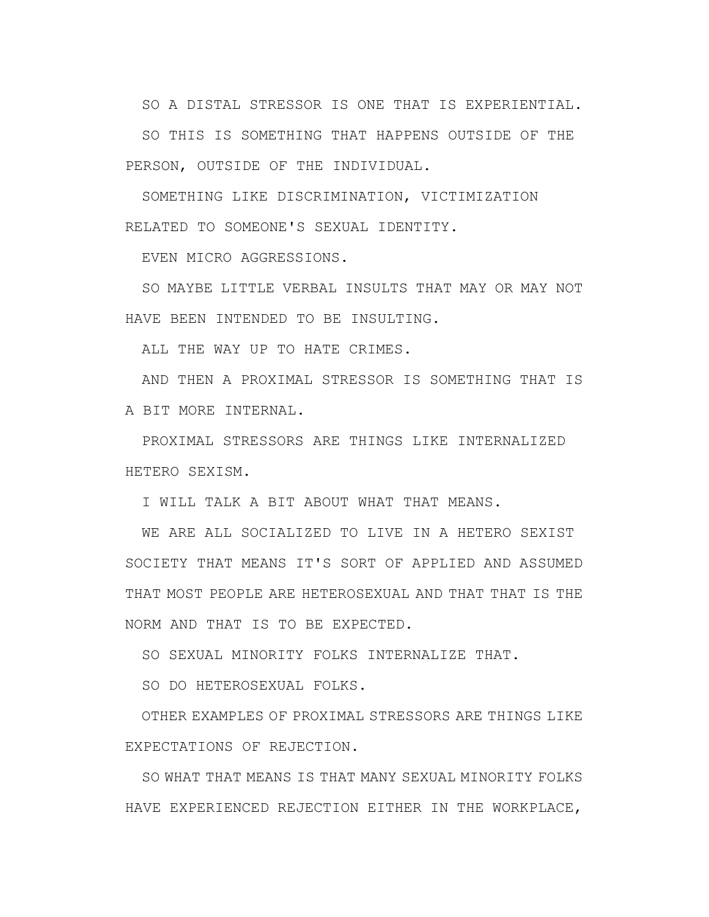SO A DISTAL STRESSOR IS ONE THAT IS EXPERIENTIAL.

SO THIS IS SOMETHING THAT HAPPENS OUTSIDE OF THE PERSON, OUTSIDE OF THE INDIVIDUAL.

SOMETHING LIKE DISCRIMINATION, VICTIMIZATION RELATED TO SOMEONE'S SEXUAL IDENTITY.

EVEN MICRO AGGRESSIONS.

SO MAYBE LITTLE VERBAL INSULTS THAT MAY OR MAY NOT HAVE BEEN INTENDED TO BE INSULTING.

ALL THE WAY UP TO HATE CRIMES.

AND THEN A PROXIMAL STRESSOR IS SOMETHING THAT IS A BIT MORE INTERNAL.

PROXIMAL STRESSORS ARE THINGS LIKE INTERNALIZED HETERO SEXISM.

I WILL TALK A BIT ABOUT WHAT THAT MEANS.

WE ARE ALL SOCIALIZED TO LIVE IN A HETERO SEXIST SOCIETY THAT MEANS IT'S SORT OF APPLIED AND ASSUMED THAT MOST PEOPLE ARE HETEROSEXUAL AND THAT THAT IS THE NORM AND THAT IS TO BE EXPECTED.

SO SEXUAL MINORITY FOLKS INTERNALIZE THAT.

SO DO HETEROSEXUAL FOLKS.

OTHER EXAMPLES OF PROXIMAL STRESSORS ARE THINGS LIKE EXPECTATIONS OF REJECTION.

SO WHAT THAT MEANS IS THAT MANY SEXUAL MINORITY FOLKS HAVE EXPERIENCED REJECTION EITHER IN THE WORKPLACE,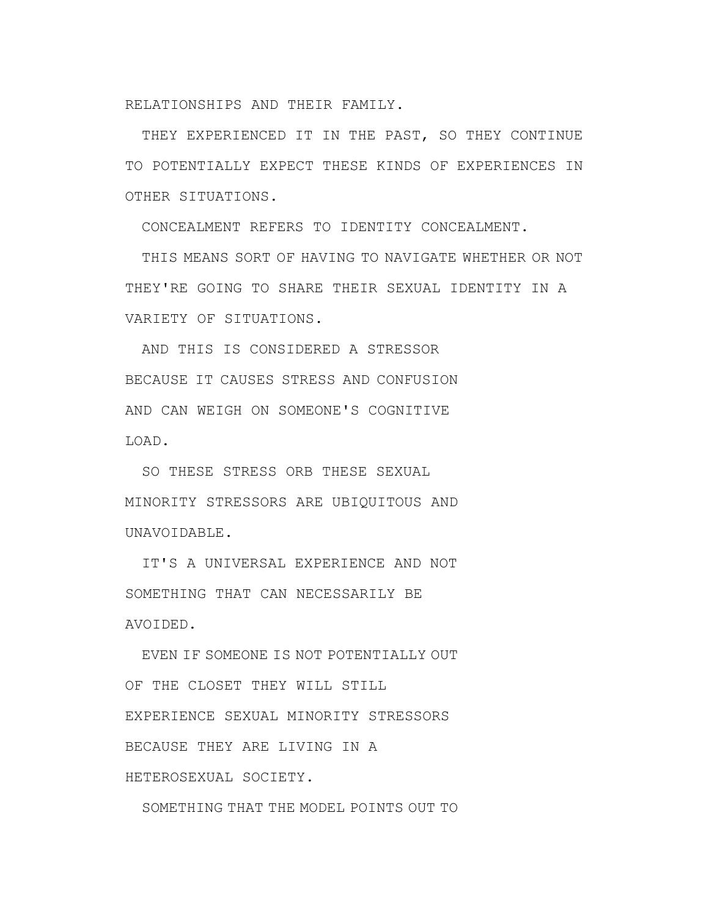RELATIONSHIPS AND THEIR FAMILY.

THEY EXPERIENCED IT IN THE PAST, SO THEY CONTINUE TO POTENTIALLY EXPECT THESE KINDS OF EXPERIENCES IN OTHER SITUATIONS.

CONCEALMENT REFERS TO IDENTITY CONCEALMENT.

THIS MEANS SORT OF HAVING TO NAVIGATE WHETHER OR NOT THEY'RE GOING TO SHARE THEIR SEXUAL IDENTITY IN A VARIETY OF SITUATIONS.

AND THIS IS CONSIDERED A STRESSOR BECAUSE IT CAUSES STRESS AND CONFUSION AND CAN WEIGH ON SOMEONE'S COGNITIVE LOAD.

SO THESE STRESS ORB THESE SEXUAL MINORITY STRESSORS ARE UBIQUITOUS AND UNAVOIDABLE.

IT'S A UNIVERSAL EXPERIENCE AND NOT SOMETHING THAT CAN NECESSARILY BE AVOIDED.

EVEN IF SOMEONE IS NOT POTENTIALLY OUT OF THE CLOSET THEY WILL STILL EXPERIENCE SEXUAL MINORITY STRESSORS BECAUSE THEY ARE LIVING IN A HETEROSEXUAL SOCIETY.

SOMETHING THAT THE MODEL POINTS OUT TO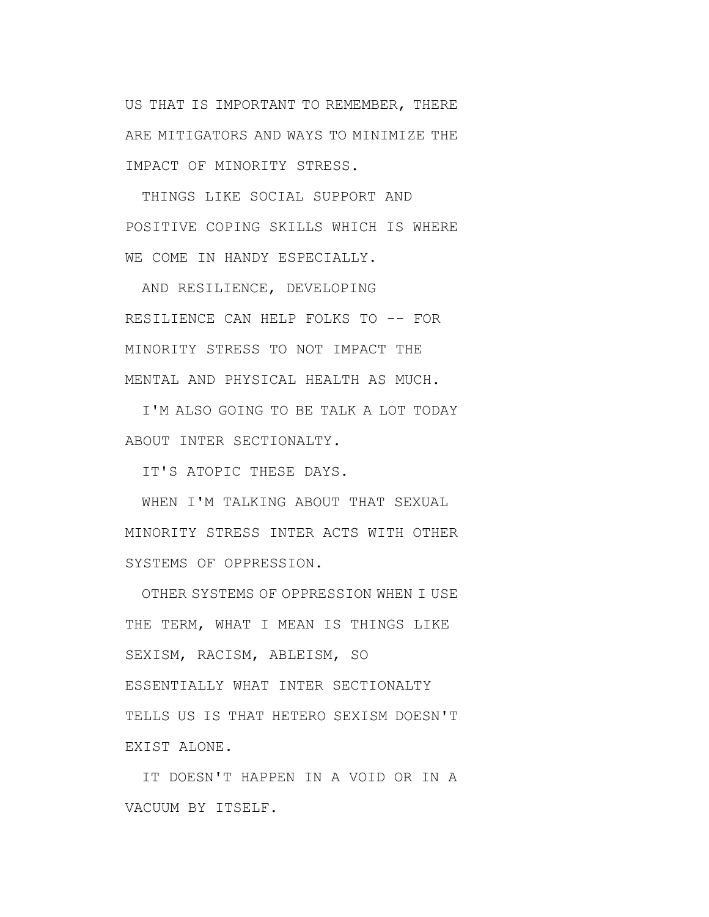US THAT IS IMPORTANT TO REMEMBER, THERE ARE MITIGATORS AND WAYS TO MINIMIZE THE IMPACT OF MINORITY STRESS.

THINGS LIKE SOCIAL SUPPORT AND POSITIVE COPING SKILLS WHICH IS WHERE WE COME IN HANDY ESPECIALLY.

AND RESILIENCE, DEVELOPING RESILIENCE CAN HELP FOLKS TO -- FOR MINORITY STRESS TO NOT IMPACT THE MENTAL AND PHYSICAL HEALTH AS MUCH.

I'M ALSO GOING TO BE TALK A LOT TODAY ABOUT INTER SECTIONALTY.

IT'S ATOPIC THESE DAYS.

WHEN I'M TALKING ABOUT THAT SEXUAL MINORITY STRESS INTER ACTS WITH OTHER SYSTEMS OF OPPRESSION.

OTHER SYSTEMS OF OPPRESSION WHEN I USE THE TERM, WHAT I MEAN IS THINGS LIKE SEXISM, RACISM, ABLEISM, SO ESSENTIALLY WHAT INTER SECTIONALTY TELLS US IS THAT HETERO SEXISM DOESN'T EXIST ALONE.

IT DOESN'T HAPPEN IN A VOID OR IN A VACUUM BY ITSELF.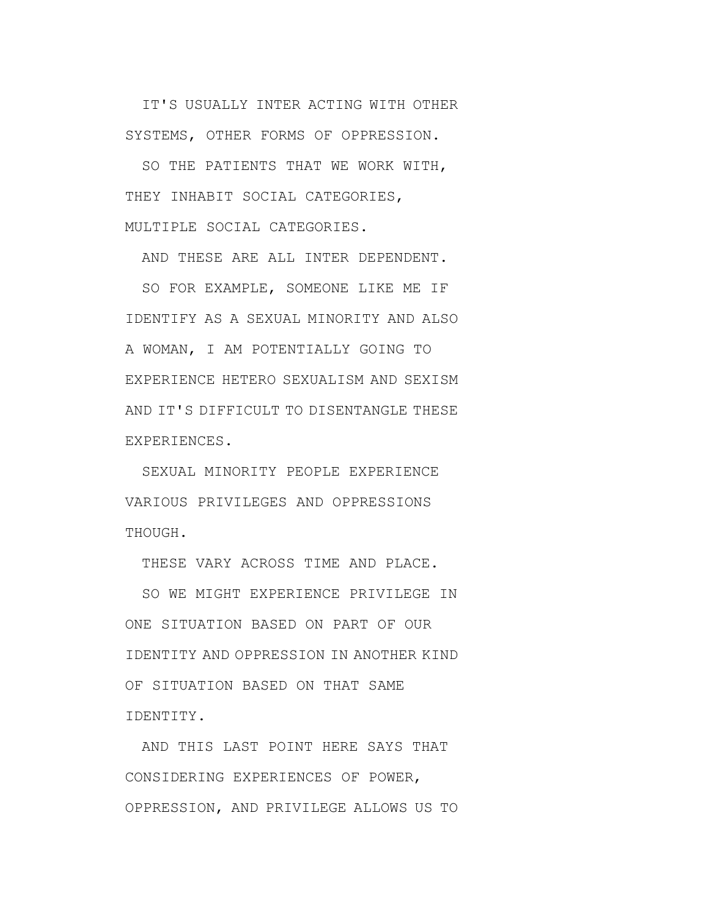IT'S USUALLY INTER ACTING WITH OTHER SYSTEMS, OTHER FORMS OF OPPRESSION.

SO THE PATIENTS THAT WE WORK WITH, THEY INHABIT SOCIAL CATEGORIES, MULTIPLE SOCIAL CATEGORIES.

AND THESE ARE ALL INTER DEPENDENT.

SO FOR EXAMPLE, SOMEONE LIKE ME IF IDENTIFY AS A SEXUAL MINORITY AND ALSO A WOMAN, I AM POTENTIALLY GOING TO EXPERIENCE HETERO SEXUALISM AND SEXISM AND IT'S DIFFICULT TO DISENTANGLE THESE EXPERIENCES.

SEXUAL MINORITY PEOPLE EXPERIENCE VARIOUS PRIVILEGES AND OPPRESSIONS THOUGH.

THESE VARY ACROSS TIME AND PLACE.

SO WE MIGHT EXPERIENCE PRIVILEGE IN ONE SITUATION BASED ON PART OF OUR IDENTITY AND OPPRESSION IN ANOTHER KIND OF SITUATION BASED ON THAT SAME IDENTITY.

AND THIS LAST POINT HERE SAYS THAT CONSIDERING EXPERIENCES OF POWER, OPPRESSION, AND PRIVILEGE ALLOWS US TO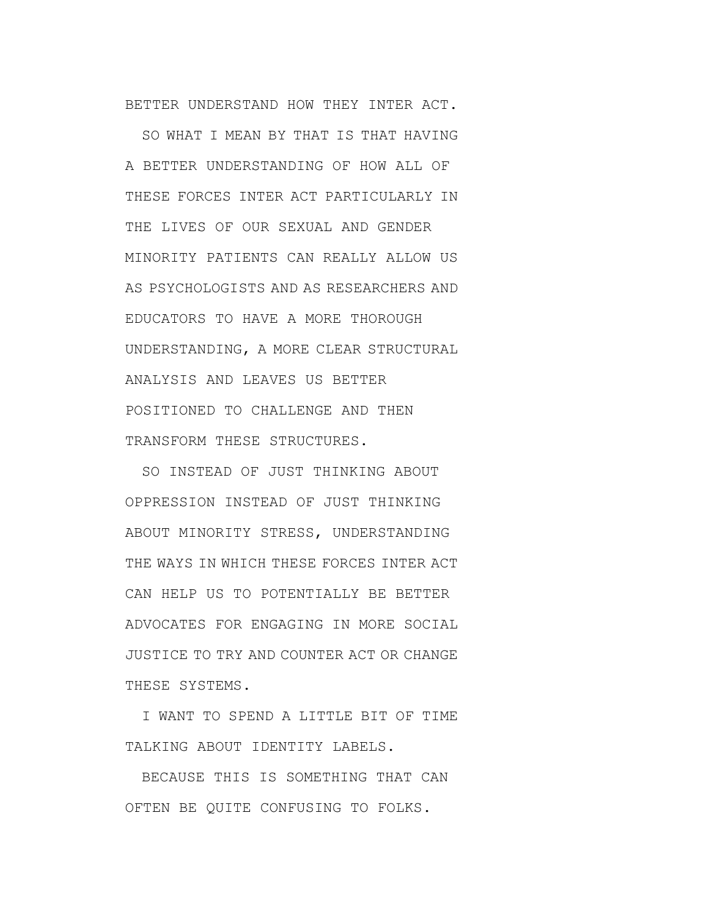BETTER UNDERSTAND HOW THEY INTER ACT.

SO WHAT I MEAN BY THAT IS THAT HAVING A BETTER UNDERSTANDING OF HOW ALL OF THESE FORCES INTER ACT PARTICULARLY IN THE LIVES OF OUR SEXUAL AND GENDER MINORITY PATIENTS CAN REALLY ALLOW US AS PSYCHOLOGISTS AND AS RESEARCHERS AND EDUCATORS TO HAVE A MORE THOROUGH UNDERSTANDING, A MORE CLEAR STRUCTURAL ANALYSIS AND LEAVES US BETTER POSITIONED TO CHALLENGE AND THEN TRANSFORM THESE STRUCTURES.

SO INSTEAD OF JUST THINKING ABOUT OPPRESSION INSTEAD OF JUST THINKING ABOUT MINORITY STRESS, UNDERSTANDING THE WAYS IN WHICH THESE FORCES INTER ACT CAN HELP US TO POTENTIALLY BE BETTER ADVOCATES FOR ENGAGING IN MORE SOCIAL JUSTICE TO TRY AND COUNTER ACT OR CHANGE THESE SYSTEMS.

I WANT TO SPEND A LITTLE BIT OF TIME TALKING ABOUT IDENTITY LABELS.

BECAUSE THIS IS SOMETHING THAT CAN OFTEN BE QUITE CONFUSING TO FOLKS.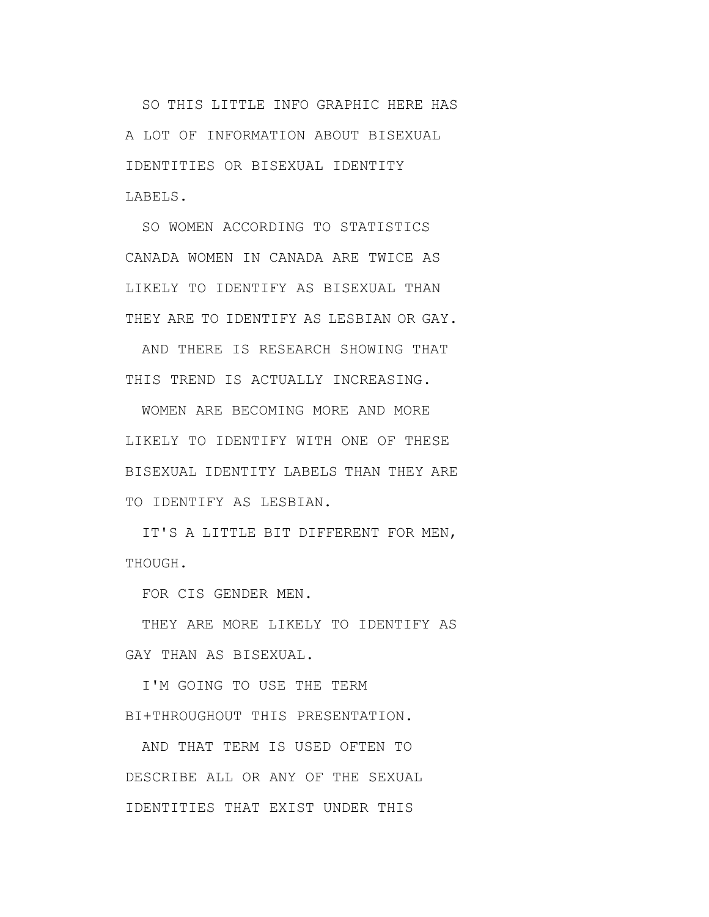SO THIS LITTLE INFO GRAPHIC HERE HAS A LOT OF INFORMATION ABOUT BISEXUAL IDENTITIES OR BISEXUAL IDENTITY LABELS.

SO WOMEN ACCORDING TO STATISTICS CANADA WOMEN IN CANADA ARE TWICE AS LIKELY TO IDENTIFY AS BISEXUAL THAN THEY ARE TO IDENTIFY AS LESBIAN OR GAY.

AND THERE IS RESEARCH SHOWING THAT THIS TREND IS ACTUALLY INCREASING.

WOMEN ARE BECOMING MORE AND MORE LIKELY TO IDENTIFY WITH ONE OF THESE BISEXUAL IDENTITY LABELS THAN THEY ARE TO IDENTIFY AS LESBIAN.

IT'S A LITTLE BIT DIFFERENT FOR MEN, THOUGH.

FOR CIS GENDER MEN.

THEY ARE MORE LIKELY TO IDENTIFY AS GAY THAN AS BISEXUAL.

I'M GOING TO USE THE TERM BI+THROUGHOUT THIS PRESENTATION.

AND THAT TERM IS USED OFTEN TO DESCRIBE ALL OR ANY OF THE SEXUAL IDENTITIES THAT EXIST UNDER THIS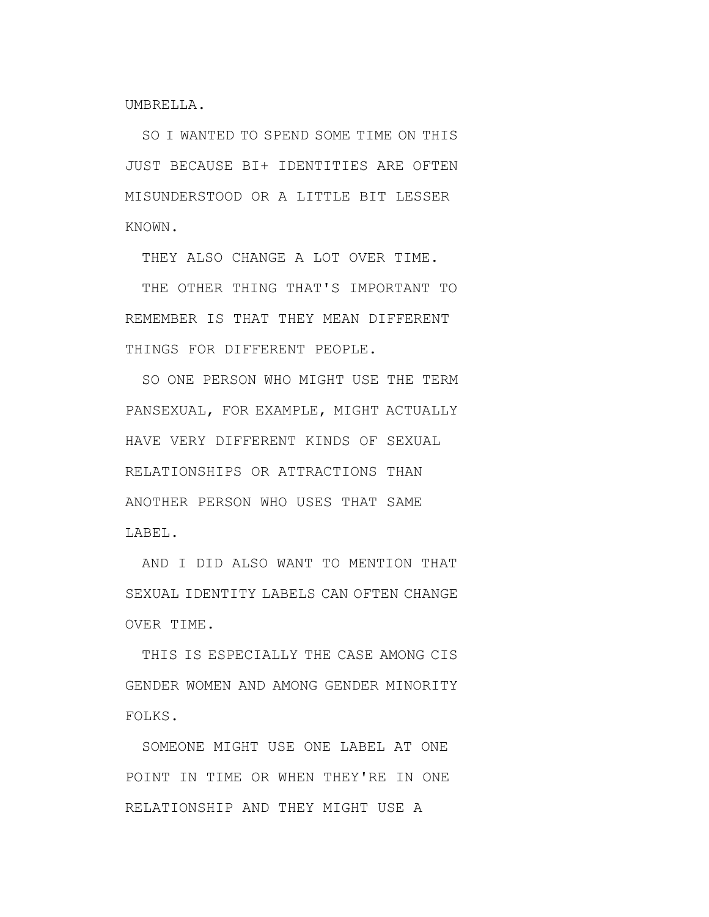UMBRELLA.

SO I WANTED TO SPEND SOME TIME ON THIS JUST BECAUSE BI+ IDENTITIES ARE OFTEN MISUNDERSTOOD OR A LITTLE BIT LESSER KNOWN.

THEY ALSO CHANGE A LOT OVER TIME.

THE OTHER THING THAT'S IMPORTANT TO REMEMBER IS THAT THEY MEAN DIFFERENT THINGS FOR DIFFERENT PEOPLE.

SO ONE PERSON WHO MIGHT USE THE TERM PANSEXUAL, FOR EXAMPLE, MIGHT ACTUALLY HAVE VERY DIFFERENT KINDS OF SEXUAL RELATIONSHIPS OR ATTRACTIONS THAN ANOTHER PERSON WHO USES THAT SAME LABEL.

AND I DID ALSO WANT TO MENTION THAT SEXUAL IDENTITY LABELS CAN OFTEN CHANGE OVER TIME.

THIS IS ESPECIALLY THE CASE AMONG CIS GENDER WOMEN AND AMONG GENDER MINORITY FOLKS.

SOMEONE MIGHT USE ONE LABEL AT ONE POINT IN TIME OR WHEN THEY'RE IN ONE RELATIONSHIP AND THEY MIGHT USE A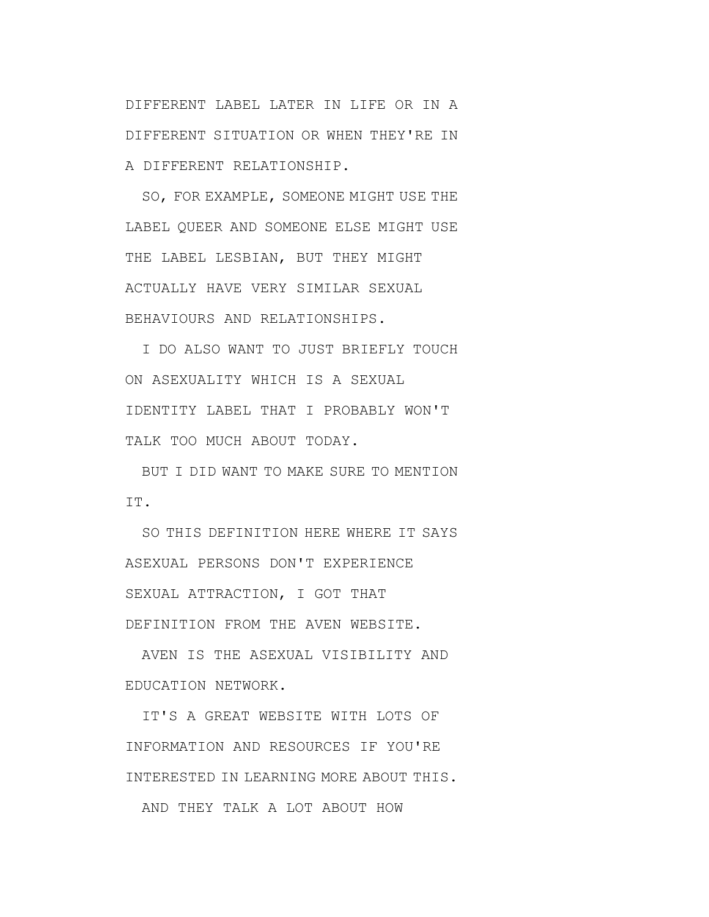DIFFERENT LABEL LATER IN LIFE OR IN A DIFFERENT SITUATION OR WHEN THEY'RE IN A DIFFERENT RELATIONSHIP.

SO, FOR EXAMPLE, SOMEONE MIGHT USE THE LABEL QUEER AND SOMEONE ELSE MIGHT USE THE LABEL LESBIAN, BUT THEY MIGHT ACTUALLY HAVE VERY SIMILAR SEXUAL BEHAVIOURS AND RELATIONSHIPS.

I DO ALSO WANT TO JUST BRIEFLY TOUCH ON ASEXUALITY WHICH IS A SEXUAL IDENTITY LABEL THAT I PROBABLY WON'T TALK TOO MUCH ABOUT TODAY.

BUT I DID WANT TO MAKE SURE TO MENTION IT.

SO THIS DEFINITION HERE WHERE IT SAYS ASEXUAL PERSONS DON'T EXPERIENCE SEXUAL ATTRACTION, I GOT THAT DEFINITION FROM THE AVEN WEBSITE.

AVEN IS THE ASEXUAL VISIBILITY AND EDUCATION NETWORK.

IT'S A GREAT WEBSITE WITH LOTS OF INFORMATION AND RESOURCES IF YOU'RE INTERESTED IN LEARNING MORE ABOUT THIS. AND THEY TALK A LOT ABOUT HOW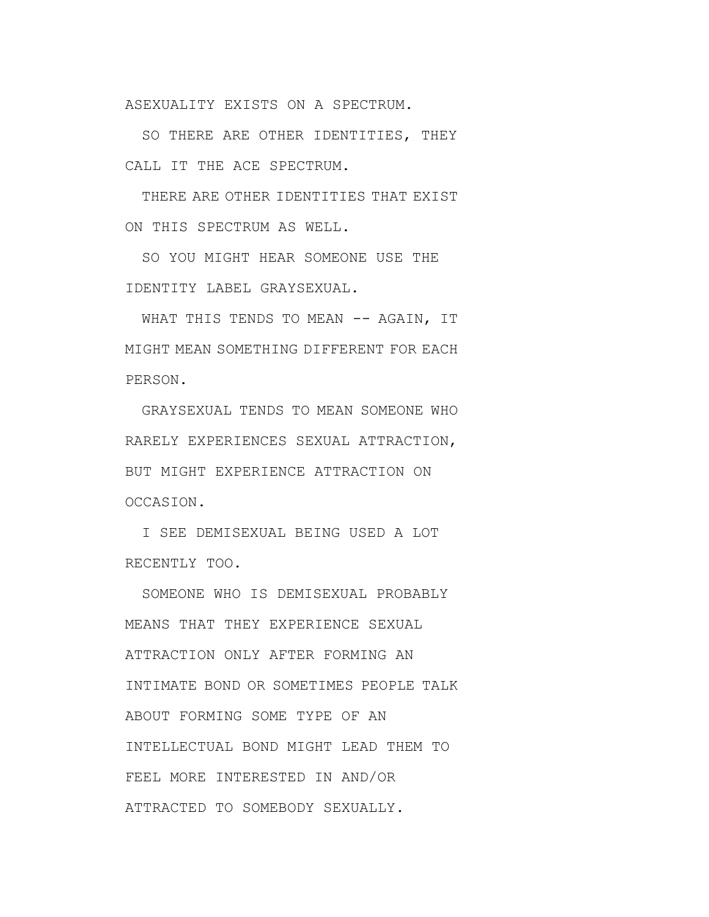ASEXUALITY EXISTS ON A SPECTRUM.

SO THERE ARE OTHER IDENTITIES, THEY CALL IT THE ACE SPECTRUM.

THERE ARE OTHER IDENTITIES THAT EXIST ON THIS SPECTRUM AS WELL.

SO YOU MIGHT HEAR SOMEONE USE THE IDENTITY LABEL GRAYSEXUAL.

WHAT THIS TENDS TO MEAN -- AGAIN, IT MIGHT MEAN SOMETHING DIFFERENT FOR EACH PERSON.

GRAYSEXUAL TENDS TO MEAN SOMEONE WHO RARELY EXPERIENCES SEXUAL ATTRACTION, BUT MIGHT EXPERIENCE ATTRACTION ON OCCASION.

I SEE DEMISEXUAL BEING USED A LOT RECENTLY TOO.

SOMEONE WHO IS DEMISEXUAL PROBABLY MEANS THAT THEY EXPERIENCE SEXUAL ATTRACTION ONLY AFTER FORMING AN INTIMATE BOND OR SOMETIMES PEOPLE TALK ABOUT FORMING SOME TYPE OF AN INTELLECTUAL BOND MIGHT LEAD THEM TO FEEL MORE INTERESTED IN AND/OR ATTRACTED TO SOMEBODY SEXUALLY.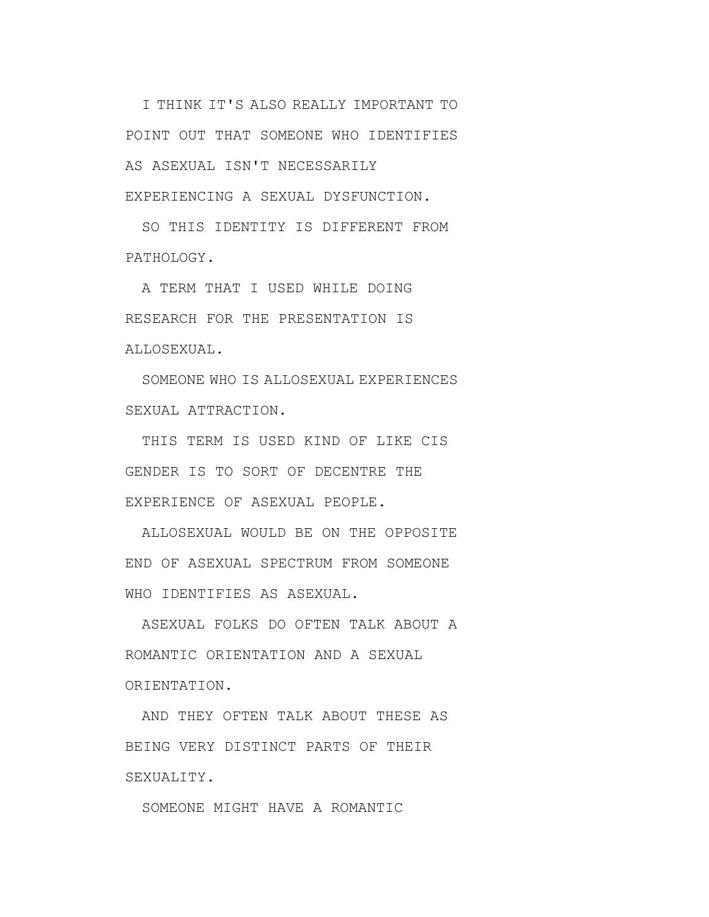I THINK IT'S ALSO REALLY IMPORTANT TO POINT OUT THAT SOMEONE WHO IDENTIFIES AS ASEXUAL ISN'T NECESSARILY EXPERIENCING A SEXUAL DYSFUNCTION.

SO THIS IDENTITY IS DIFFERENT FROM PATHOLOGY.

A TERM THAT I USED WHILE DOING RESEARCH FOR THE PRESENTATION IS ALLOSEXUAL.

SOMEONE WHO IS ALLOSEXUAL EXPERIENCES SEXUAL ATTRACTION.

THIS TERM IS USED KIND OF LIKE CIS GENDER IS TO SORT OF DECENTRE THE EXPERIENCE OF ASEXUAL PEOPLE.

ALLOSEXUAL WOULD BE ON THE OPPOSITE END OF ASEXUAL SPECTRUM FROM SOMEONE WHO IDENTIFIES AS ASEXUAL.

ASEXUAL FOLKS DO OFTEN TALK ABOUT A ROMANTIC ORIENTATION AND A SEXUAL ORIENTATION.

AND THEY OFTEN TALK ABOUT THESE AS BEING VERY DISTINCT PARTS OF THEIR SEXUALITY.

SOMEONE MIGHT HAVE A ROMANTIC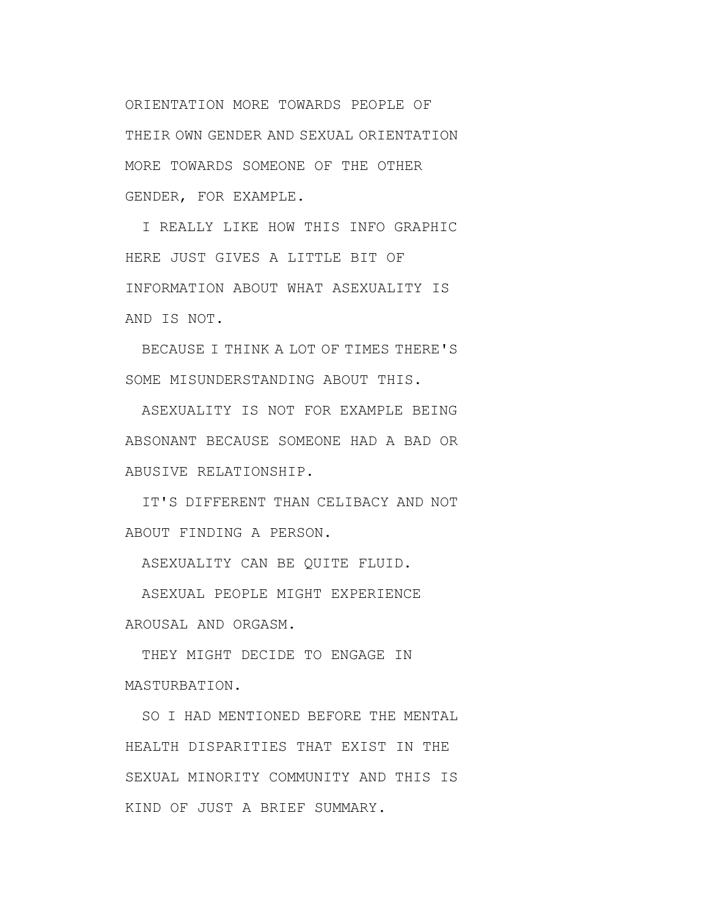ORIENTATION MORE TOWARDS PEOPLE OF THEIR OWN GENDER AND SEXUAL ORIENTATION MORE TOWARDS SOMEONE OF THE OTHER GENDER, FOR EXAMPLE.

I REALLY LIKE HOW THIS INFO GRAPHIC HERE JUST GIVES A LITTLE BIT OF INFORMATION ABOUT WHAT ASEXUALITY IS AND IS NOT.

BECAUSE I THINK A LOT OF TIMES THERE'S SOME MISUNDERSTANDING ABOUT THIS.

ASEXUALITY IS NOT FOR EXAMPLE BEING ABSONANT BECAUSE SOMEONE HAD A BAD OR ABUSIVE RELATIONSHIP.

IT'S DIFFERENT THAN CELIBACY AND NOT ABOUT FINDING A PERSON.

ASEXUALITY CAN BE QUITE FLUID.

ASEXUAL PEOPLE MIGHT EXPERIENCE AROUSAL AND ORGASM.

THEY MIGHT DECIDE TO ENGAGE IN MASTURBATION.

SO I HAD MENTIONED BEFORE THE MENTAL HEALTH DISPARITIES THAT EXIST IN THE SEXUAL MINORITY COMMUNITY AND THIS IS KIND OF JUST A BRIEF SUMMARY.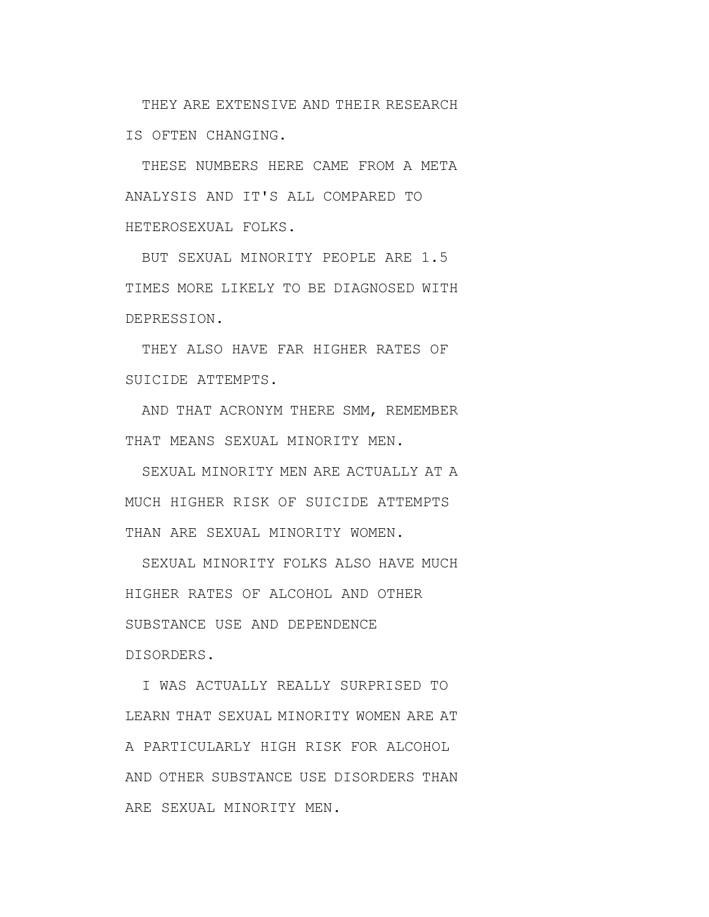THEY ARE EXTENSIVE AND THEIR RESEARCH IS OFTEN CHANGING.

THESE NUMBERS HERE CAME FROM A META ANALYSIS AND IT'S ALL COMPARED TO HETEROSEXUAL FOLKS.

BUT SEXUAL MINORITY PEOPLE ARE 1.5 TIMES MORE LIKELY TO BE DIAGNOSED WITH DEPRESSION.

THEY ALSO HAVE FAR HIGHER RATES OF SUICIDE ATTEMPTS.

AND THAT ACRONYM THERE SMM, REMEMBER THAT MEANS SEXUAL MINORITY MEN.

SEXUAL MINORITY MEN ARE ACTUALLY AT A MUCH HIGHER RISK OF SUICIDE ATTEMPTS THAN ARE SEXUAL MINORITY WOMEN.

SEXUAL MINORITY FOLKS ALSO HAVE MUCH HIGHER RATES OF ALCOHOL AND OTHER SUBSTANCE USE AND DEPENDENCE DISORDERS.

I WAS ACTUALLY REALLY SURPRISED TO LEARN THAT SEXUAL MINORITY WOMEN ARE AT A PARTICULARLY HIGH RISK FOR ALCOHOL AND OTHER SUBSTANCE USE DISORDERS THAN ARE SEXUAL MINORITY MEN.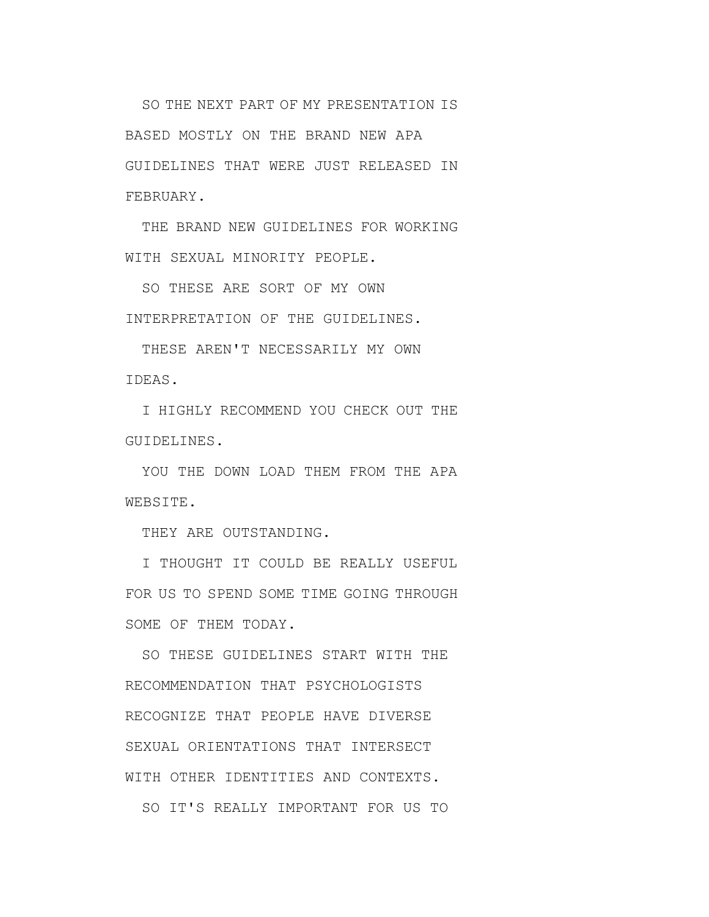SO THE NEXT PART OF MY PRESENTATION IS BASED MOSTLY ON THE BRAND NEW APA GUIDELINES THAT WERE JUST RELEASED IN FEBRUARY.

THE BRAND NEW GUIDELINES FOR WORKING WITH SEXUAL MINORITY PEOPLE.

SO THESE ARE SORT OF MY OWN INTERPRETATION OF THE GUIDELINES.

THESE AREN'T NECESSARILY MY OWN IDEAS.

I HIGHLY RECOMMEND YOU CHECK OUT THE GUIDELINES.

YOU THE DOWN LOAD THEM FROM THE APA WEBSITE.

THEY ARE OUTSTANDING.

I THOUGHT IT COULD BE REALLY USEFUL FOR US TO SPEND SOME TIME GOING THROUGH SOME OF THEM TODAY.

SO THESE GUIDELINES START WITH THE RECOMMENDATION THAT PSYCHOLOGISTS RECOGNIZE THAT PEOPLE HAVE DIVERSE SEXUAL ORIENTATIONS THAT INTERSECT WITH OTHER IDENTITIES AND CONTEXTS. SO IT'S REALLY IMPORTANT FOR US TO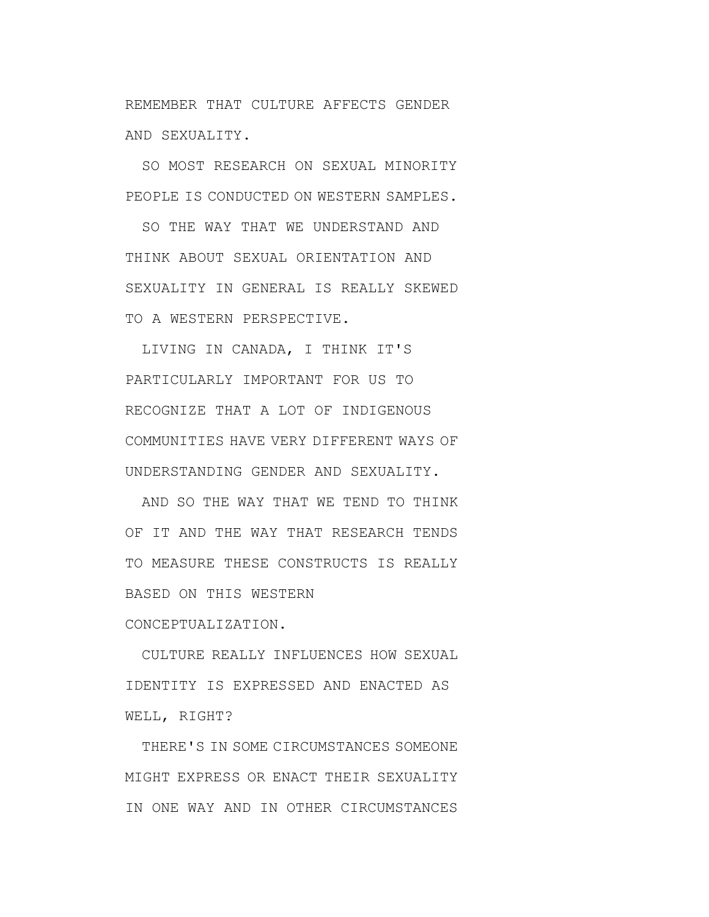REMEMBER THAT CULTURE AFFECTS GENDER AND SEXUALITY.

SO MOST RESEARCH ON SEXUAL MINORITY PEOPLE IS CONDUCTED ON WESTERN SAMPLES.

SO THE WAY THAT WE UNDERSTAND AND THINK ABOUT SEXUAL ORIENTATION AND SEXUALITY IN GENERAL IS REALLY SKEWED TO A WESTERN PERSPECTIVE.

LIVING IN CANADA, I THINK IT'S PARTICULARLY IMPORTANT FOR US TO RECOGNIZE THAT A LOT OF INDIGENOUS COMMUNITIES HAVE VERY DIFFERENT WAYS OF UNDERSTANDING GENDER AND SEXUALITY.

AND SO THE WAY THAT WE TEND TO THINK OF IT AND THE WAY THAT RESEARCH TENDS TO MEASURE THESE CONSTRUCTS IS REALLY BASED ON THIS WESTERN

CONCEPTUALIZATION.

CULTURE REALLY INFLUENCES HOW SEXUAL IDENTITY IS EXPRESSED AND ENACTED AS WELL, RIGHT?

THERE'S IN SOME CIRCUMSTANCES SOMEONE MIGHT EXPRESS OR ENACT THEIR SEXUALITY IN ONE WAY AND IN OTHER CIRCUMSTANCES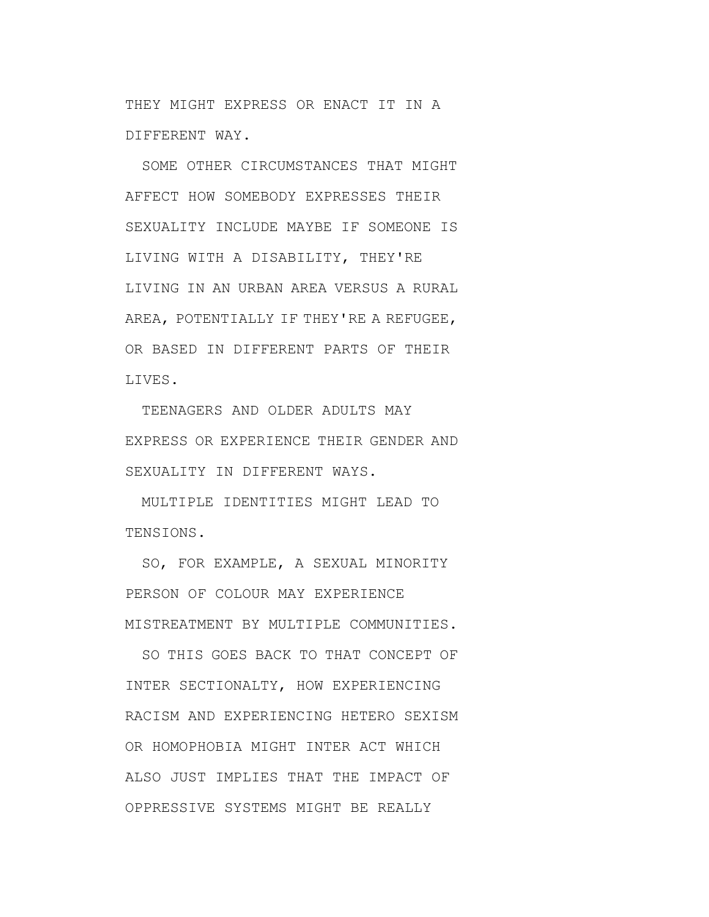THEY MIGHT EXPRESS OR ENACT IT IN A DIFFERENT WAY.

SOME OTHER CIRCUMSTANCES THAT MIGHT AFFECT HOW SOMEBODY EXPRESSES THEIR SEXUALITY INCLUDE MAYBE IF SOMEONE IS LIVING WITH A DISABILITY, THEY'RE LIVING IN AN URBAN AREA VERSUS A RURAL AREA, POTENTIALLY IF THEY'RE A REFUGEE, OR BASED IN DIFFERENT PARTS OF THEIR LIVES.

TEENAGERS AND OLDER ADULTS MAY EXPRESS OR EXPERIENCE THEIR GENDER AND SEXUALITY IN DIFFERENT WAYS.

MULTIPLE IDENTITIES MIGHT LEAD TO TENSIONS.

SO, FOR EXAMPLE, A SEXUAL MINORITY PERSON OF COLOUR MAY EXPERIENCE MISTREATMENT BY MULTIPLE COMMUNITIES.

SO THIS GOES BACK TO THAT CONCEPT OF INTER SECTIONALTY, HOW EXPERIENCING RACISM AND EXPERIENCING HETERO SEXISM OR HOMOPHOBIA MIGHT INTER ACT WHICH ALSO JUST IMPLIES THAT THE IMPACT OF OPPRESSIVE SYSTEMS MIGHT BE REALLY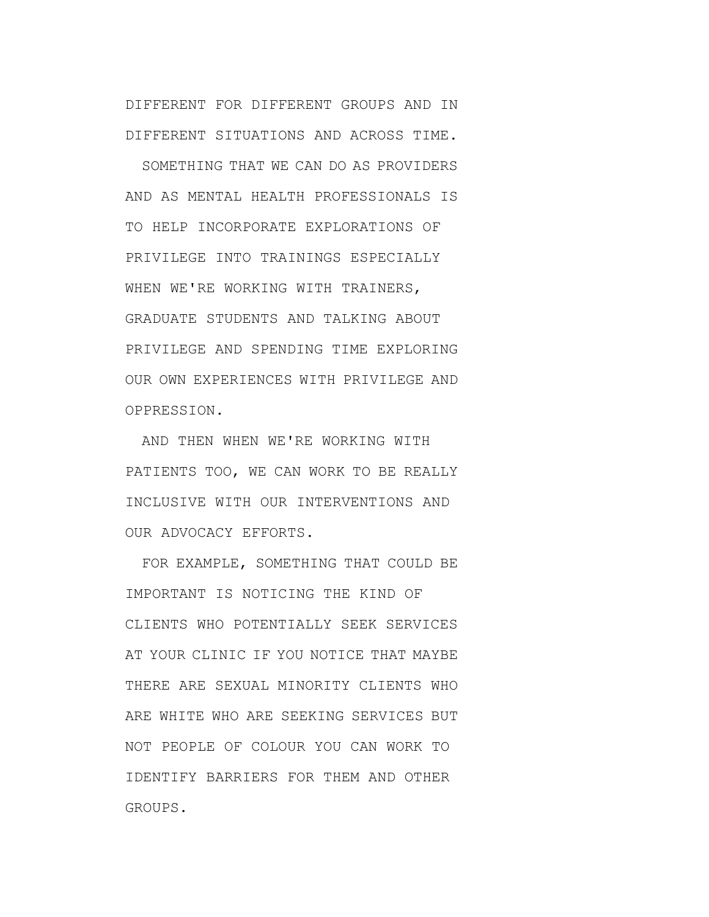DIFFERENT FOR DIFFERENT GROUPS AND IN DIFFERENT SITUATIONS AND ACROSS TIME.

SOMETHING THAT WE CAN DO AS PROVIDERS AND AS MENTAL HEALTH PROFESSIONALS IS TO HELP INCORPORATE EXPLORATIONS OF PRIVILEGE INTO TRAININGS ESPECIALLY WHEN WE'RE WORKING WITH TRAINERS, GRADUATE STUDENTS AND TALKING ABOUT PRIVILEGE AND SPENDING TIME EXPLORING OUR OWN EXPERIENCES WITH PRIVILEGE AND OPPRESSION.

AND THEN WHEN WE'RE WORKING WITH PATIENTS TOO, WE CAN WORK TO BE REALLY INCLUSIVE WITH OUR INTERVENTIONS AND OUR ADVOCACY EFFORTS.

FOR EXAMPLE, SOMETHING THAT COULD BE IMPORTANT IS NOTICING THE KIND OF CLIENTS WHO POTENTIALLY SEEK SERVICES AT YOUR CLINIC IF YOU NOTICE THAT MAYBE THERE ARE SEXUAL MINORITY CLIENTS WHO ARE WHITE WHO ARE SEEKING SERVICES BUT NOT PEOPLE OF COLOUR YOU CAN WORK TO IDENTIFY BARRIERS FOR THEM AND OTHER GROUPS.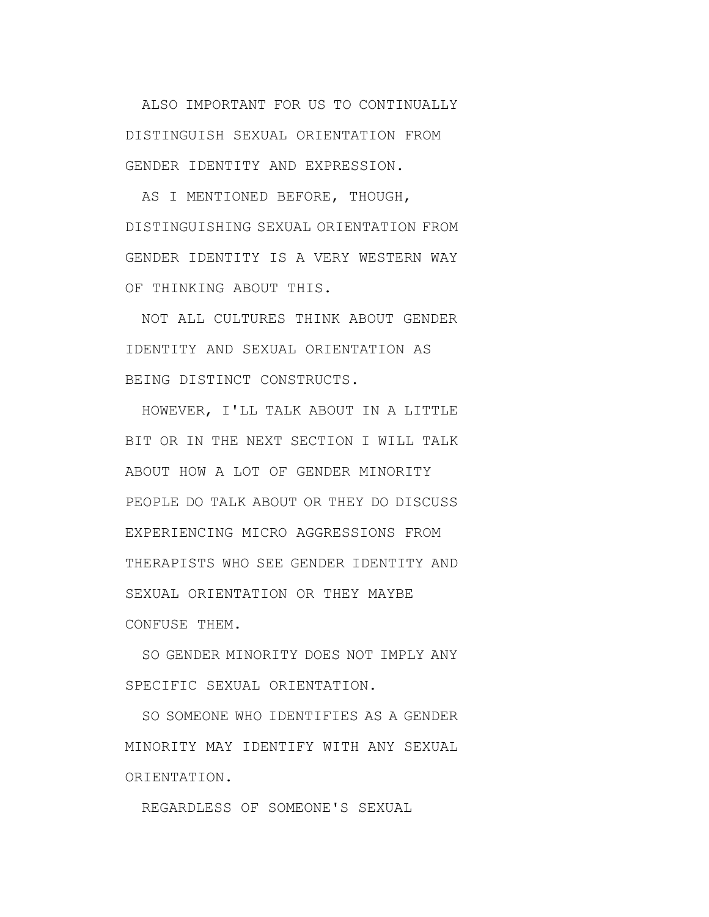ALSO IMPORTANT FOR US TO CONTINUALLY DISTINGUISH SEXUAL ORIENTATION FROM GENDER IDENTITY AND EXPRESSION.

AS I MENTIONED BEFORE, THOUGH, DISTINGUISHING SEXUAL ORIENTATION FROM GENDER IDENTITY IS A VERY WESTERN WAY OF THINKING ABOUT THIS.

NOT ALL CULTURES THINK ABOUT GENDER IDENTITY AND SEXUAL ORIENTATION AS BEING DISTINCT CONSTRUCTS.

HOWEVER, I'LL TALK ABOUT IN A LITTLE BIT OR IN THE NEXT SECTION I WILL TALK ABOUT HOW A LOT OF GENDER MINORITY PEOPLE DO TALK ABOUT OR THEY DO DISCUSS EXPERIENCING MICRO AGGRESSIONS FROM THERAPISTS WHO SEE GENDER IDENTITY AND SEXUAL ORIENTATION OR THEY MAYBE CONFUSE THEM.

SO GENDER MINORITY DOES NOT IMPLY ANY SPECIFIC SEXUAL ORIENTATION.

SO SOMEONE WHO IDENTIFIES AS A GENDER MINORITY MAY IDENTIFY WITH ANY SEXUAL ORIENTATION.

REGARDLESS OF SOMEONE'S SEXUAL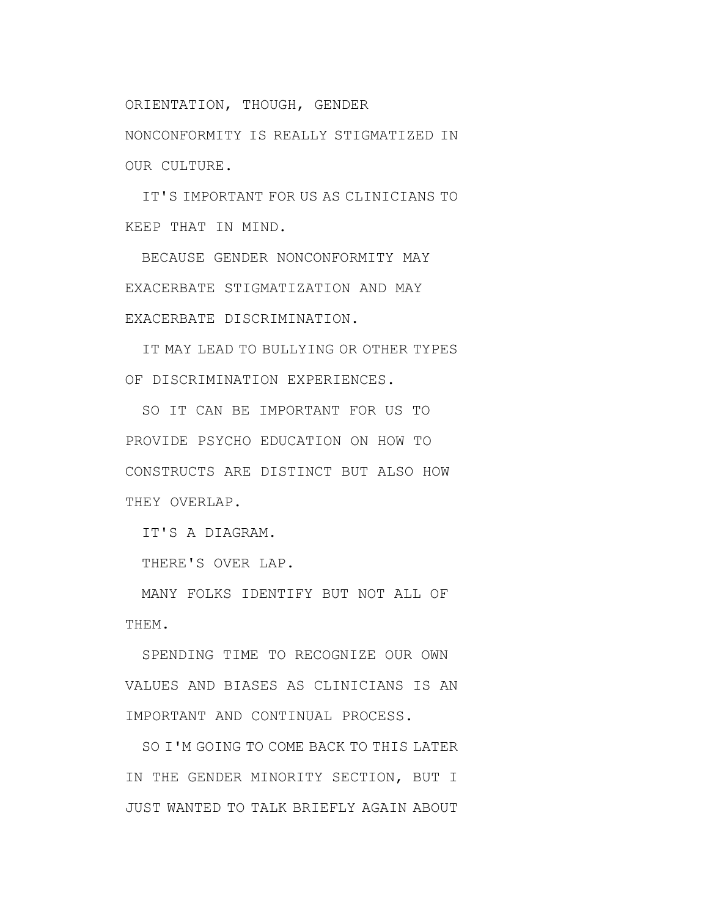ORIENTATION, THOUGH, GENDER

NONCONFORMITY IS REALLY STIGMATIZED IN OUR CULTURE.

IT'S IMPORTANT FOR US AS CLINICIANS TO KEEP THAT IN MIND.

BECAUSE GENDER NONCONFORMITY MAY EXACERBATE STIGMATIZATION AND MAY EXACERBATE DISCRIMINATION.

IT MAY LEAD TO BULLYING OR OTHER TYPES OF DISCRIMINATION EXPERIENCES.

SO IT CAN BE IMPORTANT FOR US TO PROVIDE PSYCHO EDUCATION ON HOW TO CONSTRUCTS ARE DISTINCT BUT ALSO HOW THEY OVERLAP.

IT'S A DIAGRAM.

THERE'S OVER LAP.

MANY FOLKS IDENTIFY BUT NOT ALL OF THEM.

SPENDING TIME TO RECOGNIZE OUR OWN VALUES AND BIASES AS CLINICIANS IS AN IMPORTANT AND CONTINUAL PROCESS.

SO I'M GOING TO COME BACK TO THIS LATER IN THE GENDER MINORITY SECTION, BUT I JUST WANTED TO TALK BRIEFLY AGAIN ABOUT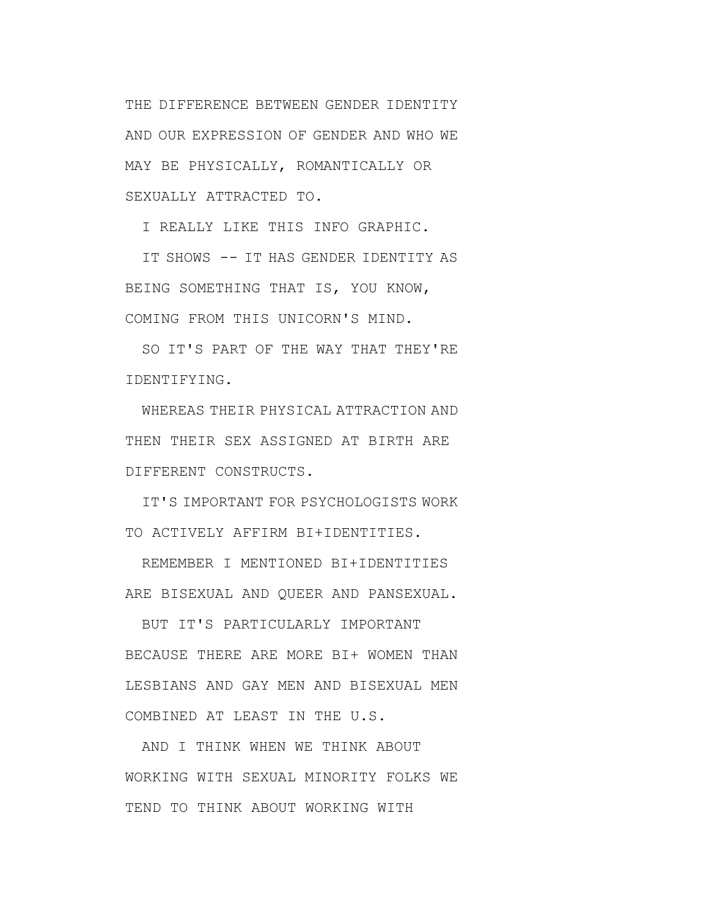THE DIFFERENCE BETWEEN GENDER IDENTITY AND OUR EXPRESSION OF GENDER AND WHO WE MAY BE PHYSICALLY, ROMANTICALLY OR SEXUALLY ATTRACTED TO.

I REALLY LIKE THIS INFO GRAPHIC.

IT SHOWS -- IT HAS GENDER IDENTITY AS BEING SOMETHING THAT IS, YOU KNOW, COMING FROM THIS UNICORN'S MIND.

SO IT'S PART OF THE WAY THAT THEY'RE IDENTIFYING.

WHEREAS THEIR PHYSICAL ATTRACTION AND THEN THEIR SEX ASSIGNED AT BIRTH ARE DIFFERENT CONSTRUCTS.

IT'S IMPORTANT FOR PSYCHOLOGISTS WORK TO ACTIVELY AFFIRM BI+IDENTITIES.

REMEMBER I MENTIONED BI+IDENTITIES ARE BISEXUAL AND QUEER AND PANSEXUAL.

BUT IT'S PARTICULARLY IMPORTANT BECAUSE THERE ARE MORE BI+ WOMEN THAN LESBIANS AND GAY MEN AND BISEXUAL MEN COMBINED AT LEAST IN THE U.S.

AND I THINK WHEN WE THINK ABOUT WORKING WITH SEXUAL MINORITY FOLKS WE TEND TO THINK ABOUT WORKING WITH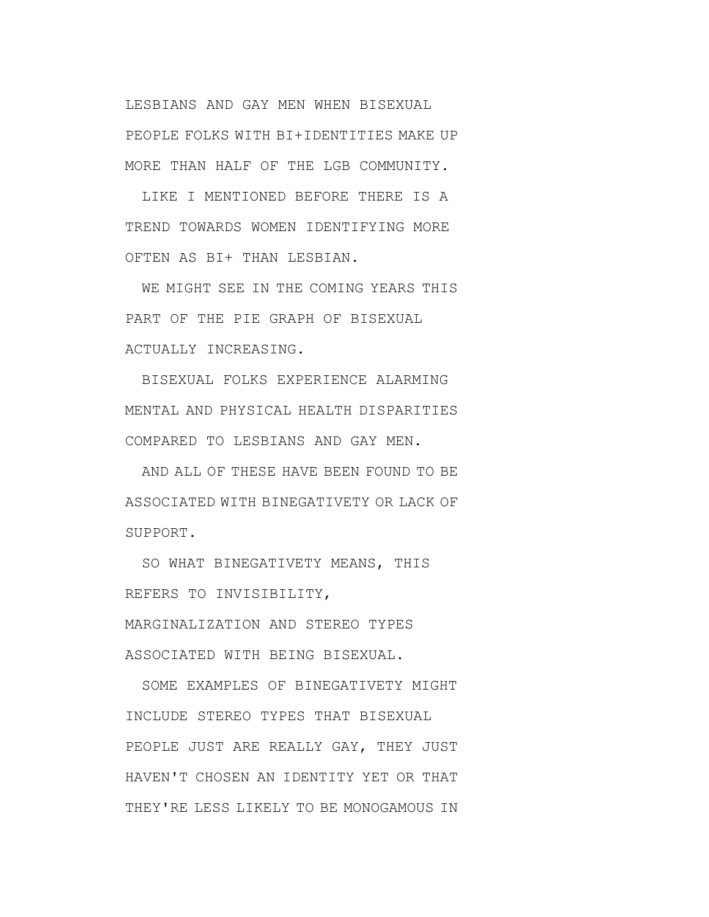LESBIANS AND GAY MEN WHEN BISEXUAL PEOPLE FOLKS WITH BI+IDENTITIES MAKE UP MORE THAN HALF OF THE LGB COMMUNITY.

LIKE I MENTIONED BEFORE THERE IS A TREND TOWARDS WOMEN IDENTIFYING MORE OFTEN AS BI+ THAN LESBIAN.

WE MIGHT SEE IN THE COMING YEARS THIS PART OF THE PIE GRAPH OF BISEXUAL ACTUALLY INCREASING.

BISEXUAL FOLKS EXPERIENCE ALARMING MENTAL AND PHYSICAL HEALTH DISPARITIES COMPARED TO LESBIANS AND GAY MEN.

AND ALL OF THESE HAVE BEEN FOUND TO BE ASSOCIATED WITH BINEGATIVETY OR LACK OF SUPPORT.

SO WHAT BINEGATIVETY MEANS, THIS REFERS TO INVISIBILITY,

MARGINALIZATION AND STEREO TYPES ASSOCIATED WITH BEING BISEXUAL.

SOME EXAMPLES OF BINEGATIVETY MIGHT INCLUDE STEREO TYPES THAT BISEXUAL PEOPLE JUST ARE REALLY GAY, THEY JUST HAVEN'T CHOSEN AN IDENTITY YET OR THAT THEY'RE LESS LIKELY TO BE MONOGAMOUS IN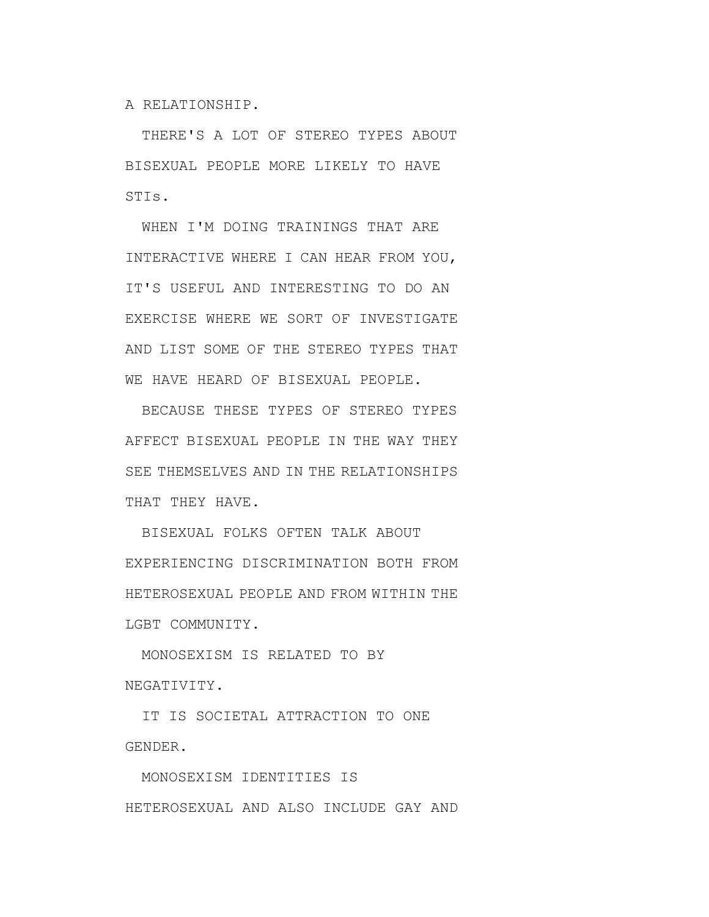A RELATIONSHIP.

THERE'S A LOT OF STEREO TYPES ABOUT BISEXUAL PEOPLE MORE LIKELY TO HAVE STIs.

WHEN I'M DOING TRAININGS THAT ARE INTERACTIVE WHERE I CAN HEAR FROM YOU, IT'S USEFUL AND INTERESTING TO DO AN EXERCISE WHERE WE SORT OF INVESTIGATE AND LIST SOME OF THE STEREO TYPES THAT WE HAVE HEARD OF BISEXUAL PEOPLE.

BECAUSE THESE TYPES OF STEREO TYPES AFFECT BISEXUAL PEOPLE IN THE WAY THEY SEE THEMSELVES AND IN THE RELATIONSHIPS THAT THEY HAVE.

BISEXUAL FOLKS OFTEN TALK ABOUT EXPERIENCING DISCRIMINATION BOTH FROM HETEROSEXUAL PEOPLE AND FROM WITHIN THE LGBT COMMUNITY.

MONOSEXISM IS RELATED TO BY NEGATIVITY.

IT IS SOCIETAL ATTRACTION TO ONE GENDER.

MONOSEXISM IDENTITIES IS HETEROSEXUAL AND ALSO INCLUDE GAY AND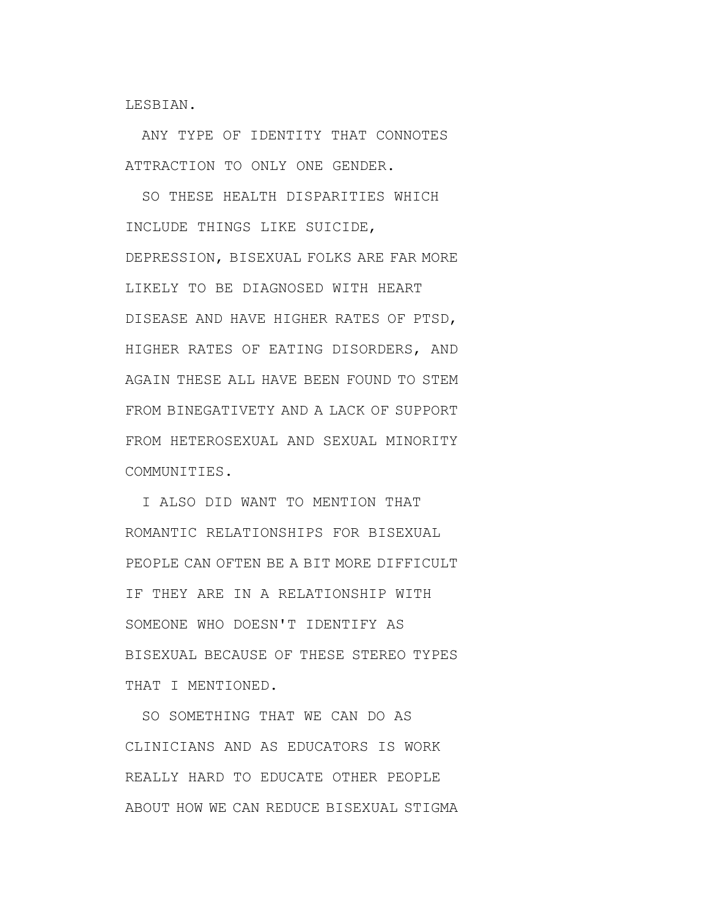LESBIAN.

ANY TYPE OF IDENTITY THAT CONNOTES ATTRACTION TO ONLY ONE GENDER.

SO THESE HEALTH DISPARITIES WHICH INCLUDE THINGS LIKE SUICIDE, DEPRESSION, BISEXUAL FOLKS ARE FAR MORE LIKELY TO BE DIAGNOSED WITH HEART DISEASE AND HAVE HIGHER RATES OF PTSD, HIGHER RATES OF EATING DISORDERS, AND AGAIN THESE ALL HAVE BEEN FOUND TO STEM FROM BINEGATIVETY AND A LACK OF SUPPORT FROM HETEROSEXUAL AND SEXUAL MINORITY COMMUNITIES.

I ALSO DID WANT TO MENTION THAT ROMANTIC RELATIONSHIPS FOR BISEXUAL PEOPLE CAN OFTEN BE A BIT MORE DIFFICULT IF THEY ARE IN A RELATIONSHIP WITH SOMEONE WHO DOESN'T IDENTIFY AS BISEXUAL BECAUSE OF THESE STEREO TYPES THAT I MENTIONED.

SO SOMETHING THAT WE CAN DO AS CLINICIANS AND AS EDUCATORS IS WORK REALLY HARD TO EDUCATE OTHER PEOPLE ABOUT HOW WE CAN REDUCE BISEXUAL STIGMA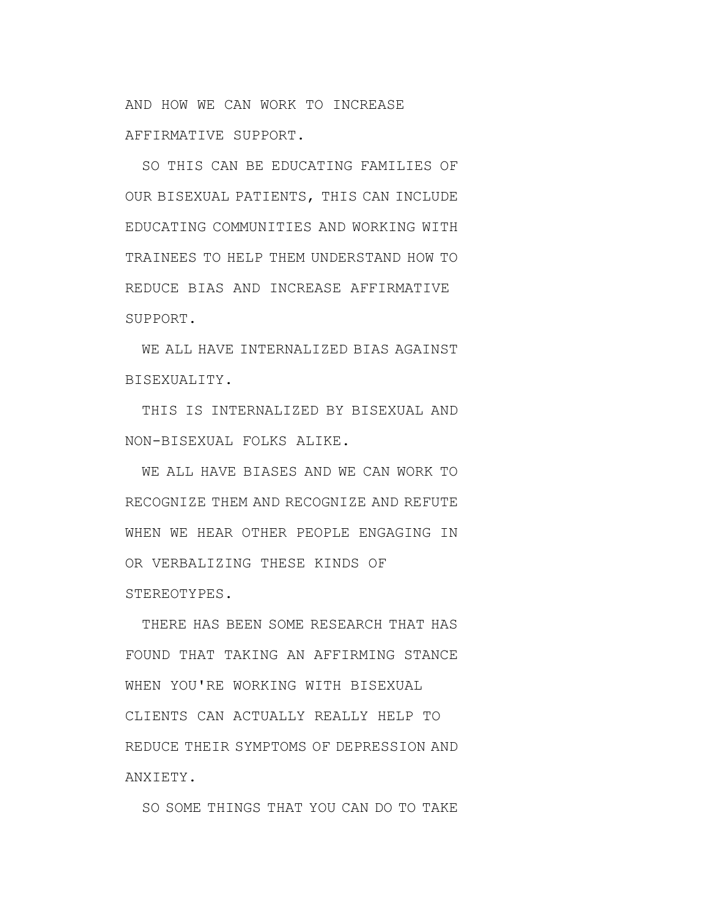AND HOW WE CAN WORK TO INCREASE AFFIRMATIVE SUPPORT.

SO THIS CAN BE EDUCATING FAMILIES OF OUR BISEXUAL PATIENTS, THIS CAN INCLUDE EDUCATING COMMUNITIES AND WORKING WITH TRAINEES TO HELP THEM UNDERSTAND HOW TO REDUCE BIAS AND INCREASE AFFIRMATIVE SUPPORT.

WE ALL HAVE INTERNALIZED BIAS AGAINST BISEXUALITY.

THIS IS INTERNALIZED BY BISEXUAL AND NON-BISEXUAL FOLKS ALIKE.

WE ALL HAVE BIASES AND WE CAN WORK TO RECOGNIZE THEM AND RECOGNIZE AND REFUTE WHEN WE HEAR OTHER PEOPLE ENGAGING IN OR VERBALIZING THESE KINDS OF STEREOTYPES.

THERE HAS BEEN SOME RESEARCH THAT HAS FOUND THAT TAKING AN AFFIRMING STANCE WHEN YOU'RE WORKING WITH BISEXUAL CLIENTS CAN ACTUALLY REALLY HELP TO REDUCE THEIR SYMPTOMS OF DEPRESSION AND ANXIETY.

SO SOME THINGS THAT YOU CAN DO TO TAKE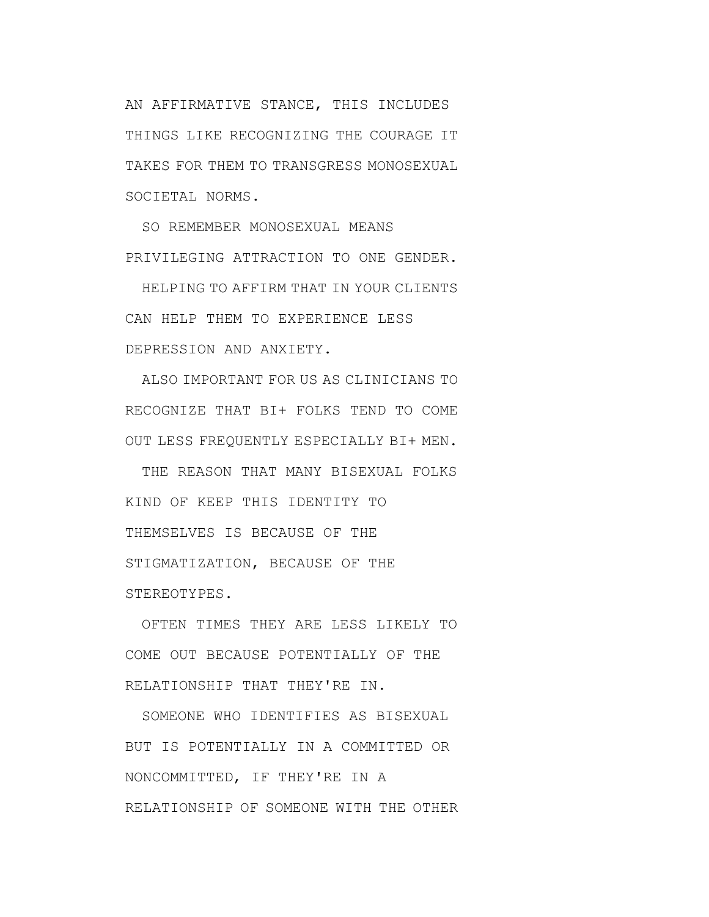AN AFFIRMATIVE STANCE, THIS INCLUDES THINGS LIKE RECOGNIZING THE COURAGE IT TAKES FOR THEM TO TRANSGRESS MONOSEXUAL SOCIETAL NORMS.

SO REMEMBER MONOSEXUAL MEANS PRIVILEGING ATTRACTION TO ONE GENDER.

HELPING TO AFFIRM THAT IN YOUR CLIENTS CAN HELP THEM TO EXPERIENCE LESS DEPRESSION AND ANXIETY.

ALSO IMPORTANT FOR US AS CLINICIANS TO RECOGNIZE THAT BI+ FOLKS TEND TO COME OUT LESS FREQUENTLY ESPECIALLY BI+ MEN.

THE REASON THAT MANY BISEXUAL FOLKS KIND OF KEEP THIS IDENTITY TO THEMSELVES IS BECAUSE OF THE STIGMATIZATION, BECAUSE OF THE STEREOTYPES.

OFTEN TIMES THEY ARE LESS LIKELY TO COME OUT BECAUSE POTENTIALLY OF THE RELATIONSHIP THAT THEY'RE IN.

SOMEONE WHO IDENTIFIES AS BISEXUAL BUT IS POTENTIALLY IN A COMMITTED OR NONCOMMITTED, IF THEY'RE IN A RELATIONSHIP OF SOMEONE WITH THE OTHER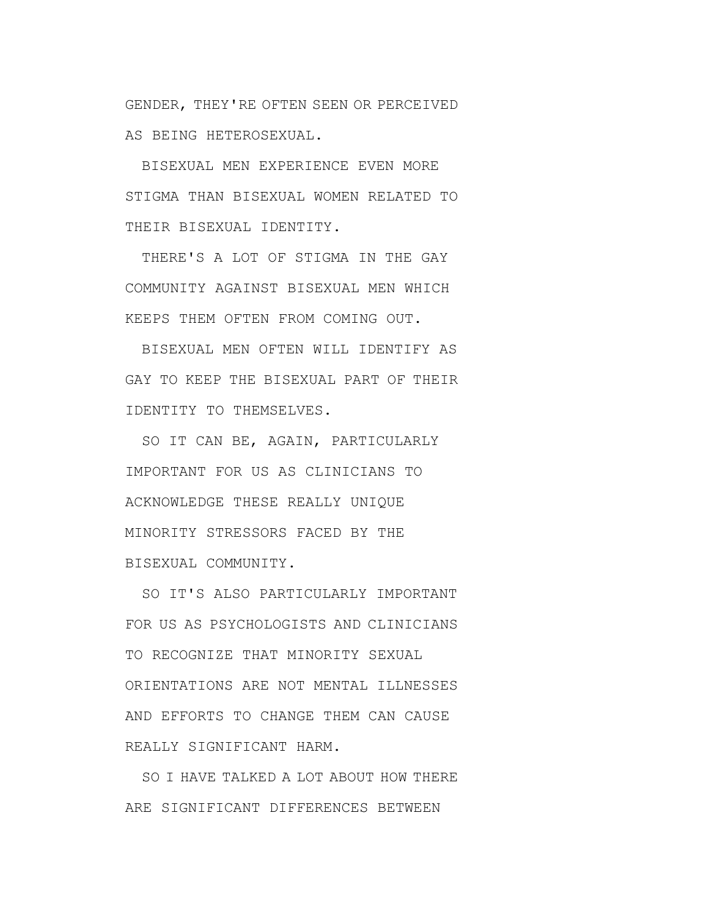GENDER, THEY'RE OFTEN SEEN OR PERCEIVED AS BEING HETEROSEXUAL.

BISEXUAL MEN EXPERIENCE EVEN MORE STIGMA THAN BISEXUAL WOMEN RELATED TO THEIR BISEXUAL IDENTITY.

THERE'S A LOT OF STIGMA IN THE GAY COMMUNITY AGAINST BISEXUAL MEN WHICH KEEPS THEM OFTEN FROM COMING OUT.

BISEXUAL MEN OFTEN WILL IDENTIFY AS GAY TO KEEP THE BISEXUAL PART OF THEIR IDENTITY TO THEMSELVES.

SO IT CAN BE, AGAIN, PARTICULARLY IMPORTANT FOR US AS CLINICIANS TO ACKNOWLEDGE THESE REALLY UNIQUE MINORITY STRESSORS FACED BY THE BISEXUAL COMMUNITY.

SO IT'S ALSO PARTICULARLY IMPORTANT FOR US AS PSYCHOLOGISTS AND CLINICIANS TO RECOGNIZE THAT MINORITY SEXUAL ORIENTATIONS ARE NOT MENTAL ILLNESSES AND EFFORTS TO CHANGE THEM CAN CAUSE REALLY SIGNIFICANT HARM.

SO I HAVE TALKED A LOT ABOUT HOW THERE ARE SIGNIFICANT DIFFERENCES BETWEEN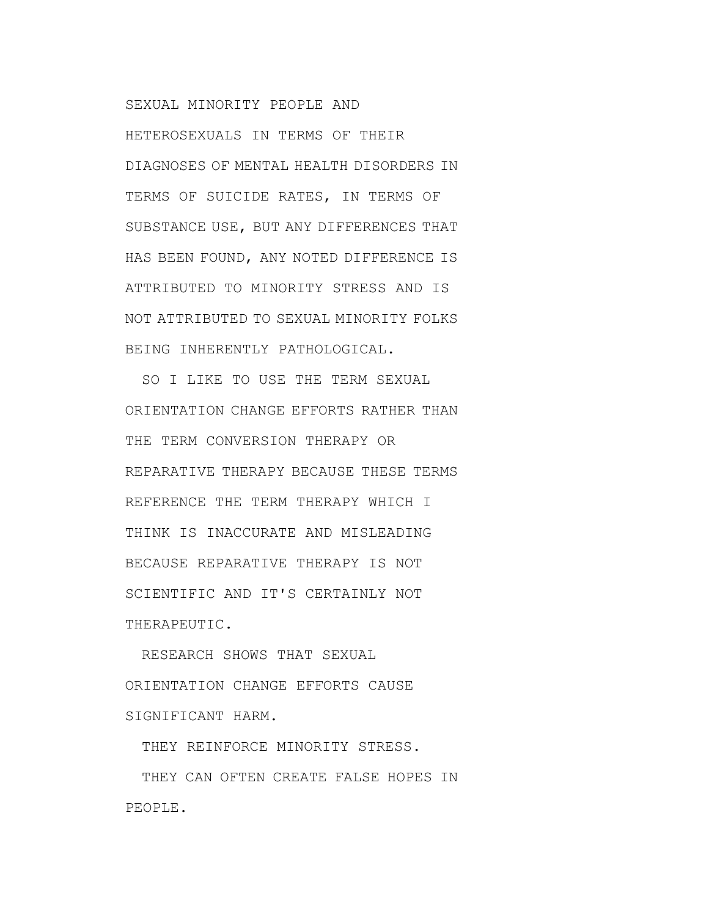SEXUAL MINORITY PEOPLE AND

HETEROSEXUALS IN TERMS OF THEIR DIAGNOSES OF MENTAL HEALTH DISORDERS IN TERMS OF SUICIDE RATES, IN TERMS OF SUBSTANCE USE, BUT ANY DIFFERENCES THAT HAS BEEN FOUND, ANY NOTED DIFFERENCE IS ATTRIBUTED TO MINORITY STRESS AND IS NOT ATTRIBUTED TO SEXUAL MINORITY FOLKS BEING INHERENTLY PATHOLOGICAL.

SO I LIKE TO USE THE TERM SEXUAL ORIENTATION CHANGE EFFORTS RATHER THAN THE TERM CONVERSION THERAPY OR REPARATIVE THERAPY BECAUSE THESE TERMS REFERENCE THE TERM THERAPY WHICH I THINK IS INACCURATE AND MISLEADING BECAUSE REPARATIVE THERAPY IS NOT SCIENTIFIC AND IT'S CERTAINLY NOT THERAPEUTIC.

RESEARCH SHOWS THAT SEXUAL ORIENTATION CHANGE EFFORTS CAUSE SIGNIFICANT HARM.

THEY REINFORCE MINORITY STRESS.

THEY CAN OFTEN CREATE FALSE HOPES IN PEOPLE.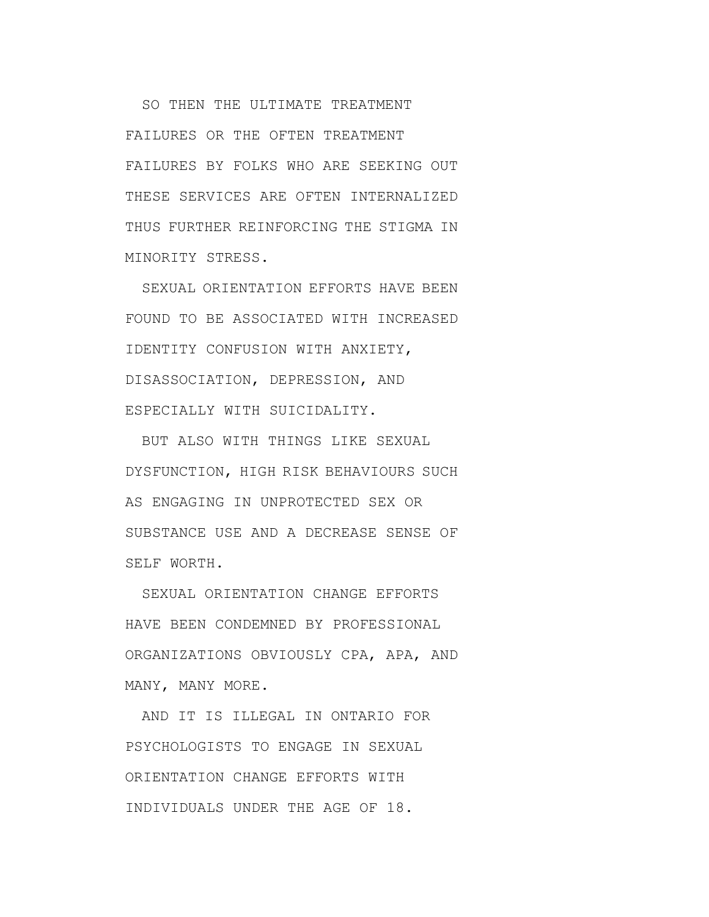SO THEN THE ULTIMATE TREATMENT FAILURES OR THE OFTEN TREATMENT FAILURES BY FOLKS WHO ARE SEEKING OUT THESE SERVICES ARE OFTEN INTERNALIZED THUS FURTHER REINFORCING THE STIGMA IN MINORITY STRESS.

SEXUAL ORIENTATION EFFORTS HAVE BEEN FOUND TO BE ASSOCIATED WITH INCREASED IDENTITY CONFUSION WITH ANXIETY, DISASSOCIATION, DEPRESSION, AND ESPECIALLY WITH SUICIDALITY.

BUT ALSO WITH THINGS LIKE SEXUAL DYSFUNCTION, HIGH RISK BEHAVIOURS SUCH AS ENGAGING IN UNPROTECTED SEX OR SUBSTANCE USE AND A DECREASE SENSE OF SELF WORTH.

SEXUAL ORIENTATION CHANGE EFFORTS HAVE BEEN CONDEMNED BY PROFESSIONAL ORGANIZATIONS OBVIOUSLY CPA, APA, AND MANY, MANY MORE.

AND IT IS ILLEGAL IN ONTARIO FOR PSYCHOLOGISTS TO ENGAGE IN SEXUAL ORIENTATION CHANGE EFFORTS WITH INDIVIDUALS UNDER THE AGE OF 18.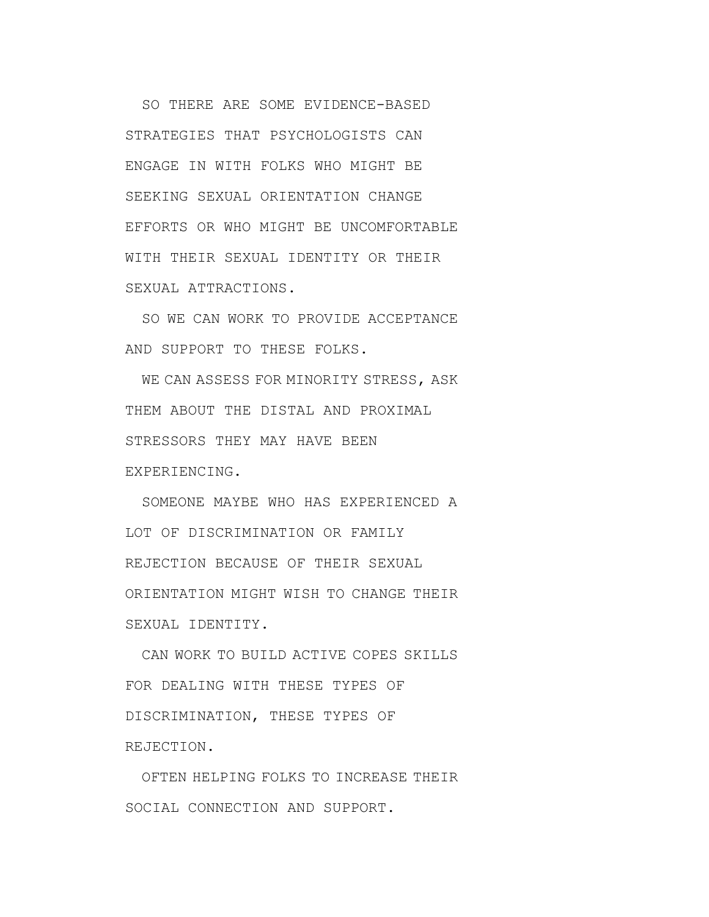SO THERE ARE SOME EVIDENCE-BASED STRATEGIES THAT PSYCHOLOGISTS CAN ENGAGE IN WITH FOLKS WHO MIGHT BE SEEKING SEXUAL ORIENTATION CHANGE EFFORTS OR WHO MIGHT BE UNCOMFORTABLE WITH THEIR SEXUAL IDENTITY OR THEIR SEXUAL ATTRACTIONS.

SO WE CAN WORK TO PROVIDE ACCEPTANCE AND SUPPORT TO THESE FOLKS.

WE CAN ASSESS FOR MINORITY STRESS, ASK THEM ABOUT THE DISTAL AND PROXIMAL STRESSORS THEY MAY HAVE BEEN EXPERIENCING.

SOMEONE MAYBE WHO HAS EXPERIENCED A LOT OF DISCRIMINATION OR FAMILY REJECTION BECAUSE OF THEIR SEXUAL ORIENTATION MIGHT WISH TO CHANGE THEIR SEXUAL IDENTITY.

CAN WORK TO BUILD ACTIVE COPES SKILLS FOR DEALING WITH THESE TYPES OF DISCRIMINATION, THESE TYPES OF REJECTION.

OFTEN HELPING FOLKS TO INCREASE THEIR SOCIAL CONNECTION AND SUPPORT.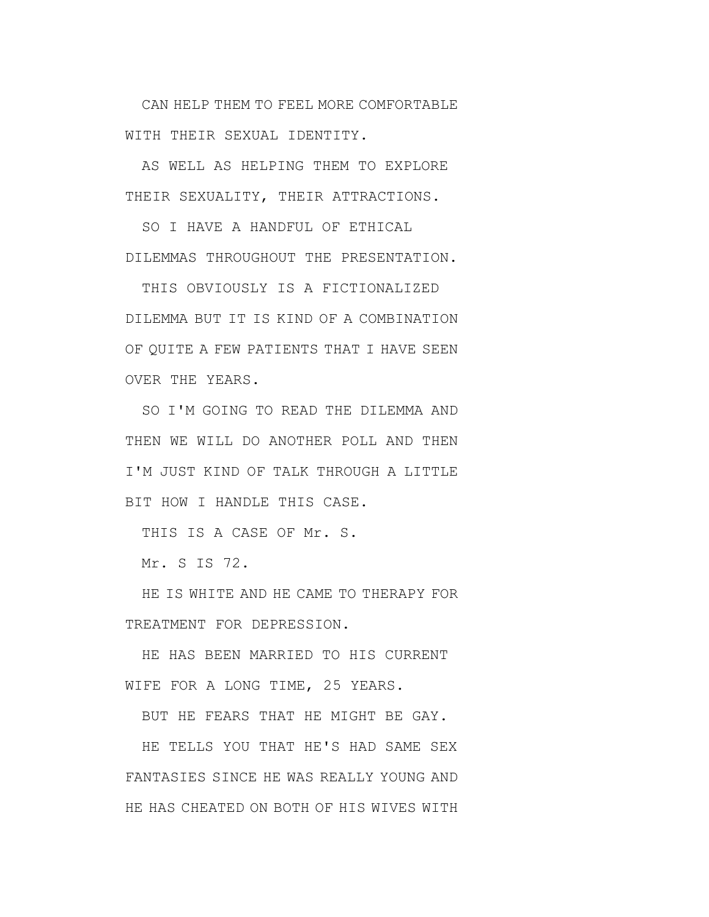CAN HELP THEM TO FEEL MORE COMFORTABLE WITH THEIR SEXUAL IDENTITY.

AS WELL AS HELPING THEM TO EXPLORE THEIR SEXUALITY, THEIR ATTRACTIONS.

SO I HAVE A HANDFUL OF ETHICAL DILEMMAS THROUGHOUT THE PRESENTATION.

THIS OBVIOUSLY IS A FICTIONALIZED DILEMMA BUT IT IS KIND OF A COMBINATION OF QUITE A FEW PATIENTS THAT I HAVE SEEN OVER THE YEARS.

SO I'M GOING TO READ THE DILEMMA AND THEN WE WILL DO ANOTHER POLL AND THEN I'M JUST KIND OF TALK THROUGH A LITTLE BIT HOW I HANDLE THIS CASE.

THIS IS A CASE OF Mr. S.

Mr. S IS 72.

HE IS WHITE AND HE CAME TO THERAPY FOR TREATMENT FOR DEPRESSION.

HE HAS BEEN MARRIED TO HIS CURRENT WIFE FOR A LONG TIME, 25 YEARS.

BUT HE FEARS THAT HE MIGHT BE GAY.

HE TELLS YOU THAT HE'S HAD SAME SEX FANTASIES SINCE HE WAS REALLY YOUNG AND HE HAS CHEATED ON BOTH OF HIS WIVES WITH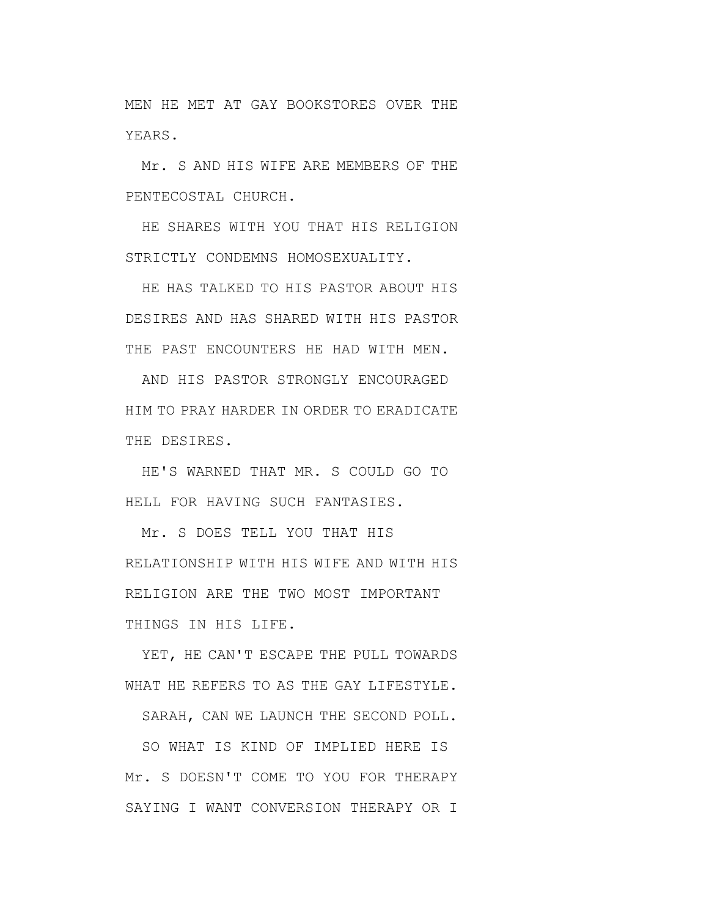MEN HE MET AT GAY BOOKSTORES OVER THE YEARS.

Mr. S AND HIS WIFE ARE MEMBERS OF THE PENTECOSTAL CHURCH.

HE SHARES WITH YOU THAT HIS RELIGION STRICTLY CONDEMNS HOMOSEXUALITY.

HE HAS TALKED TO HIS PASTOR ABOUT HIS DESIRES AND HAS SHARED WITH HIS PASTOR THE PAST ENCOUNTERS HE HAD WITH MEN.

AND HIS PASTOR STRONGLY ENCOURAGED HIM TO PRAY HARDER IN ORDER TO ERADICATE THE DESIRES.

HE'S WARNED THAT MR. S COULD GO TO HELL FOR HAVING SUCH FANTASIES.

Mr. S DOES TELL YOU THAT HIS RELATIONSHIP WITH HIS WIFE AND WITH HIS RELIGION ARE THE TWO MOST IMPORTANT THINGS IN HIS LIFE.

YET, HE CAN'T ESCAPE THE PULL TOWARDS WHAT HE REFERS TO AS THE GAY LIFESTYLE.

SARAH, CAN WE LAUNCH THE SECOND POLL.

SO WHAT IS KIND OF IMPLIED HERE IS Mr. S DOESN'T COME TO YOU FOR THERAPY SAYING I WANT CONVERSION THERAPY OR I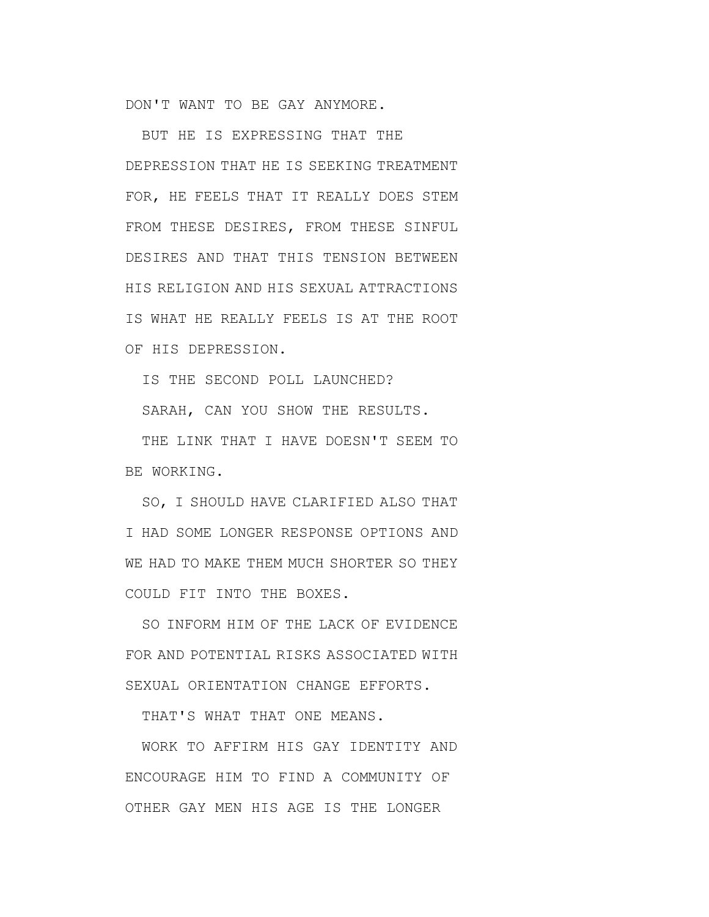DON'T WANT TO BE GAY ANYMORE.

BUT HE IS EXPRESSING THAT THE DEPRESSION THAT HE IS SEEKING TREATMENT FOR, HE FEELS THAT IT REALLY DOES STEM FROM THESE DESIRES, FROM THESE SINFUL DESIRES AND THAT THIS TENSION BETWEEN HIS RELIGION AND HIS SEXUAL ATTRACTIONS IS WHAT HE REALLY FEELS IS AT THE ROOT OF HIS DEPRESSION.

IS THE SECOND POLL LAUNCHED?

SARAH, CAN YOU SHOW THE RESULTS.

THE LINK THAT I HAVE DOESN'T SEEM TO BE WORKING.

SO, I SHOULD HAVE CLARIFIED ALSO THAT I HAD SOME LONGER RESPONSE OPTIONS AND WE HAD TO MAKE THEM MUCH SHORTER SO THEY COULD FIT INTO THE BOXES.

SO INFORM HIM OF THE LACK OF EVIDENCE FOR AND POTENTIAL RISKS ASSOCIATED WITH SEXUAL ORIENTATION CHANGE EFFORTS.

THAT'S WHAT THAT ONE MEANS.

WORK TO AFFIRM HIS GAY IDENTITY AND ENCOURAGE HIM TO FIND A COMMUNITY OF OTHER GAY MEN HIS AGE IS THE LONGER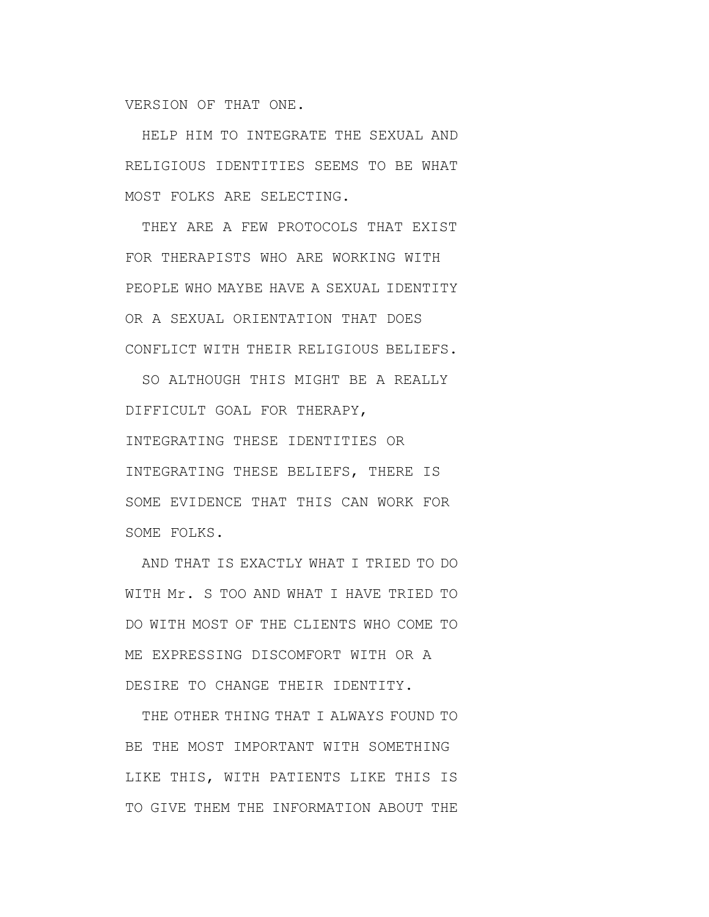VERSION OF THAT ONE.

HELP HIM TO INTEGRATE THE SEXUAL AND RELIGIOUS IDENTITIES SEEMS TO BE WHAT MOST FOLKS ARE SELECTING.

THEY ARE A FEW PROTOCOLS THAT EXIST FOR THERAPISTS WHO ARE WORKING WITH PEOPLE WHO MAYBE HAVE A SEXUAL IDENTITY OR A SEXUAL ORIENTATION THAT DOES CONFLICT WITH THEIR RELIGIOUS BELIEFS.

SO ALTHOUGH THIS MIGHT BE A REALLY DIFFICULT GOAL FOR THERAPY, INTEGRATING THESE IDENTITIES OR INTEGRATING THESE BELIEFS, THERE IS SOME EVIDENCE THAT THIS CAN WORK FOR SOME FOLKS.

AND THAT IS EXACTLY WHAT I TRIED TO DO WITH Mr. S TOO AND WHAT I HAVE TRIED TO DO WITH MOST OF THE CLIENTS WHO COME TO ME EXPRESSING DISCOMFORT WITH OR A DESIRE TO CHANGE THEIR IDENTITY.

THE OTHER THING THAT I ALWAYS FOUND TO BE THE MOST IMPORTANT WITH SOMETHING LIKE THIS, WITH PATIENTS LIKE THIS IS TO GIVE THEM THE INFORMATION ABOUT THE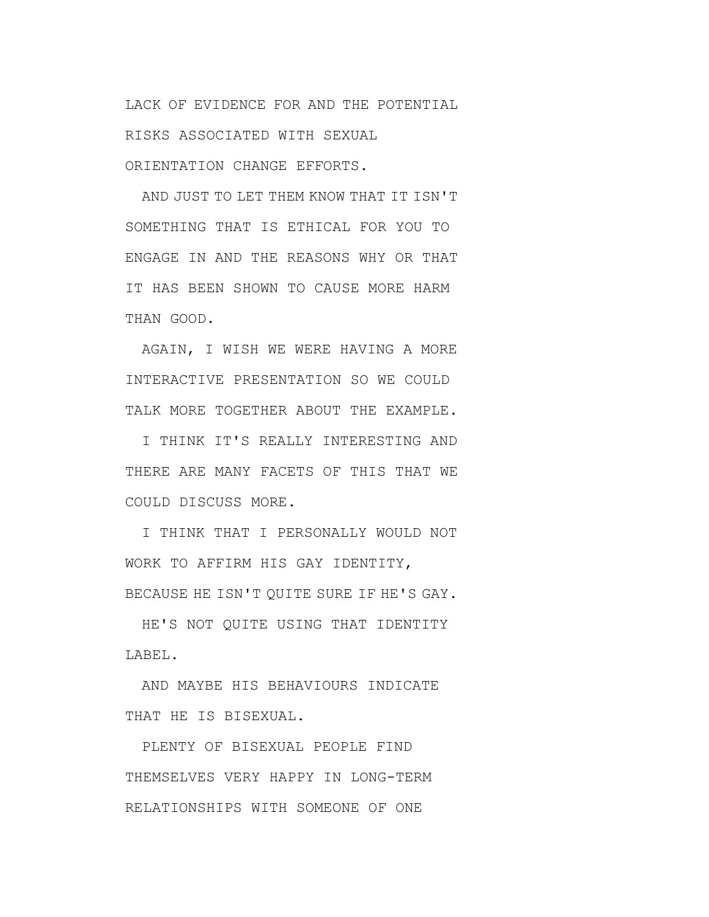LACK OF EVIDENCE FOR AND THE POTENTIAL RISKS ASSOCIATED WITH SEXUAL ORIENTATION CHANGE EFFORTS.

AND JUST TO LET THEM KNOW THAT IT ISN'T SOMETHING THAT IS ETHICAL FOR YOU TO ENGAGE IN AND THE REASONS WHY OR THAT IT HAS BEEN SHOWN TO CAUSE MORE HARM THAN GOOD.

AGAIN, I WISH WE WERE HAVING A MORE INTERACTIVE PRESENTATION SO WE COULD TALK MORE TOGETHER ABOUT THE EXAMPLE.

I THINK IT'S REALLY INTERESTING AND THERE ARE MANY FACETS OF THIS THAT WE COULD DISCUSS MORE.

I THINK THAT I PERSONALLY WOULD NOT WORK TO AFFIRM HIS GAY IDENTITY, BECAUSE HE ISN'T OUITE SURE IF HE'S GAY.

HE'S NOT QUITE USING THAT IDENTITY LABEL.

AND MAYBE HIS BEHAVIOURS INDICATE THAT HE IS BISEXUAL.

PLENTY OF BISEXUAL PEOPLE FIND THEMSELVES VERY HAPPY IN LONG-TERM RELATIONSHIPS WITH SOMEONE OF ONE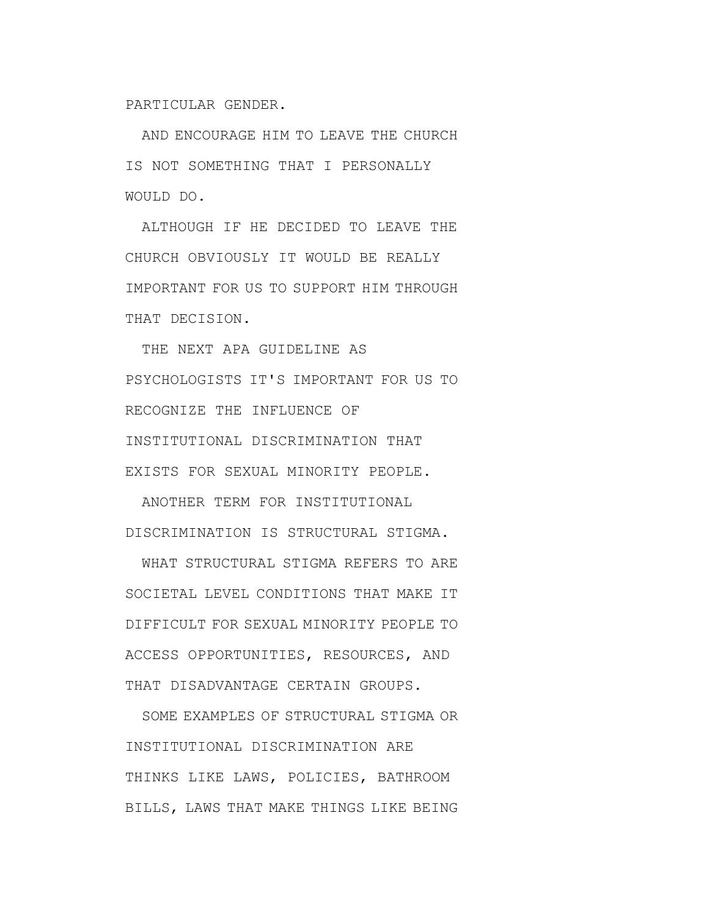PARTICULAR GENDER.

AND ENCOURAGE HIM TO LEAVE THE CHURCH IS NOT SOMETHING THAT I PERSONALLY WOULD DO.

ALTHOUGH IF HE DECIDED TO LEAVE THE CHURCH OBVIOUSLY IT WOULD BE REALLY IMPORTANT FOR US TO SUPPORT HIM THROUGH THAT DECISION.

THE NEXT APA GUIDELINE AS PSYCHOLOGISTS IT'S IMPORTANT FOR US TO RECOGNIZE THE INFLUENCE OF INSTITUTIONAL DISCRIMINATION THAT EXISTS FOR SEXUAL MINORITY PEOPLE.

ANOTHER TERM FOR INSTITUTIONAL DISCRIMINATION IS STRUCTURAL STIGMA.

WHAT STRUCTURAL STIGMA REFERS TO ARE SOCIETAL LEVEL CONDITIONS THAT MAKE IT DIFFICULT FOR SEXUAL MINORITY PEOPLE TO ACCESS OPPORTUNITIES, RESOURCES, AND THAT DISADVANTAGE CERTAIN GROUPS.

SOME EXAMPLES OF STRUCTURAL STIGMA OR INSTITUTIONAL DISCRIMINATION ARE THINKS LIKE LAWS, POLICIES, BATHROOM BILLS, LAWS THAT MAKE THINGS LIKE BEING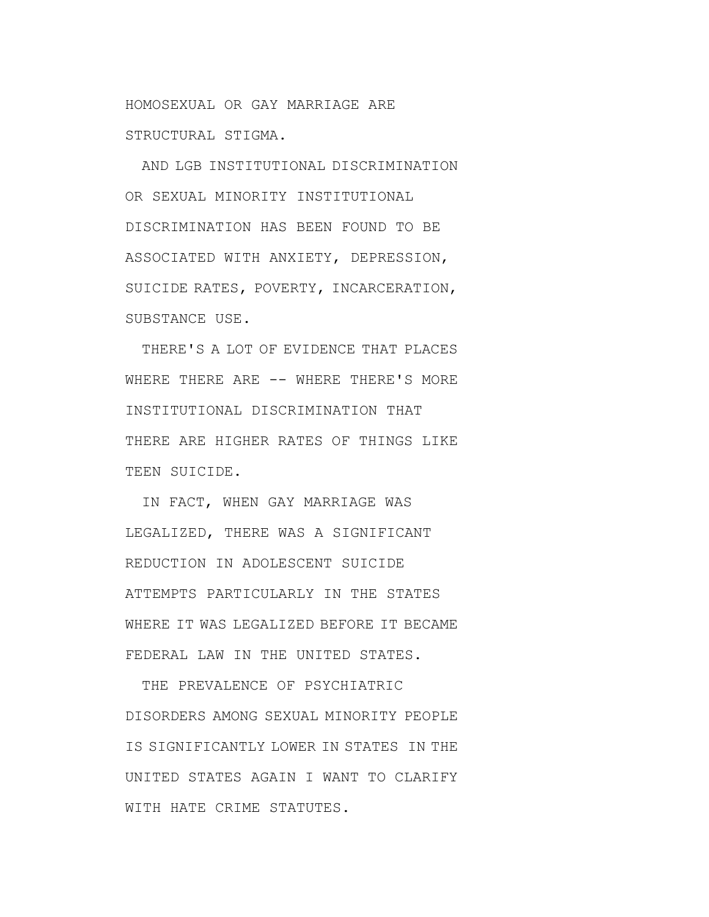HOMOSEXUAL OR GAY MARRIAGE ARE STRUCTURAL STIGMA.

AND LGB INSTITUTIONAL DISCRIMINATION OR SEXUAL MINORITY INSTITUTIONAL DISCRIMINATION HAS BEEN FOUND TO BE ASSOCIATED WITH ANXIETY, DEPRESSION, SUICIDE RATES, POVERTY, INCARCERATION, SUBSTANCE USE.

THERE'S A LOT OF EVIDENCE THAT PLACES WHERE THERE ARE -- WHERE THERE'S MORE INSTITUTIONAL DISCRIMINATION THAT THERE ARE HIGHER RATES OF THINGS LIKE TEEN SUICIDE.

IN FACT, WHEN GAY MARRIAGE WAS LEGALIZED, THERE WAS A SIGNIFICANT REDUCTION IN ADOLESCENT SUICIDE ATTEMPTS PARTICULARLY IN THE STATES WHERE IT WAS LEGALIZED BEFORE IT BECAME FEDERAL LAW IN THE UNITED STATES.

THE PREVALENCE OF PSYCHIATRIC DISORDERS AMONG SEXUAL MINORITY PEOPLE IS SIGNIFICANTLY LOWER IN STATES IN THE UNITED STATES AGAIN I WANT TO CLARIFY WITH HATE CRIME STATUTES.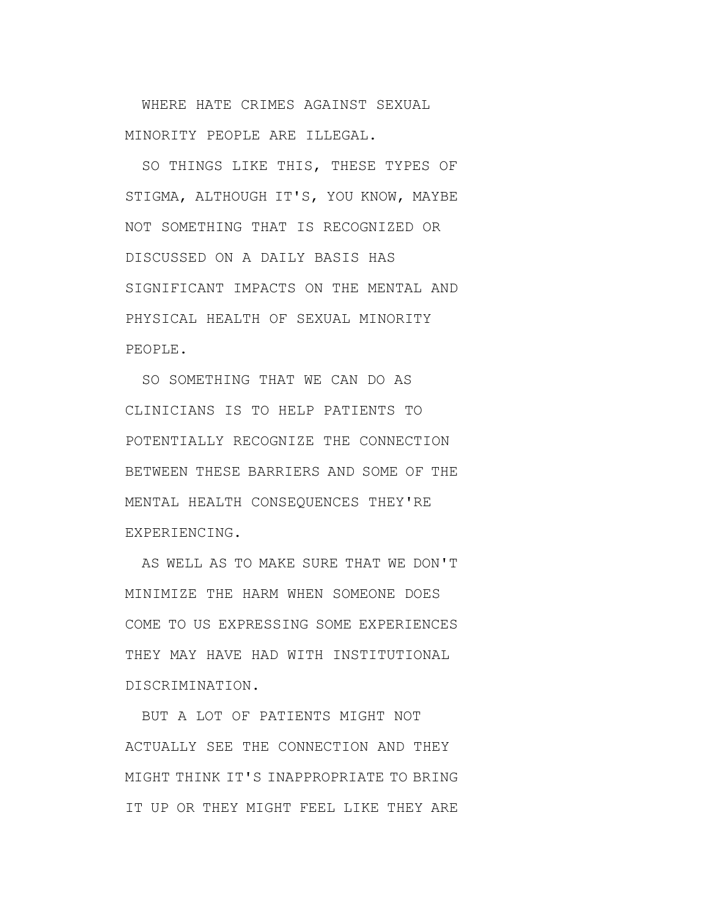WHERE HATE CRIMES AGAINST SEXUAL MINORITY PEOPLE ARE ILLEGAL.

SO THINGS LIKE THIS, THESE TYPES OF STIGMA, ALTHOUGH IT'S, YOU KNOW, MAYBE NOT SOMETHING THAT IS RECOGNIZED OR DISCUSSED ON A DAILY BASIS HAS SIGNIFICANT IMPACTS ON THE MENTAL AND PHYSICAL HEALTH OF SEXUAL MINORITY PEOPLE.

SO SOMETHING THAT WE CAN DO AS CLINICIANS IS TO HELP PATIENTS TO POTENTIALLY RECOGNIZE THE CONNECTION BETWEEN THESE BARRIERS AND SOME OF THE MENTAL HEALTH CONSEQUENCES THEY'RE EXPERIENCING.

AS WELL AS TO MAKE SURE THAT WE DON'T MINIMIZE THE HARM WHEN SOMEONE DOES COME TO US EXPRESSING SOME EXPERIENCES THEY MAY HAVE HAD WITH INSTITUTIONAL DISCRIMINATION.

BUT A LOT OF PATIENTS MIGHT NOT ACTUALLY SEE THE CONNECTION AND THEY MIGHT THINK IT'S INAPPROPRIATE TO BRING IT UP OR THEY MIGHT FEEL LIKE THEY ARE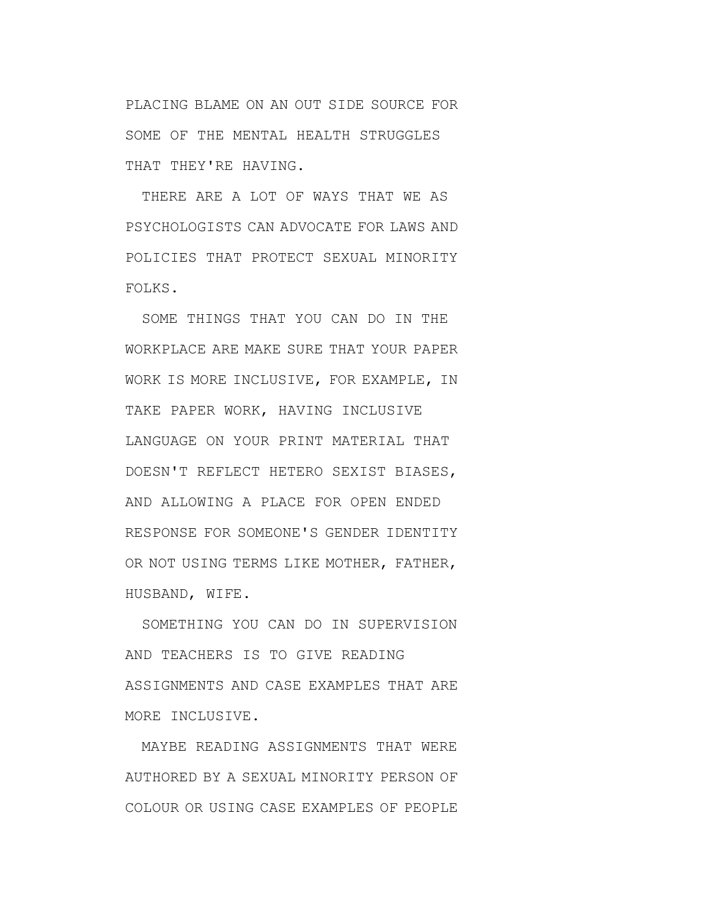PLACING BLAME ON AN OUT SIDE SOURCE FOR SOME OF THE MENTAL HEALTH STRUGGLES THAT THEY'RE HAVING.

THERE ARE A LOT OF WAYS THAT WE AS PSYCHOLOGISTS CAN ADVOCATE FOR LAWS AND POLICIES THAT PROTECT SEXUAL MINORITY FOLKS.

SOME THINGS THAT YOU CAN DO IN THE WORKPLACE ARE MAKE SURE THAT YOUR PAPER WORK IS MORE INCLUSIVE, FOR EXAMPLE, IN TAKE PAPER WORK, HAVING INCLUSIVE LANGUAGE ON YOUR PRINT MATERIAL THAT DOESN'T REFLECT HETERO SEXIST BIASES, AND ALLOWING A PLACE FOR OPEN ENDED RESPONSE FOR SOMEONE'S GENDER IDENTITY OR NOT USING TERMS LIKE MOTHER, FATHER, HUSBAND, WIFE.

SOMETHING YOU CAN DO IN SUPERVISION AND TEACHERS IS TO GIVE READING ASSIGNMENTS AND CASE EXAMPLES THAT ARE MORE INCLUSIVE.

MAYBE READING ASSIGNMENTS THAT WERE AUTHORED BY A SEXUAL MINORITY PERSON OF COLOUR OR USING CASE EXAMPLES OF PEOPLE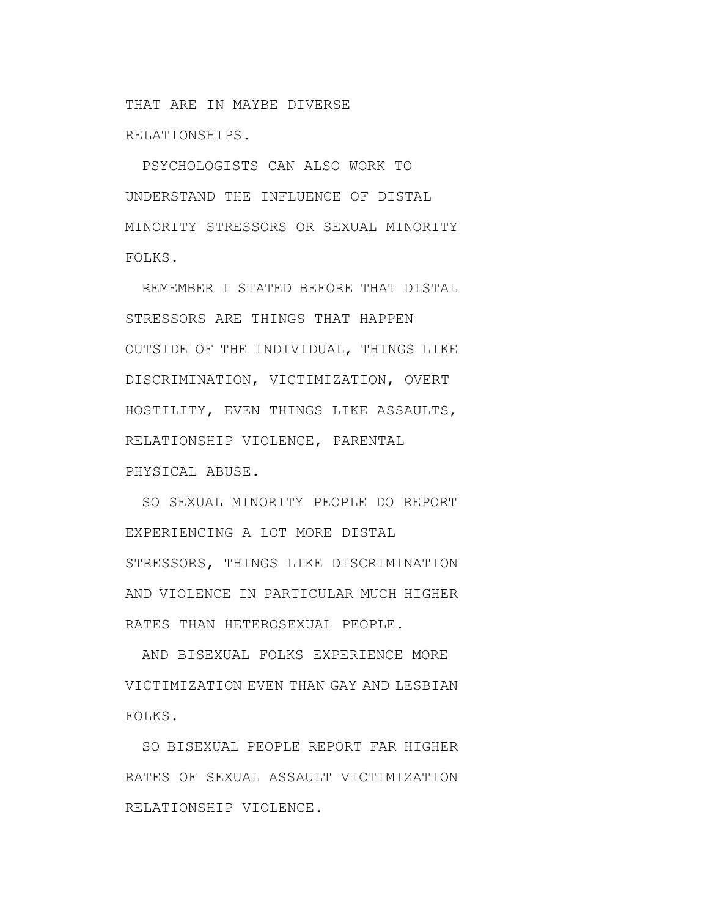THAT ARE IN MAYBE DIVERSE RELATIONSHIPS.

PSYCHOLOGISTS CAN ALSO WORK TO UNDERSTAND THE INFLUENCE OF DISTAL MINORITY STRESSORS OR SEXUAL MINORITY FOLKS.

REMEMBER I STATED BEFORE THAT DISTAL STRESSORS ARE THINGS THAT HAPPEN OUTSIDE OF THE INDIVIDUAL, THINGS LIKE DISCRIMINATION, VICTIMIZATION, OVERT HOSTILITY, EVEN THINGS LIKE ASSAULTS, RELATIONSHIP VIOLENCE, PARENTAL PHYSICAL ABUSE.

SO SEXUAL MINORITY PEOPLE DO REPORT EXPERIENCING A LOT MORE DISTAL STRESSORS, THINGS LIKE DISCRIMINATION AND VIOLENCE IN PARTICULAR MUCH HIGHER RATES THAN HETEROSEXUAL PEOPLE.

AND BISEXUAL FOLKS EXPERIENCE MORE VICTIMIZATION EVEN THAN GAY AND LESBIAN FOLKS.

SO BISEXUAL PEOPLE REPORT FAR HIGHER RATES OF SEXUAL ASSAULT VICTIMIZATION RELATIONSHIP VIOLENCE.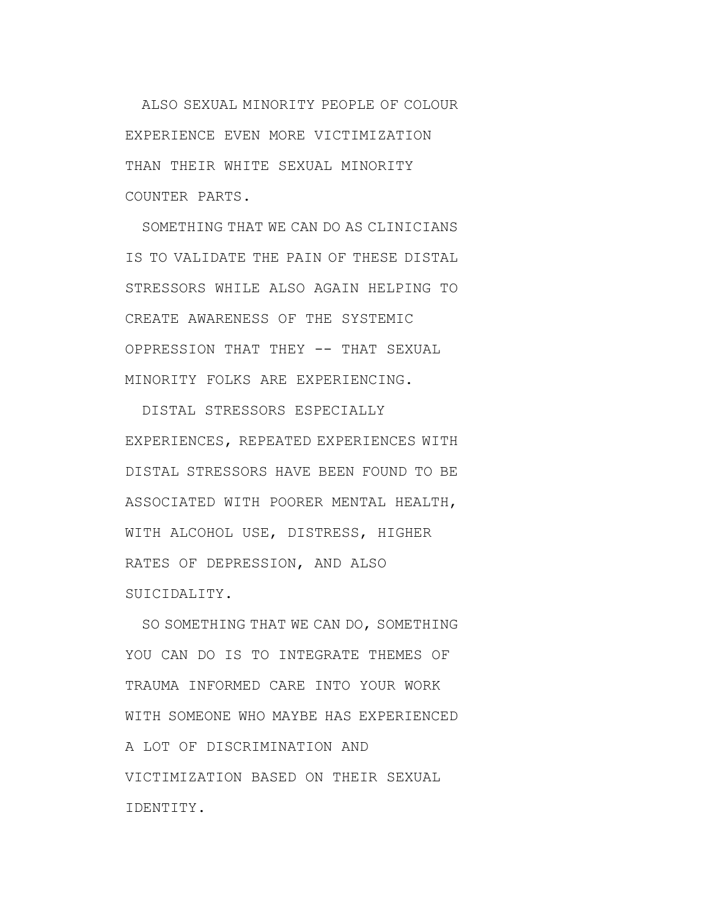ALSO SEXUAL MINORITY PEOPLE OF COLOUR EXPERIENCE EVEN MORE VICTIMIZATION THAN THEIR WHITE SEXUAL MINORITY COUNTER PARTS.

SOMETHING THAT WE CAN DO AS CLINICIANS IS TO VALIDATE THE PAIN OF THESE DISTAL STRESSORS WHILE ALSO AGAIN HELPING TO CREATE AWARENESS OF THE SYSTEMIC OPPRESSION THAT THEY -- THAT SEXUAL MINORITY FOLKS ARE EXPERIENCING.

DISTAL STRESSORS ESPECIALLY EXPERIENCES, REPEATED EXPERIENCES WITH DISTAL STRESSORS HAVE BEEN FOUND TO BE ASSOCIATED WITH POORER MENTAL HEALTH, WITH ALCOHOL USE, DISTRESS, HIGHER RATES OF DEPRESSION, AND ALSO SUICIDALITY.

SO SOMETHING THAT WE CAN DO, SOMETHING YOU CAN DO IS TO INTEGRATE THEMES OF TRAUMA INFORMED CARE INTO YOUR WORK WITH SOMEONE WHO MAYBE HAS EXPERIENCED A LOT OF DISCRIMINATION AND VICTIMIZATION BASED ON THEIR SEXUAL IDENTITY.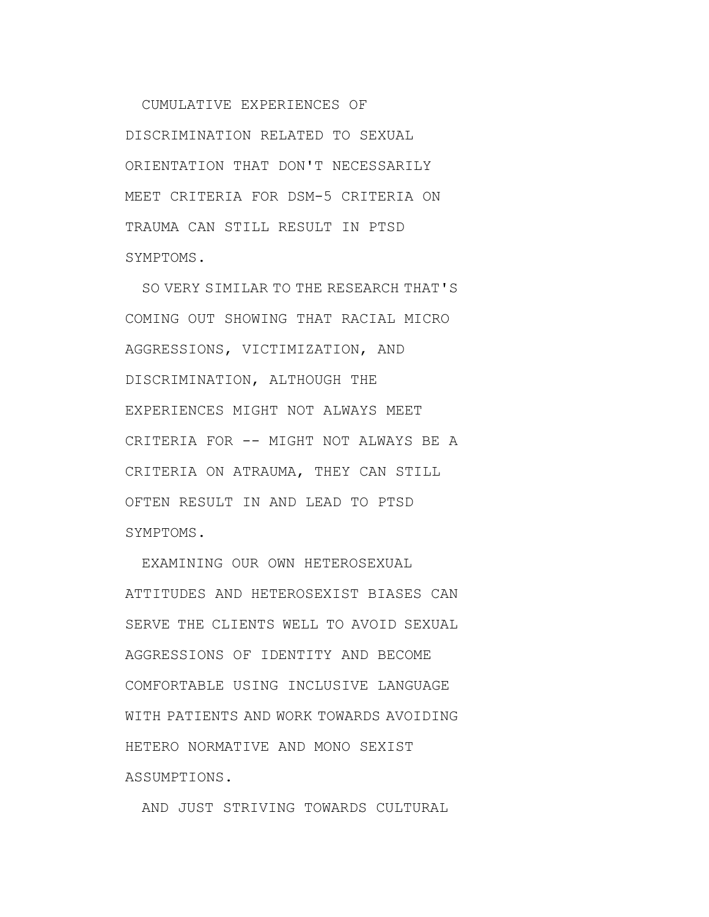CUMULATIVE EXPERIENCES OF DISCRIMINATION RELATED TO SEXUAL ORIENTATION THAT DON'T NECESSARILY MEET CRITERIA FOR DSM-5 CRITERIA ON TRAUMA CAN STILL RESULT IN PTSD SYMPTOMS.

SO VERY SIMILAR TO THE RESEARCH THAT'S COMING OUT SHOWING THAT RACIAL MICRO AGGRESSIONS, VICTIMIZATION, AND DISCRIMINATION, ALTHOUGH THE EXPERIENCES MIGHT NOT ALWAYS MEET CRITERIA FOR -- MIGHT NOT ALWAYS BE A CRITERIA ON ATRAUMA, THEY CAN STILL OFTEN RESULT IN AND LEAD TO PTSD SYMPTOMS.

EXAMINING OUR OWN HETEROSEXUAL ATTITUDES AND HETEROSEXIST BIASES CAN SERVE THE CLIENTS WELL TO AVOID SEXUAL AGGRESSIONS OF IDENTITY AND BECOME COMFORTABLE USING INCLUSIVE LANGUAGE WITH PATIENTS AND WORK TOWARDS AVOIDING HETERO NORMATIVE AND MONO SEXIST ASSUMPTIONS.

AND JUST STRIVING TOWARDS CULTURAL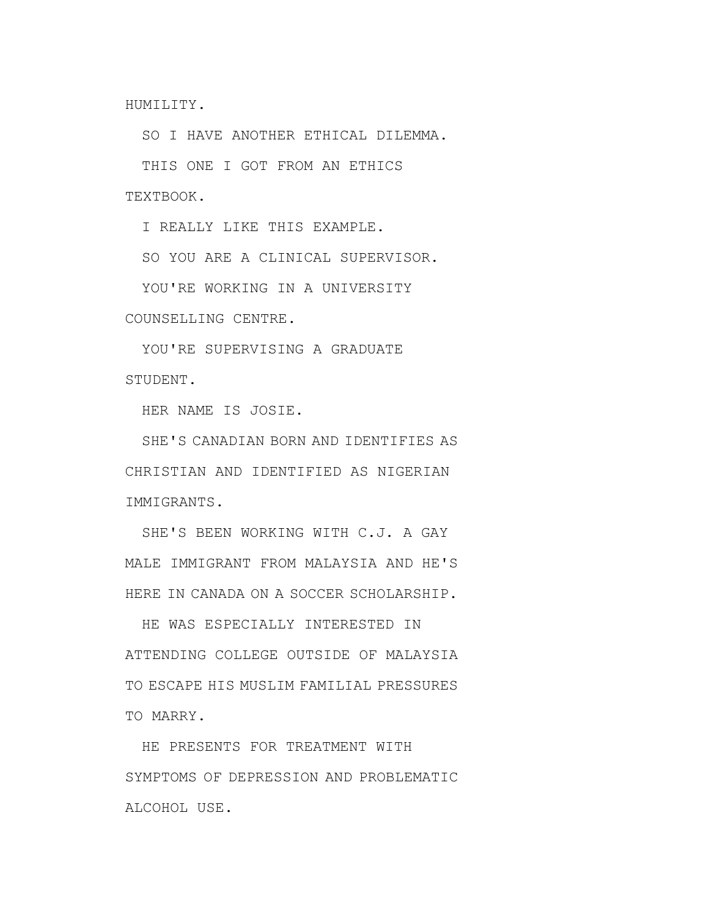HUMILITY.

SO I HAVE ANOTHER ETHICAL DILEMMA.

THIS ONE I GOT FROM AN ETHICS TEXTBOOK.

I REALLY LIKE THIS EXAMPLE.

SO YOU ARE A CLINICAL SUPERVISOR.

YOU'RE WORKING IN A UNIVERSITY

COUNSELLING CENTRE.

YOU'RE SUPERVISING A GRADUATE STUDENT.

HER NAME IS JOSIE.

SHE'S CANADIAN BORN AND IDENTIFIES AS CHRISTIAN AND IDENTIFIED AS NIGERIAN IMMIGRANTS.

SHE'S BEEN WORKING WITH C.J. A GAY MALE IMMIGRANT FROM MALAYSIA AND HE'S HERE IN CANADA ON A SOCCER SCHOLARSHIP.

HE WAS ESPECIALLY INTERESTED IN ATTENDING COLLEGE OUTSIDE OF MALAYSIA TO ESCAPE HIS MUSLIM FAMILIAL PRESSURES TO MARRY.

HE PRESENTS FOR TREATMENT WITH SYMPTOMS OF DEPRESSION AND PROBLEMATIC ALCOHOL USE.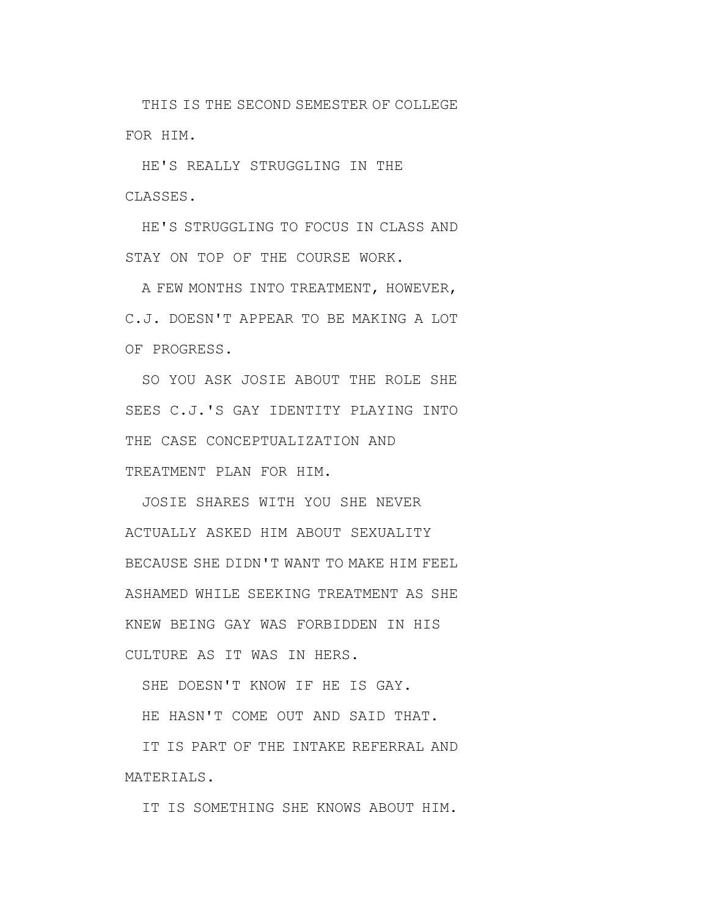THIS IS THE SECOND SEMESTER OF COLLEGE FOR HIM.

HE'S REALLY STRUGGLING IN THE CLASSES.

HE'S STRUGGLING TO FOCUS IN CLASS AND STAY ON TOP OF THE COURSE WORK.

A FEW MONTHS INTO TREATMENT, HOWEVER, C.J. DOESN'T APPEAR TO BE MAKING A LOT OF PROGRESS.

SO YOU ASK JOSIE ABOUT THE ROLE SHE SEES C.J.'S GAY IDENTITY PLAYING INTO THE CASE CONCEPTUALIZATION AND TREATMENT PLAN FOR HIM.

JOSIE SHARES WITH YOU SHE NEVER ACTUALLY ASKED HIM ABOUT SEXUALITY BECAUSE SHE DIDN'T WANT TO MAKE HIM FEEL ASHAMED WHILE SEEKING TREATMENT AS SHE KNEW BEING GAY WAS FORBIDDEN IN HIS CULTURE AS IT WAS IN HERS.

SHE DOESN'T KNOW IF HE IS GAY.

HE HASN'T COME OUT AND SAID THAT.

IT IS PART OF THE INTAKE REFERRAL AND MATERIALS.

IT IS SOMETHING SHE KNOWS ABOUT HIM.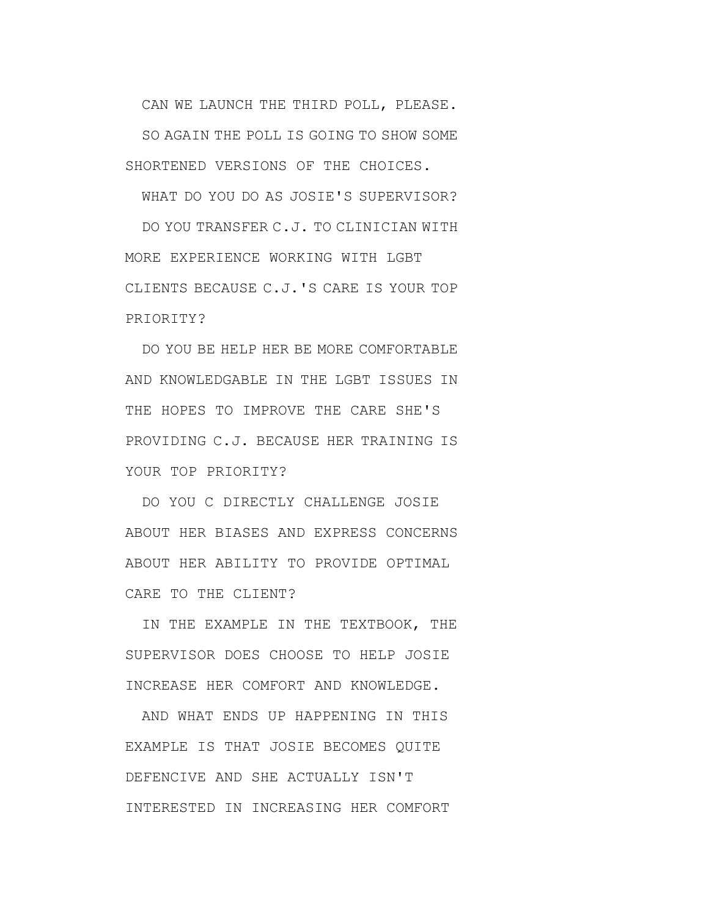CAN WE LAUNCH THE THIRD POLL, PLEASE. SO AGAIN THE POLL IS GOING TO SHOW SOME SHORTENED VERSIONS OF THE CHOICES.

WHAT DO YOU DO AS JOSIE'S SUPERVISOR?

DO YOU TRANSFER C.J. TO CLINICIAN WITH MORE EXPERIENCE WORKING WITH LGBT CLIENTS BECAUSE C.J.'S CARE IS YOUR TOP PRIORITY?

DO YOU BE HELP HER BE MORE COMFORTABLE AND KNOWLEDGABLE IN THE LGBT ISSUES IN THE HOPES TO IMPROVE THE CARE SHE'S PROVIDING C.J. BECAUSE HER TRAINING IS YOUR TOP PRIORITY?

DO YOU C DIRECTLY CHALLENGE JOSIE ABOUT HER BIASES AND EXPRESS CONCERNS ABOUT HER ABILITY TO PROVIDE OPTIMAL CARE TO THE CLIENT?

IN THE EXAMPLE IN THE TEXTBOOK, THE SUPERVISOR DOES CHOOSE TO HELP JOSIE INCREASE HER COMFORT AND KNOWLEDGE.

AND WHAT ENDS UP HAPPENING IN THIS EXAMPLE IS THAT JOSIE BECOMES QUITE DEFENCIVE AND SHE ACTUALLY ISN'T INTERESTED IN INCREASING HER COMFORT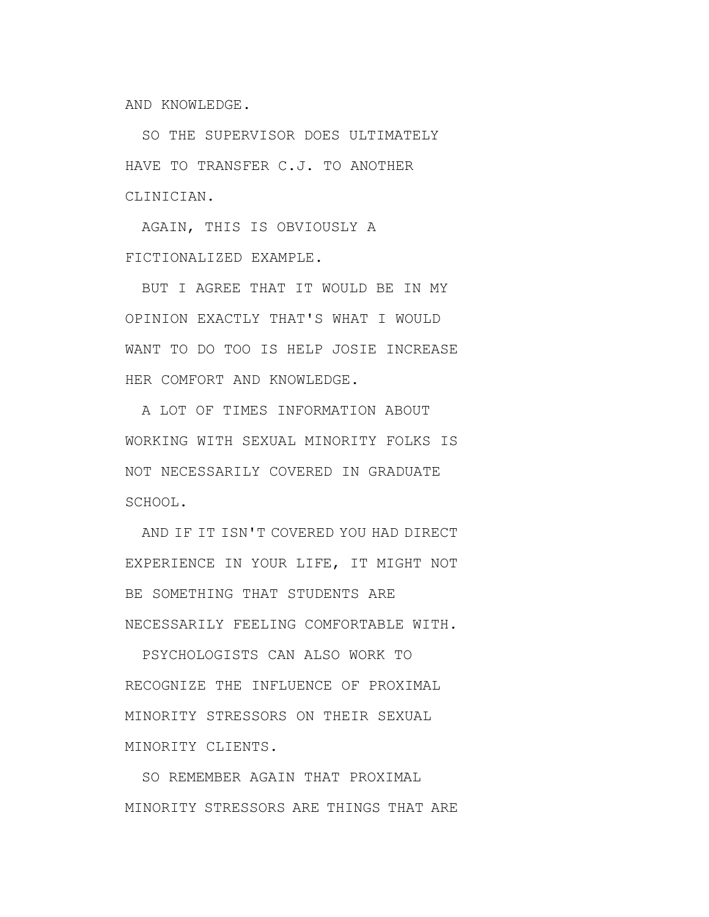AND KNOWLEDGE.

SO THE SUPERVISOR DOES ULTIMATELY HAVE TO TRANSFER C.J. TO ANOTHER CLINICIAN.

AGAIN, THIS IS OBVIOUSLY A FICTIONALIZED EXAMPLE.

BUT I AGREE THAT IT WOULD BE IN MY OPINION EXACTLY THAT'S WHAT I WOULD WANT TO DO TOO IS HELP JOSIE INCREASE HER COMFORT AND KNOWLEDGE.

A LOT OF TIMES INFORMATION ABOUT WORKING WITH SEXUAL MINORITY FOLKS IS NOT NECESSARILY COVERED IN GRADUATE SCHOOL.

AND IF IT ISN'T COVERED YOU HAD DIRECT EXPERIENCE IN YOUR LIFE, IT MIGHT NOT BE SOMETHING THAT STUDENTS ARE NECESSARILY FEELING COMFORTABLE WITH.

PSYCHOLOGISTS CAN ALSO WORK TO RECOGNIZE THE INFLUENCE OF PROXIMAL MINORITY STRESSORS ON THEIR SEXUAL MINORITY CLIENTS.

SO REMEMBER AGAIN THAT PROXIMAL MINORITY STRESSORS ARE THINGS THAT ARE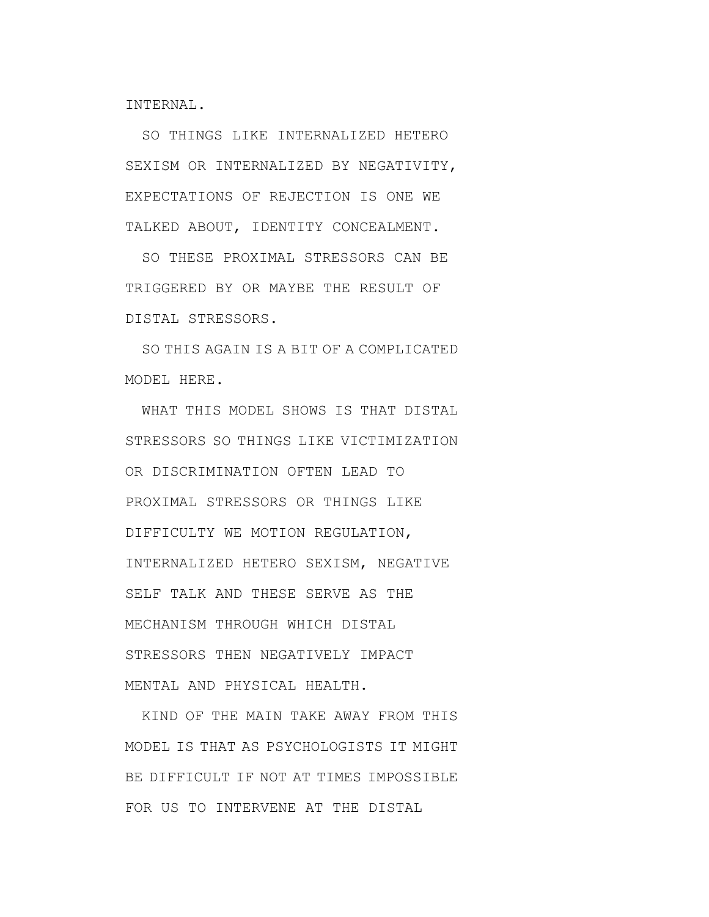INTERNAL.

SO THINGS LIKE INTERNALIZED HETERO SEXISM OR INTERNALIZED BY NEGATIVITY, EXPECTATIONS OF REJECTION IS ONE WE TALKED ABOUT, IDENTITY CONCEALMENT.

SO THESE PROXIMAL STRESSORS CAN BE TRIGGERED BY OR MAYBE THE RESULT OF DISTAL STRESSORS.

SO THIS AGAIN IS A BIT OF A COMPLICATED MODEL HERE.

WHAT THIS MODEL SHOWS IS THAT DISTAL STRESSORS SO THINGS LIKE VICTIMIZATION OR DISCRIMINATION OFTEN LEAD TO PROXIMAL STRESSORS OR THINGS LIKE DIFFICULTY WE MOTION REGULATION, INTERNALIZED HETERO SEXISM, NEGATIVE SELF TALK AND THESE SERVE AS THE MECHANISM THROUGH WHICH DISTAL STRESSORS THEN NEGATIVELY IMPACT MENTAL AND PHYSICAL HEALTH.

KIND OF THE MAIN TAKE AWAY FROM THIS MODEL IS THAT AS PSYCHOLOGISTS IT MIGHT BE DIFFICULT IF NOT AT TIMES IMPOSSIBLE FOR US TO INTERVENE AT THE DISTAL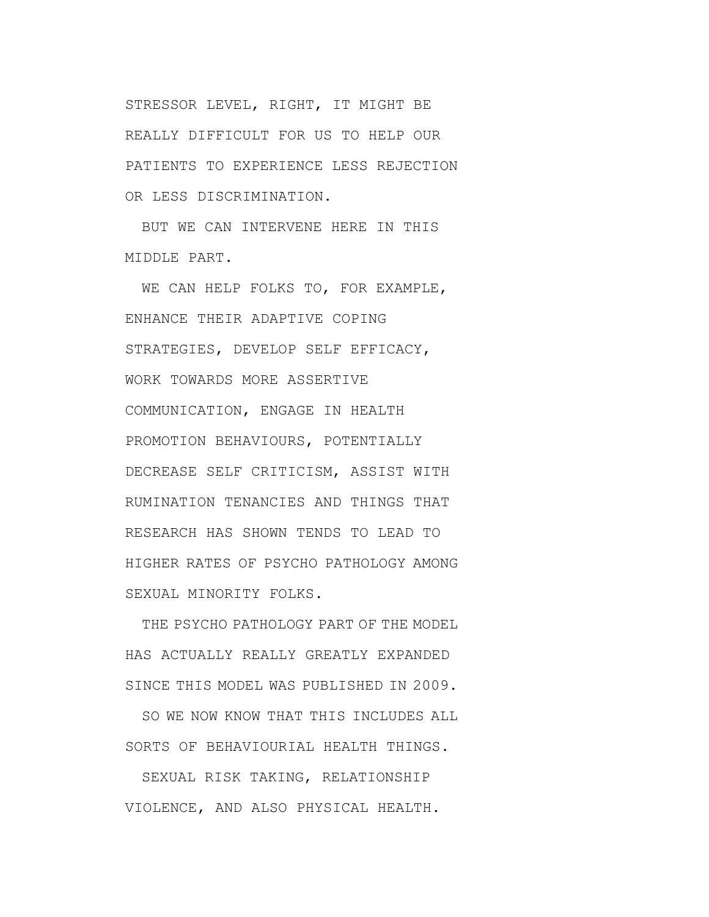STRESSOR LEVEL, RIGHT, IT MIGHT BE REALLY DIFFICULT FOR US TO HELP OUR PATIENTS TO EXPERIENCE LESS REJECTION OR LESS DISCRIMINATION.

BUT WE CAN INTERVENE HERE IN THIS MIDDLE PART.

WE CAN HELP FOLKS TO, FOR EXAMPLE, ENHANCE THEIR ADAPTIVE COPING STRATEGIES, DEVELOP SELF EFFICACY, WORK TOWARDS MORE ASSERTIVE COMMUNICATION, ENGAGE IN HEALTH PROMOTION BEHAVIOURS, POTENTIALLY DECREASE SELF CRITICISM, ASSIST WITH RUMINATION TENANCIES AND THINGS THAT RESEARCH HAS SHOWN TENDS TO LEAD TO HIGHER RATES OF PSYCHO PATHOLOGY AMONG SEXUAL MINORITY FOLKS.

THE PSYCHO PATHOLOGY PART OF THE MODEL HAS ACTUALLY REALLY GREATLY EXPANDED SINCE THIS MODEL WAS PUBLISHED IN 2009.

SO WE NOW KNOW THAT THIS INCLUDES ALL SORTS OF BEHAVIOURIAL HEALTH THINGS.

SEXUAL RISK TAKING, RELATIONSHIP VIOLENCE, AND ALSO PHYSICAL HEALTH.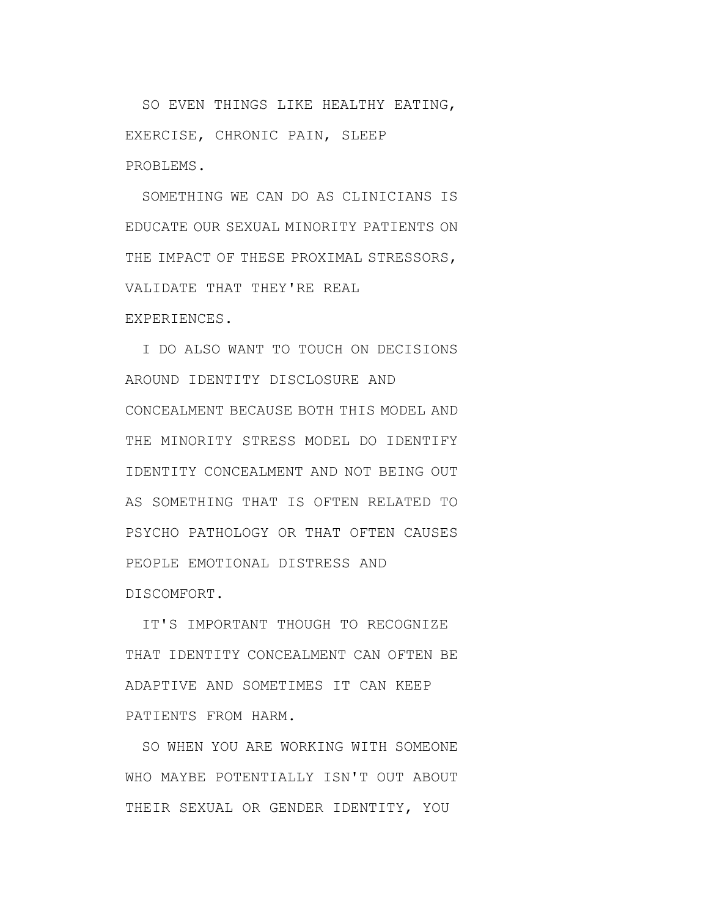SO EVEN THINGS LIKE HEALTHY EATING, EXERCISE, CHRONIC PAIN, SLEEP PROBLEMS.

SOMETHING WE CAN DO AS CLINICIANS IS EDUCATE OUR SEXUAL MINORITY PATIENTS ON THE IMPACT OF THESE PROXIMAL STRESSORS, VALIDATE THAT THEY'RE REAL EXPERIENCES.

I DO ALSO WANT TO TOUCH ON DECISIONS AROUND IDENTITY DISCLOSURE AND CONCEALMENT BECAUSE BOTH THIS MODEL AND THE MINORITY STRESS MODEL DO IDENTIFY IDENTITY CONCEALMENT AND NOT BEING OUT AS SOMETHING THAT IS OFTEN RELATED TO PSYCHO PATHOLOGY OR THAT OFTEN CAUSES PEOPLE EMOTIONAL DISTRESS AND DISCOMFORT.

IT'S IMPORTANT THOUGH TO RECOGNIZE THAT IDENTITY CONCEALMENT CAN OFTEN BE ADAPTIVE AND SOMETIMES IT CAN KEEP PATIENTS FROM HARM.

SO WHEN YOU ARE WORKING WITH SOMEONE WHO MAYBE POTENTIALLY ISN'T OUT ABOUT THEIR SEXUAL OR GENDER IDENTITY, YOU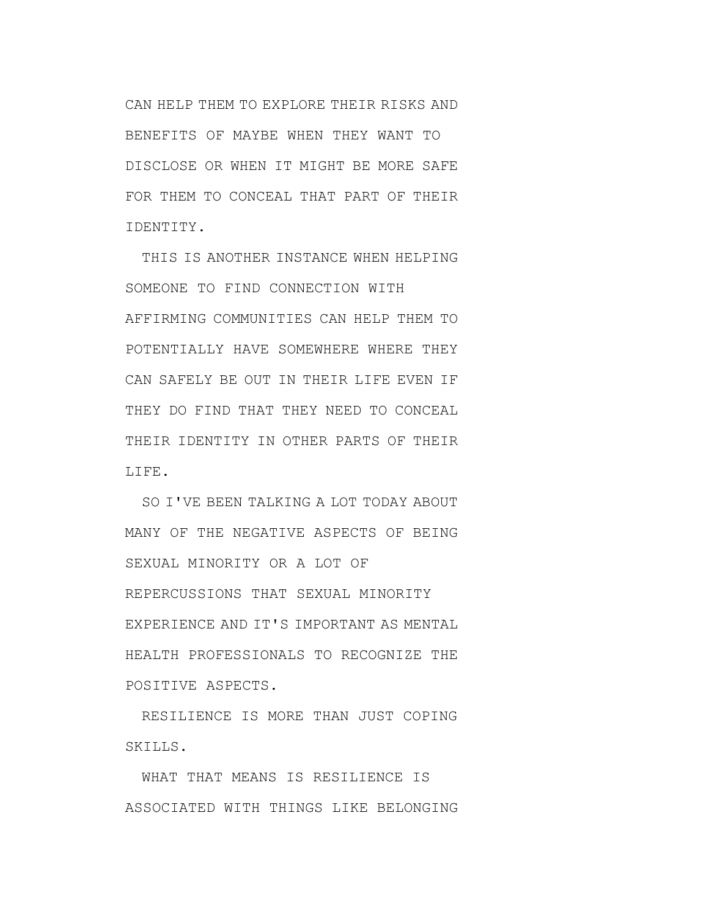CAN HELP THEM TO EXPLORE THEIR RISKS AND BENEFITS OF MAYBE WHEN THEY WANT TO DISCLOSE OR WHEN IT MIGHT BE MORE SAFE FOR THEM TO CONCEAL THAT PART OF THEIR IDENTITY.

THIS IS ANOTHER INSTANCE WHEN HELPING SOMEONE TO FIND CONNECTION WITH AFFIRMING COMMUNITIES CAN HELP THEM TO POTENTIALLY HAVE SOMEWHERE WHERE THEY CAN SAFELY BE OUT IN THEIR LIFE EVEN IF THEY DO FIND THAT THEY NEED TO CONCEAL THEIR IDENTITY IN OTHER PARTS OF THEIR LIFE.

SO I'VE BEEN TALKING A LOT TODAY ABOUT MANY OF THE NEGATIVE ASPECTS OF BEING SEXUAL MINORITY OR A LOT OF REPERCUSSIONS THAT SEXUAL MINORITY EXPERIENCE AND IT'S IMPORTANT AS MENTAL HEALTH PROFESSIONALS TO RECOGNIZE THE POSITIVE ASPECTS.

RESILIENCE IS MORE THAN JUST COPING SKILLS.

WHAT THAT MEANS IS RESILIENCE IS ASSOCIATED WITH THINGS LIKE BELONGING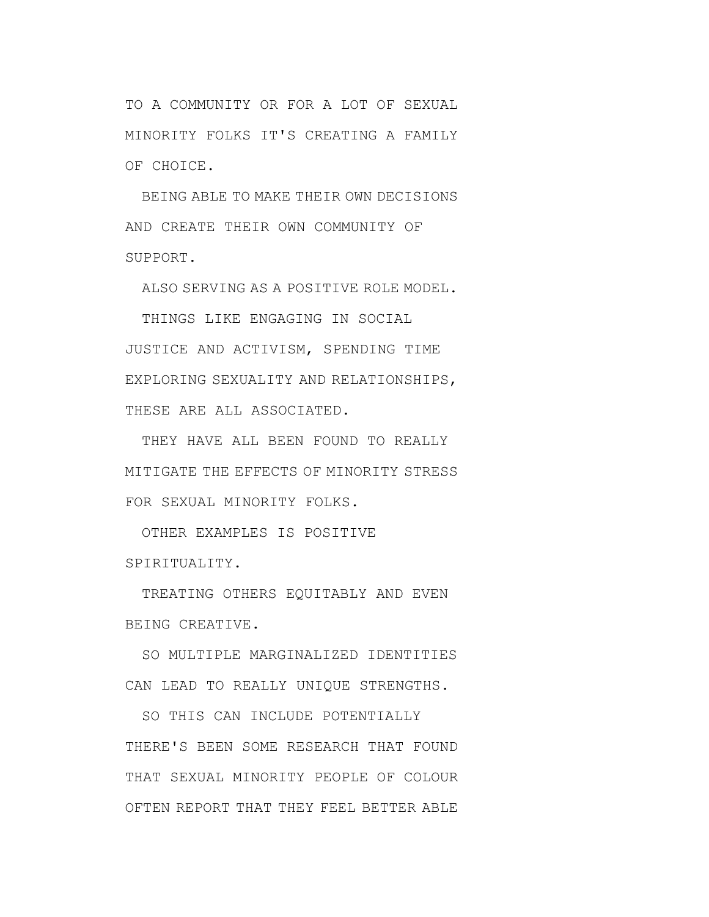TO A COMMUNITY OR FOR A LOT OF SEXUAL MINORITY FOLKS IT'S CREATING A FAMILY OF CHOICE.

BEING ABLE TO MAKE THEIR OWN DECISIONS AND CREATE THEIR OWN COMMUNITY OF SUPPORT.

ALSO SERVING AS A POSITIVE ROLE MODEL.

THINGS LIKE ENGAGING IN SOCIAL JUSTICE AND ACTIVISM, SPENDING TIME EXPLORING SEXUALITY AND RELATIONSHIPS, THESE ARE ALL ASSOCIATED.

THEY HAVE ALL BEEN FOUND TO REALLY MITIGATE THE EFFECTS OF MINORITY STRESS FOR SEXUAL MINORITY FOLKS.

OTHER EXAMPLES IS POSITIVE SPIRITUALITY.

TREATING OTHERS EQUITABLY AND EVEN BEING CREATIVE.

SO MULTIPLE MARGINALIZED IDENTITIES CAN LEAD TO REALLY UNIQUE STRENGTHS.

SO THIS CAN INCLUDE POTENTIALLY THERE'S BEEN SOME RESEARCH THAT FOUND THAT SEXUAL MINORITY PEOPLE OF COLOUR OFTEN REPORT THAT THEY FEEL BETTER ABLE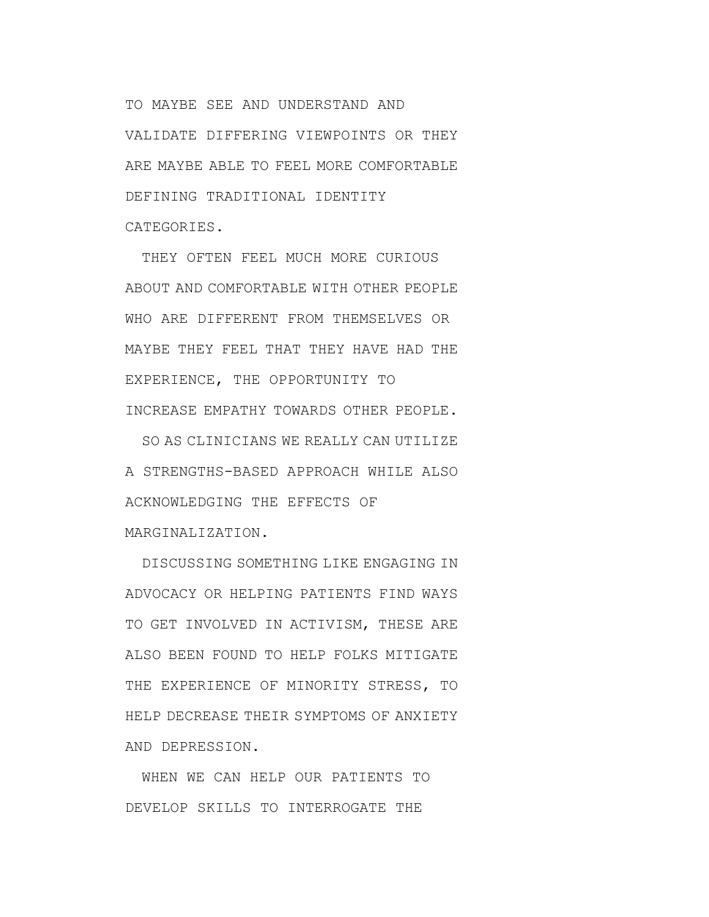TO MAYBE SEE AND UNDERSTAND AND VALIDATE DIFFERING VIEWPOINTS OR THEY ARE MAYBE ABLE TO FEEL MORE COMFORTABLE DEFINING TRADITIONAL IDENTITY CATEGORIES.

THEY OFTEN FEEL MUCH MORE CURIOUS ABOUT AND COMFORTABLE WITH OTHER PEOPLE WHO ARE DIFFERENT FROM THEMSELVES OR MAYBE THEY FEEL THAT THEY HAVE HAD THE EXPERIENCE, THE OPPORTUNITY TO INCREASE EMPATHY TOWARDS OTHER PEOPLE.

SO AS CLINICIANS WE REALLY CAN UTILIZE A STRENGTHS-BASED APPROACH WHILE ALSO ACKNOWLEDGING THE EFFECTS OF MARGINALIZATION.

DISCUSSING SOMETHING LIKE ENGAGING IN ADVOCACY OR HELPING PATIENTS FIND WAYS TO GET INVOLVED IN ACTIVISM, THESE ARE ALSO BEEN FOUND TO HELP FOLKS MITIGATE THE EXPERIENCE OF MINORITY STRESS, TO HELP DECREASE THEIR SYMPTOMS OF ANXIETY AND DEPRESSION.

WHEN WE CAN HELP OUR PATIENTS TO DEVELOP SKILLS TO INTERROGATE THE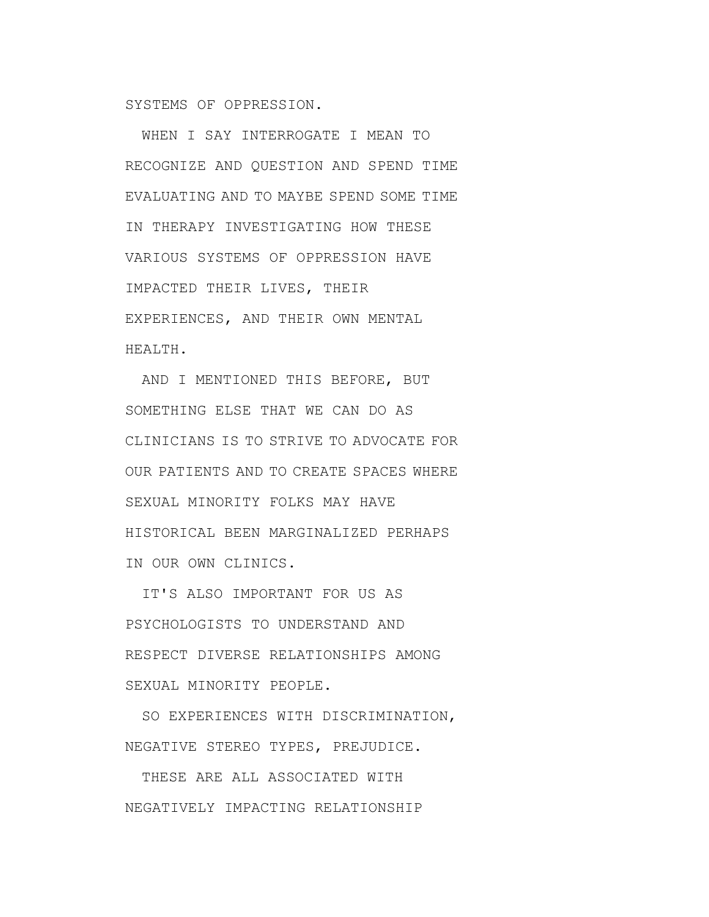SYSTEMS OF OPPRESSION.

WHEN I SAY INTERROGATE I MEAN TO RECOGNIZE AND QUESTION AND SPEND TIME EVALUATING AND TO MAYBE SPEND SOME TIME IN THERAPY INVESTIGATING HOW THESE VARIOUS SYSTEMS OF OPPRESSION HAVE IMPACTED THEIR LIVES, THEIR EXPERIENCES, AND THEIR OWN MENTAL HEALTH.

AND I MENTIONED THIS BEFORE, BUT SOMETHING ELSE THAT WE CAN DO AS CLINICIANS IS TO STRIVE TO ADVOCATE FOR OUR PATIENTS AND TO CREATE SPACES WHERE SEXUAL MINORITY FOLKS MAY HAVE HISTORICAL BEEN MARGINALIZED PERHAPS IN OUR OWN CLINICS.

IT'S ALSO IMPORTANT FOR US AS PSYCHOLOGISTS TO UNDERSTAND AND RESPECT DIVERSE RELATIONSHIPS AMONG SEXUAL MINORITY PEOPLE.

SO EXPERIENCES WITH DISCRIMINATION, NEGATIVE STEREO TYPES, PREJUDICE.

THESE ARE ALL ASSOCIATED WITH NEGATIVELY IMPACTING RELATIONSHIP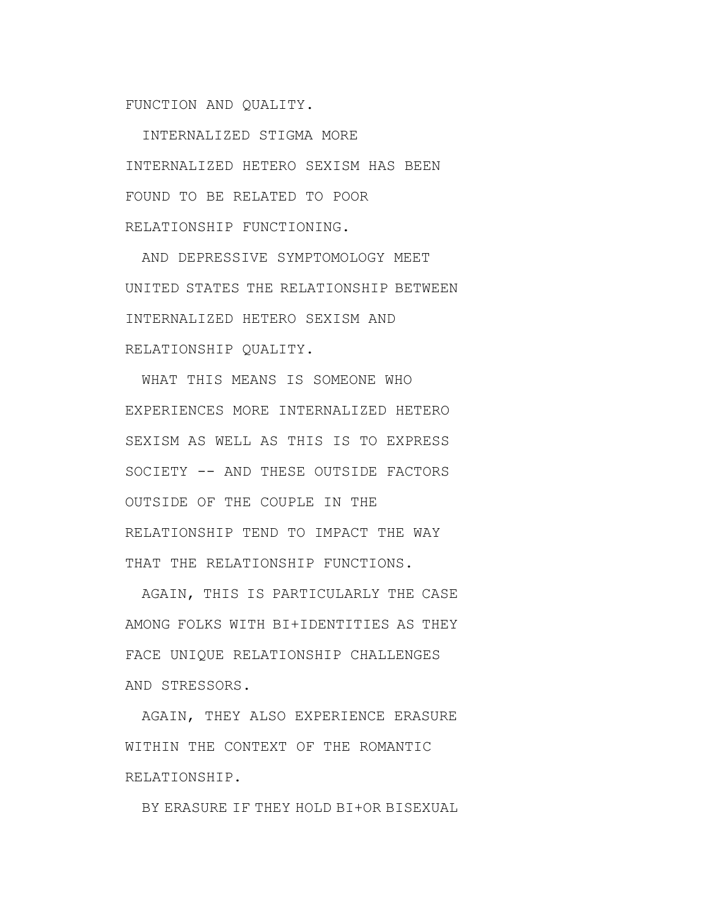FUNCTION AND QUALITY.

INTERNALIZED STIGMA MORE INTERNALIZED HETERO SEXISM HAS BEEN FOUND TO BE RELATED TO POOR RELATIONSHIP FUNCTIONING.

AND DEPRESSIVE SYMPTOMOLOGY MEET UNITED STATES THE RELATIONSHIP BETWEEN INTERNALIZED HETERO SEXISM AND RELATIONSHIP QUALITY.

WHAT THIS MEANS IS SOMEONE WHO EXPERIENCES MORE INTERNALIZED HETERO SEXISM AS WELL AS THIS IS TO EXPRESS SOCIETY -- AND THESE OUTSIDE FACTORS OUTSIDE OF THE COUPLE IN THE RELATIONSHIP TEND TO IMPACT THE WAY THAT THE RELATIONSHIP FUNCTIONS.

AGAIN, THIS IS PARTICULARLY THE CASE AMONG FOLKS WITH BI+IDENTITIES AS THEY FACE UNIQUE RELATIONSHIP CHALLENGES AND STRESSORS.

AGAIN, THEY ALSO EXPERIENCE ERASURE WITHIN THE CONTEXT OF THE ROMANTIC RELATIONSHIP.

BY ERASURE IF THEY HOLD BI+OR BISEXUAL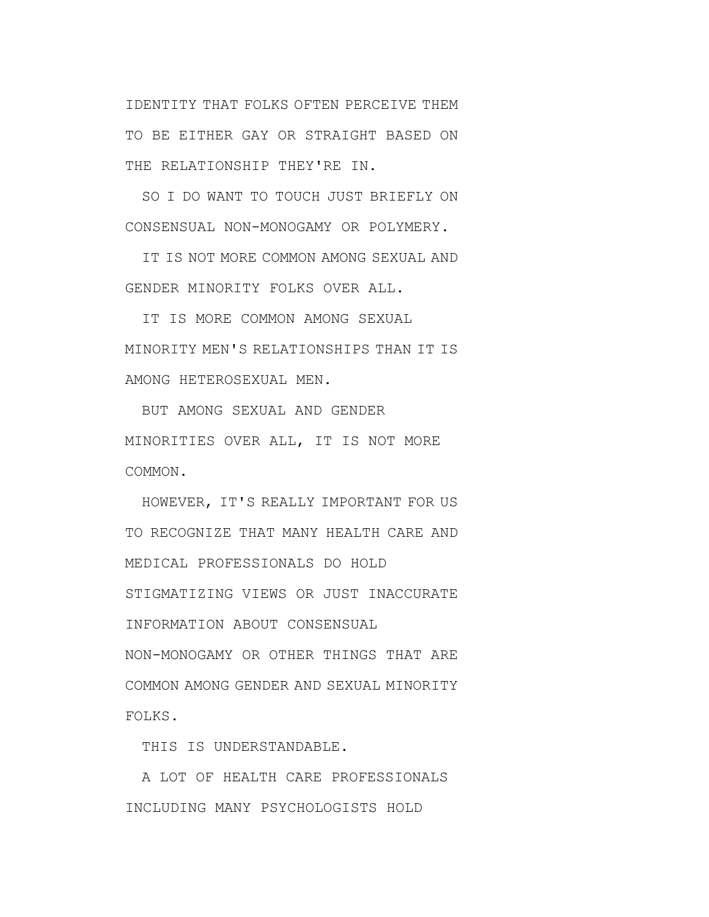IDENTITY THAT FOLKS OFTEN PERCEIVE THEM TO BE EITHER GAY OR STRAIGHT BASED ON THE RELATIONSHIP THEY'RE IN.

SO I DO WANT TO TOUCH JUST BRIEFLY ON CONSENSUAL NON-MONOGAMY OR POLYMERY.

IT IS NOT MORE COMMON AMONG SEXUAL AND GENDER MINORITY FOLKS OVER ALL.

IT IS MORE COMMON AMONG SEXUAL MINORITY MEN'S RELATIONSHIPS THAN IT IS AMONG HETEROSEXUAL MEN.

BUT AMONG SEXUAL AND GENDER MINORITIES OVER ALL, IT IS NOT MORE COMMON.

HOWEVER, IT'S REALLY IMPORTANT FOR US TO RECOGNIZE THAT MANY HEALTH CARE AND MEDICAL PROFESSIONALS DO HOLD STIGMATIZING VIEWS OR JUST INACCURATE INFORMATION ABOUT CONSENSUAL NON-MONOGAMY OR OTHER THINGS THAT ARE COMMON AMONG GENDER AND SEXUAL MINORITY FOLKS.

THIS IS UNDERSTANDABLE.

A LOT OF HEALTH CARE PROFESSIONALS INCLUDING MANY PSYCHOLOGISTS HOLD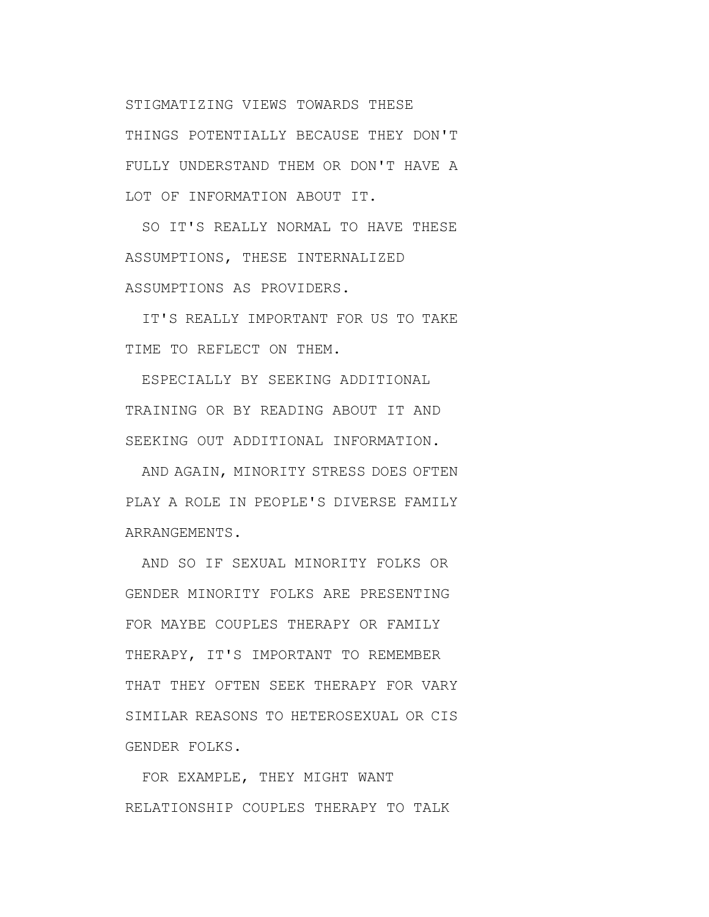STIGMATIZING VIEWS TOWARDS THESE THINGS POTENTIALLY BECAUSE THEY DON'T FULLY UNDERSTAND THEM OR DON'T HAVE A LOT OF INFORMATION ABOUT IT.

SO IT'S REALLY NORMAL TO HAVE THESE ASSUMPTIONS, THESE INTERNALIZED ASSUMPTIONS AS PROVIDERS.

IT'S REALLY IMPORTANT FOR US TO TAKE TIME TO REFLECT ON THEM.

ESPECIALLY BY SEEKING ADDITIONAL TRAINING OR BY READING ABOUT IT AND SEEKING OUT ADDITIONAL INFORMATION.

AND AGAIN, MINORITY STRESS DOES OFTEN PLAY A ROLE IN PEOPLE'S DIVERSE FAMILY ARRANGEMENTS.

AND SO IF SEXUAL MINORITY FOLKS OR GENDER MINORITY FOLKS ARE PRESENTING FOR MAYBE COUPLES THERAPY OR FAMILY THERAPY, IT'S IMPORTANT TO REMEMBER THAT THEY OFTEN SEEK THERAPY FOR VARY SIMILAR REASONS TO HETEROSEXUAL OR CIS GENDER FOLKS.

FOR EXAMPLE, THEY MIGHT WANT RELATIONSHIP COUPLES THERAPY TO TALK